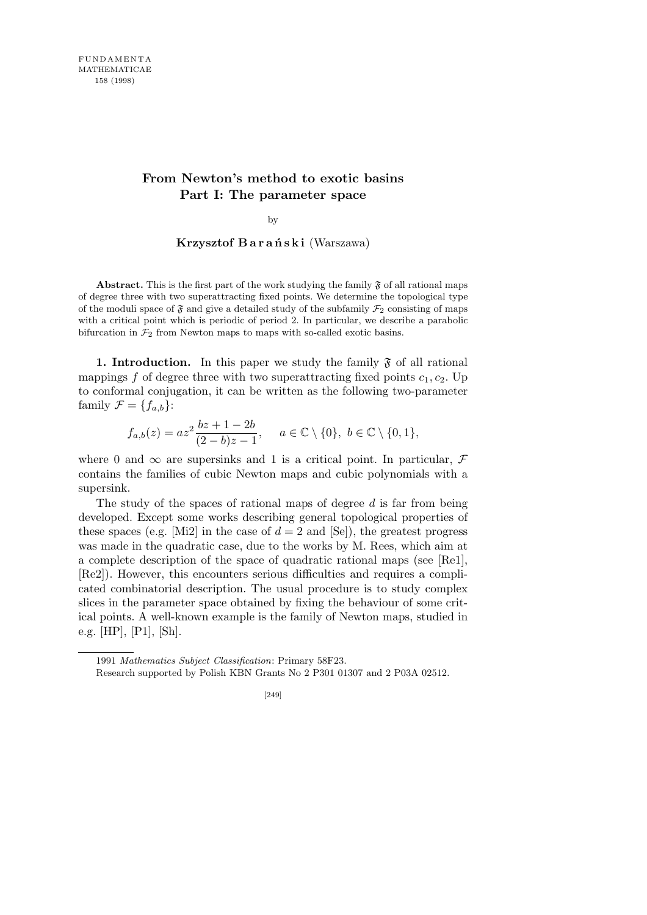# **From Newton's method to exotic basins Part I: The parameter space**

by

### **Krzysztof B a r a ń s k i** (Warszawa)

**Abstract.** This is the first part of the work studying the family  $\mathfrak{F}$  of all rational maps of degree three with two superattracting fixed points. We determine the topological type of the moduli space of  $\mathfrak F$  and give a detailed study of the subfamily  $\mathcal F_2$  consisting of maps with a critical point which is periodic of period 2. In particular, we describe a parabolic bifurcation in  $\mathcal{F}_2$  from Newton maps to maps with so-called exotic basins.

**1. Introduction.** In this paper we study the family  $\mathfrak{F}$  of all rational mappings f of degree three with two superattracting fixed points  $c_1, c_2$ . Up to conformal conjugation, it can be written as the following two-parameter family  $\mathcal{F} = \{f_{a,b}\}$ :

$$
f_{a,b}(z) = az^2 \frac{bz + 1 - 2b}{(2 - b)z - 1}, \quad a \in \mathbb{C} \setminus \{0\}, b \in \mathbb{C} \setminus \{0, 1\},\
$$

where 0 and  $\infty$  are supersinks and 1 is a critical point. In particular,  $\mathcal F$ contains the families of cubic Newton maps and cubic polynomials with a supersink.

The study of the spaces of rational maps of degree *d* is far from being developed. Except some works describing general topological properties of these spaces (e.g. [Mi2] in the case of  $d = 2$  and [Se]), the greatest progress was made in the quadratic case, due to the works by M. Rees, which aim at a complete description of the space of quadratic rational maps (see [Re1], [Re2]). However, this encounters serious difficulties and requires a complicated combinatorial description. The usual procedure is to study complex slices in the parameter space obtained by fixing the behaviour of some critical points. A well-known example is the family of Newton maps, studied in e.g. [HP], [P1], [Sh].

<sup>1991</sup> *Mathematics Subject Classification*: Primary 58F23.

Research supported by Polish KBN Grants No 2 P301 01307 and 2 P03A 02512.

<sup>[249]</sup>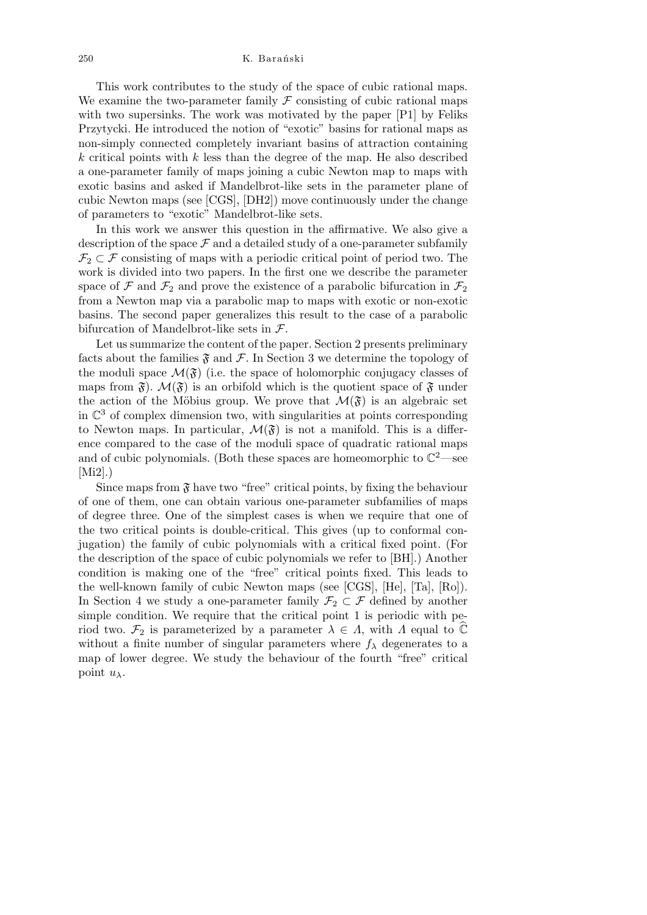This work contributes to the study of the space of cubic rational maps. We examine the two-parameter family  $\mathcal F$  consisting of cubic rational maps with two supersinks. The work was motivated by the paper [P1] by Feliks Przytycki. He introduced the notion of "exotic" basins for rational maps as non-simply connected completely invariant basins of attraction containing *k* critical points with *k* less than the degree of the map. He also described a one-parameter family of maps joining a cubic Newton map to maps with exotic basins and asked if Mandelbrot-like sets in the parameter plane of cubic Newton maps (see [CGS], [DH2]) move continuously under the change of parameters to "exotic" Mandelbrot-like sets.

In this work we answer this question in the affirmative. We also give a description of the space  $\mathcal F$  and a detailed study of a one-parameter subfamily  $\mathcal{F}_2 \subset \mathcal{F}$  consisting of maps with a periodic critical point of period two. The work is divided into two papers. In the first one we describe the parameter space of  $\mathcal F$  and  $\mathcal F_2$  and prove the existence of a parabolic bifurcation in  $\mathcal F_2$ from a Newton map via a parabolic map to maps with exotic or non-exotic basins. The second paper generalizes this result to the case of a parabolic bifurcation of Mandelbrot-like sets in *F*.

Let us summarize the content of the paper. Section 2 presents preliminary facts about the families  $\mathfrak F$  and  $\mathcal F$ . In Section 3 we determine the topology of the moduli space  $\mathcal{M}(\mathfrak{F})$  (i.e. the space of holomorphic conjugacy classes of maps from  $\mathfrak{F}$ ).  $\mathcal{M}(\mathfrak{F})$  is an orbifold which is the quotient space of  $\mathfrak{F}$  under the action of the Möbius group. We prove that  $\mathcal{M}(\mathfrak{F})$  is an algebraic set in  $\mathbb{C}^3$  of complex dimension two, with singularities at points corresponding to Newton maps. In particular,  $\mathcal{M}(\mathfrak{F})$  is not a manifold. This is a difference compared to the case of the moduli space of quadratic rational maps and of cubic polynomials. (Both these spaces are homeomorphic to  $\mathbb{C}^2$ —see  $[Mi2]$ .)

Since maps from  $\mathfrak F$  have two "free" critical points, by fixing the behaviour of one of them, one can obtain various one-parameter subfamilies of maps of degree three. One of the simplest cases is when we require that one of the two critical points is double-critical. This gives (up to conformal conjugation) the family of cubic polynomials with a critical fixed point. (For the description of the space of cubic polynomials we refer to [BH].) Another condition is making one of the "free" critical points fixed. This leads to the well-known family of cubic Newton maps (see [CGS], [He], [Ta], [Ro]). In Section 4 we study a one-parameter family  $\mathcal{F}_2 \subset \mathcal{F}$  defined by another simple condition. We require that the critical point 1 is periodic with period two.  $\mathcal{F}_2$  is parameterized by a parameter  $\lambda \in \Lambda$ , with  $\Lambda$  equal to  $\mathbb{C}$ without a finite number of singular parameters where  $f_{\lambda}$  degenerates to a map of lower degree. We study the behaviour of the fourth "free" critical point *uλ*.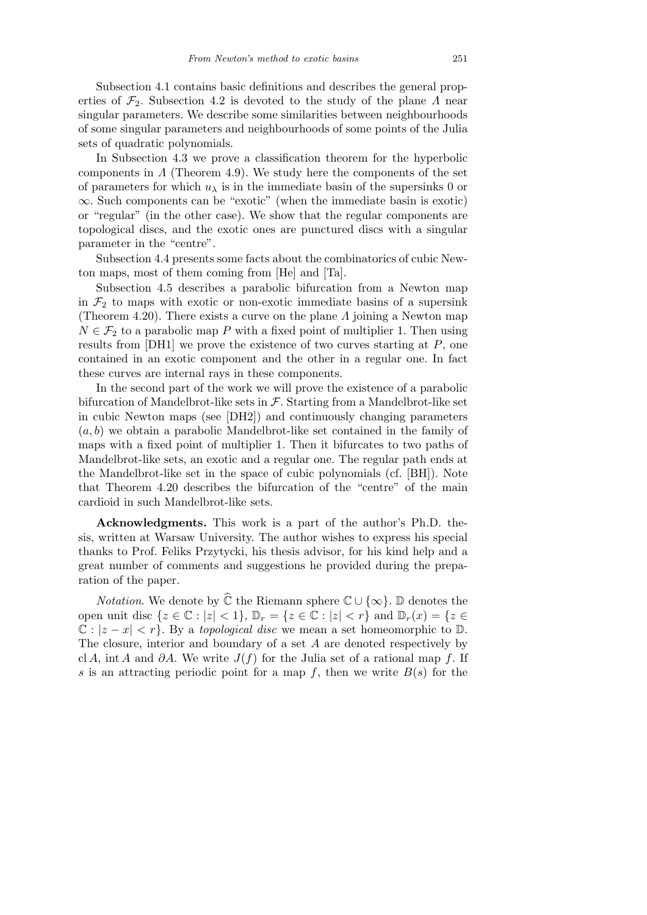Subsection 4.1 contains basic definitions and describes the general properties of  $\mathcal{F}_2$ . Subsection 4.2 is devoted to the study of the plane *Λ* near singular parameters. We describe some similarities between neighbourhoods of some singular parameters and neighbourhoods of some points of the Julia sets of quadratic polynomials.

In Subsection 4.3 we prove a classification theorem for the hyperbolic components in *Λ* (Theorem 4.9). We study here the components of the set of parameters for which  $u_{\lambda}$  is in the immediate basin of the supersinks 0 or *∞*. Such components can be "exotic" (when the immediate basin is exotic) or "regular" (in the other case). We show that the regular components are topological discs, and the exotic ones are punctured discs with a singular parameter in the "centre".

Subsection 4.4 presents some facts about the combinatorics of cubic Newton maps, most of them coming from [He] and [Ta].

Subsection 4.5 describes a parabolic bifurcation from a Newton map in  $\mathcal{F}_2$  to maps with exotic or non-exotic immediate basins of a supersink (Theorem 4.20). There exists a curve on the plane *Λ* joining a Newton map  $N \in \mathcal{F}_2$  to a parabolic map *P* with a fixed point of multiplier 1. Then using results from [DH1] we prove the existence of two curves starting at *P*, one contained in an exotic component and the other in a regular one. In fact these curves are internal rays in these components.

In the second part of the work we will prove the existence of a parabolic bifurcation of Mandelbrot-like sets in *F*. Starting from a Mandelbrot-like set in cubic Newton maps (see [DH2]) and continuously changing parameters (*a, b*) we obtain a parabolic Mandelbrot-like set contained in the family of maps with a fixed point of multiplier 1. Then it bifurcates to two paths of Mandelbrot-like sets, an exotic and a regular one. The regular path ends at the Mandelbrot-like set in the space of cubic polynomials (cf. [BH]). Note that Theorem 4.20 describes the bifurcation of the "centre" of the main cardioid in such Mandelbrot-like sets.

**Acknowledgments.** This work is a part of the author's Ph.D. thesis, written at Warsaw University. The author wishes to express his special thanks to Prof. Feliks Przytycki, his thesis advisor, for his kind help and a great number of comments and suggestions he provided during the preparation of the paper.

*Notation*. We denote by  $\widehat{\mathbb{C}}$  the Riemann sphere  $\mathbb{C} \cup \{\infty\}$ . D denotes the open unit disc  $\{z \in \mathbb{C} : |z| < 1\}$ ,  $\mathbb{D}_r = \{z \in \mathbb{C} : |z| < r\}$  and  $\mathbb{D}_r(x) = \{z \in$  $\mathbb{C}: |z - x| < r$ . By a *topological disc* we mean a set homeomorphic to D. The closure, interior and boundary of a set *A* are denoted respectively by cl *A*, int *A* and *∂A*. We write *J*(*f*) for the Julia set of a rational map *f*. If *s* is an attracting periodic point for a map  $f$ , then we write  $B(s)$  for the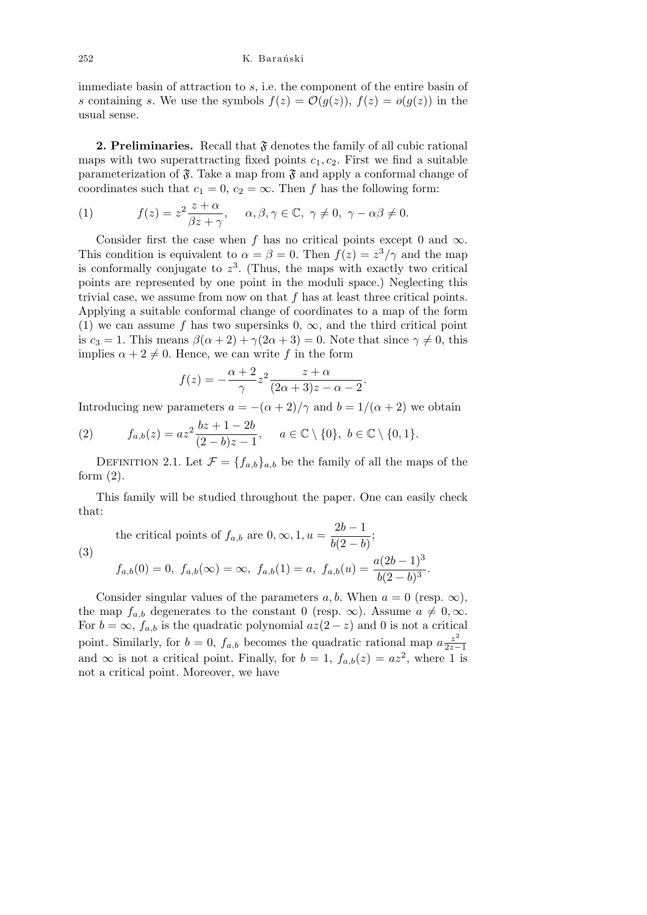immediate basin of attraction to *s*, i.e. the component of the entire basin of *s* containing *s*. We use the symbols  $f(z) = \mathcal{O}(g(z))$ ,  $f(z) = o(g(z))$  in the usual sense.

**2. Preliminaries.** Recall that  $\mathfrak{F}$  denotes the family of all cubic rational maps with two superattracting fixed points  $c_1, c_2$ . First we find a suitable parameterization of  $\mathfrak{F}$ . Take a map from  $\mathfrak{F}$  and apply a conformal change of coordinates such that  $c_1 = 0$ ,  $c_2 = \infty$ . Then *f* has the following form:

(1) 
$$
f(z) = z^2 \frac{z + \alpha}{\beta z + \gamma}, \quad \alpha, \beta, \gamma \in \mathbb{C}, \gamma \neq 0, \gamma - \alpha \beta \neq 0.
$$

Consider first the case when *f* has no critical points except 0 and  $\infty$ . This condition is equivalent to  $\alpha = \beta = 0$ . Then  $f(z) = z^3/\gamma$  and the map is conformally conjugate to  $z<sup>3</sup>$ . (Thus, the maps with exactly two critical points are represented by one point in the moduli space.) Neglecting this trivial case, we assume from now on that *f* has at least three critical points. Applying a suitable conformal change of coordinates to a map of the form (1) we can assume f has two supersinks  $0, \infty$ , and the third critical point is  $c_3 = 1$ . This means  $\beta(\alpha + 2) + \gamma(2\alpha + 3) = 0$ . Note that since  $\gamma \neq 0$ , this implies  $\alpha + 2 \neq 0$ . Hence, we can write f in the form

$$
f(z) = -\frac{\alpha + 2}{\gamma} z^2 \frac{z + \alpha}{(2\alpha + 3)z - \alpha - 2}
$$

*.*

Introducing new parameters  $a = -(\alpha + 2)/\gamma$  and  $b = 1/(\alpha + 2)$  we obtain

(2) 
$$
f_{a,b}(z) = az^2 \frac{bz + 1 - 2b}{(2 - b)z - 1}, \quad a \in \mathbb{C} \setminus \{0\}, b \in \mathbb{C} \setminus \{0, 1\}.
$$

DEFINITION 2.1. Let  $\mathcal{F} = \{f_{a,b}\}_{a,b}$  be the family of all the maps of the form  $(2)$ .

This family will be studied throughout the paper. One can easily check that:

the critical points of 
$$
f_{a,b}
$$
 are  $0, \infty, 1, u = \frac{2b - 1}{b(2 - b)}$ ;  
\n(3) 
$$
f_{a,b}(0) = 0, f_{a,b}(\infty) = \infty, f_{a,b}(1) = a, f_{a,b}(u) = \frac{a(2b - 1)^3}{b(2 - b)^3}.
$$

Consider singular values of the parameters  $a, b$ . When  $a = 0$  (resp.  $\infty$ ), the map  $f_{a,b}$  degenerates to the constant 0 (resp.  $\infty$ ). Assume  $a \neq 0, \infty$ . For  $b = \infty$ ,  $f_{a,b}$  is the quadratic polynomial  $az(2-z)$  and 0 is not a critical point. Similarly, for  $b = 0$ ,  $f_{a,b}$  becomes the quadratic rational map  $a \frac{z^2}{2z-1}$ 2*z−*1 and  $\infty$  is not a critical point. Finally, for  $b = 1$ ,  $f_{a,b}(z) = az^2$ , where 1 is not a critical point. Moreover, we have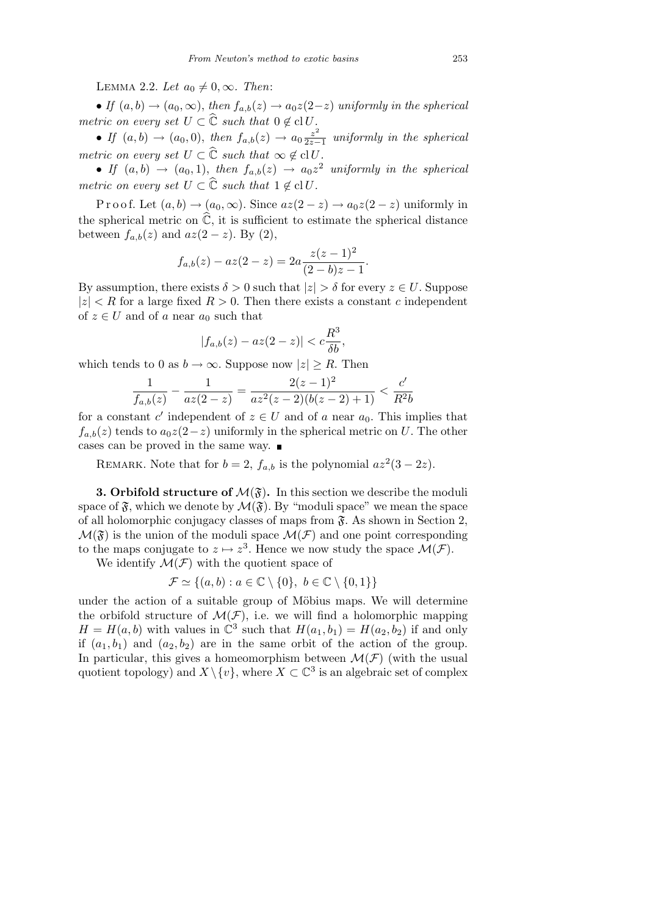### LEMMA 2.2. Let  $a_0 \neq 0, \infty$ . Then:

• *If*  $(a, b) \rightarrow (a_0, \infty)$ , *then*  $f_{a,b}(z) \rightarrow a_0z(2-z)$  *uniformly in the spherical metric on every set*  $U \subset \widehat{C}$  *such that*  $0 \notin \text{cl } U$ *.* 

• If  $(a, b) \to (a_0, 0)$ , then  $f_{a,b}(z) \to a_0 \frac{z^2}{2z-1}$ 2*z−*1 *uniformly in the spherical metric on every set*  $U \subset \widehat{\mathbb{C}}$  *such that*  $\infty \notin \mathrm{cl} U$ *.* 

• If  $(a, b) \rightarrow (a_0, 1)$ , then  $f_{a,b}(z) \rightarrow a_0 z^2$  uniformly in the spherical *metric on every set*  $U \subset \widehat{\mathbb{C}}$  *such that*  $1 \notin \mathrm{cl} U$ *.* 

Proof. Let  $(a, b) \rightarrow (a_0, \infty)$ . Since  $az(2-z) \rightarrow a_0z(2-z)$  uniformly in the spherical metric on  $\widehat{\mathbb{C}}$ , it is sufficient to estimate the spherical distance between  $f_{a,b}(z)$  and  $az(2-z)$ . By (2),

$$
f_{a,b}(z) - az(2-z) = 2a \frac{z(z-1)^2}{(2-b)z-1}.
$$

By assumption, there exists  $\delta > 0$  such that  $|z| > \delta$  for every  $z \in U$ . Suppose  $|z|$   $\lt R$  for a large fixed  $R > 0$ . Then there exists a constant *c* independent of  $z \in U$  and of *a* near  $a_0$  such that

$$
|f_{a,b}(z) - az(2-z)| < c\frac{R^3}{\delta b},
$$

which tends to 0 as  $b \to \infty$ . Suppose now  $|z| \geq R$ . Then

$$
\frac{1}{f_{a,b}(z)} - \frac{1}{az(2-z)} = \frac{2(z-1)^2}{az^2(z-2)(b(z-2)+1)} < \frac{c'}{R^2b}
$$

for a constant *c'* independent of  $z \in U$  and of *a* near  $a_0$ . This implies that  $f_{a,b}(z)$  tends to  $a_0z(2-z)$  uniformly in the spherical metric on *U*. The other cases can be proved in the same way.

REMARK. Note that for  $b = 2$ ,  $f_{a,b}$  is the polynomial  $az^2(3-2z)$ .

**3. Orbifold structure of**  $\mathcal{M}(\mathfrak{F})$ **.** In this section we describe the moduli space of  $\mathfrak{F}$ , which we denote by  $\mathcal{M}(\mathfrak{F})$ . By "moduli space" we mean the space of all holomorphic conjugacy classes of maps from  $\mathfrak{F}$ . As shown in Section 2,  $\mathcal{M}(\mathfrak{F})$  is the union of the moduli space  $\mathcal{M}(\mathcal{F})$  and one point corresponding to the maps conjugate to  $z \mapsto z^3$ . Hence we now study the space  $\mathcal{M}(\mathcal{F})$ .

We identify  $\mathcal{M}(\mathcal{F})$  with the quotient space of

$$
\mathcal{F} \simeq \{(a, b) : a \in \mathbb{C} \setminus \{0\}, b \in \mathbb{C} \setminus \{0, 1\}\}\
$$

under the action of a suitable group of Möbius maps. We will determine the orbifold structure of  $\mathcal{M}(\mathcal{F})$ , i.e. we will find a holomorphic mapping  $H = H(a, b)$  with values in  $\mathbb{C}^3$  such that  $H(a_1, b_1) = H(a_2, b_2)$  if and only if  $(a_1, b_1)$  and  $(a_2, b_2)$  are in the same orbit of the action of the group. In particular, this gives a homeomorphism between  $\mathcal{M}(\mathcal{F})$  (with the usual quotient topology) and  $X \setminus \{v\}$ , where  $X \subset \mathbb{C}^3$  is an algebraic set of complex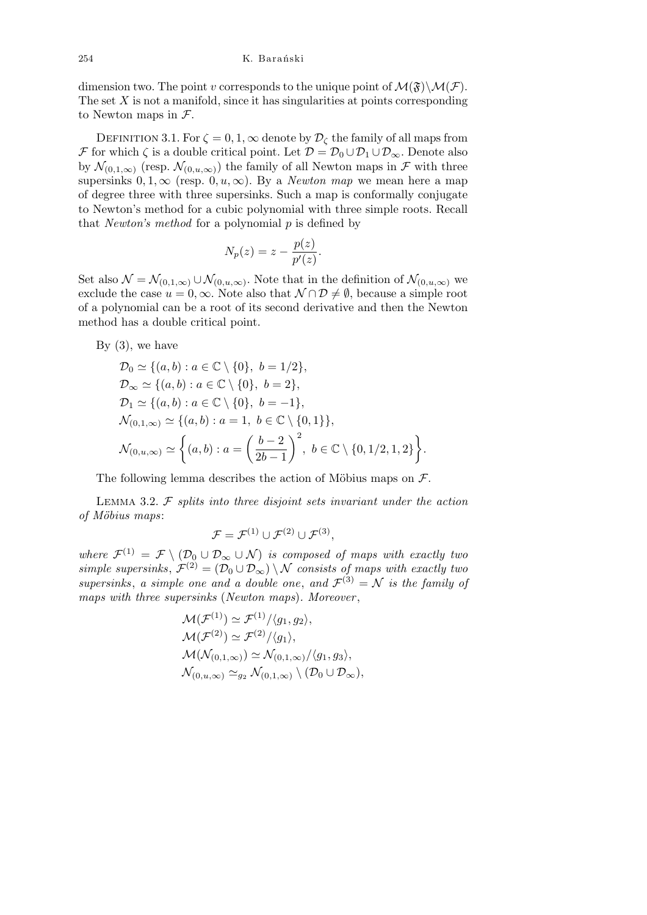dimension two. The point *v* corresponds to the unique point of  $\mathcal{M}(\mathfrak{F})\backslash\mathcal{M}(\mathcal{F})$ . The set *X* is not a manifold, since it has singularities at points corresponding to Newton maps in *F*.

DEFINITION 3.1. For  $\zeta = 0, 1, \infty$  denote by  $\mathcal{D}_{\zeta}$  the family of all maps from *F* for which  $\zeta$  is a double critical point. Let  $\mathcal{D} = \mathcal{D}_0 \cup \mathcal{D}_1 \cup \mathcal{D}_{\infty}$ . Denote also by  $\mathcal{N}_{(0,1,\infty)}$  (resp.  $\mathcal{N}_{(0,u,\infty)}$ ) the family of all Newton maps in  $\mathcal{F}$  with three supersinks  $0, 1, \infty$  (resp.  $0, u, \infty$ ). By a *Newton map* we mean here a map of degree three with three supersinks. Such a map is conformally conjugate to Newton's method for a cubic polynomial with three simple roots. Recall that *Newton's method* for a polynomial *p* is defined by

$$
N_p(z) = z - \frac{p(z)}{p'(z)}.
$$

Set also  $\mathcal{N} = \mathcal{N}_{(0,1,\infty)} \cup \mathcal{N}_{(0,u,\infty)}$ . Note that in the definition of  $\mathcal{N}_{(0,u,\infty)}$  we exclude the case  $u = 0, \infty$ . Note also that  $\mathcal{N} \cap \mathcal{D} \neq \emptyset$ , because a simple root of a polynomial can be a root of its second derivative and then the Newton method has a double critical point.

By  $(3)$ , we have

$$
\mathcal{D}_0 \simeq \{(a, b) : a \in \mathbb{C} \setminus \{0\}, b = 1/2\}, \n\mathcal{D}_{\infty} \simeq \{(a, b) : a \in \mathbb{C} \setminus \{0\}, b = 2\}, \n\mathcal{D}_1 \simeq \{(a, b) : a \in \mathbb{C} \setminus \{0\}, b = -1\}, \n\mathcal{N}_{(0,1,\infty)} \simeq \{(a, b) : a = 1, b \in \mathbb{C} \setminus \{0,1\}\}, \n\mathcal{N}_{(0,u,\infty)} \simeq \{(a, b) : a = \left(\frac{b-2}{2b-1}\right)^2, b \in \mathbb{C} \setminus \{0,1/2,1,2\}\}.
$$

The following lemma describes the action of Möbius maps on  $\mathcal{F}$ .

Lemma 3.2. *F splits into three disjoint sets invariant under the action of M¨obius maps*:

$$
\mathcal{F}=\mathcal{F}^{(1)}\cup\mathcal{F}^{(2)}\cup\mathcal{F}^{(3)},
$$

*where*  $\mathcal{F}^{(1)} = \mathcal{F} \setminus (\mathcal{D}_0 \cup \mathcal{D}_{\infty} \cup \mathcal{N})$  *is composed of maps with exactly two*  $simple \ supersinks, \mathcal{F}^{(2)} = (\mathcal{D}_0 \cup \mathcal{D}_{\infty}) \setminus \mathcal{N} \text{ consists of maps with exactly two}$ *supersinks*, *a simple one and a double one, and*  $\mathcal{F}^{(3)} = \mathcal{N}$  *is the family of maps with three supersinks* (*Newton maps*)*. Moreover* ,

$$
\mathcal{M}(\mathcal{F}^{(1)}) \simeq \mathcal{F}^{(1)}/\langle g_1, g_2 \rangle,
$$
  
\n
$$
\mathcal{M}(\mathcal{F}^{(2)}) \simeq \mathcal{F}^{(2)}/\langle g_1 \rangle,
$$
  
\n
$$
\mathcal{M}(\mathcal{N}_{(0,1,\infty)}) \simeq \mathcal{N}_{(0,1,\infty)}/\langle g_1, g_3 \rangle,
$$
  
\n
$$
\mathcal{N}_{(0,u,\infty)} \simeq_{g_2} \mathcal{N}_{(0,1,\infty)} \setminus (\mathcal{D}_0 \cup \mathcal{D}_\infty),
$$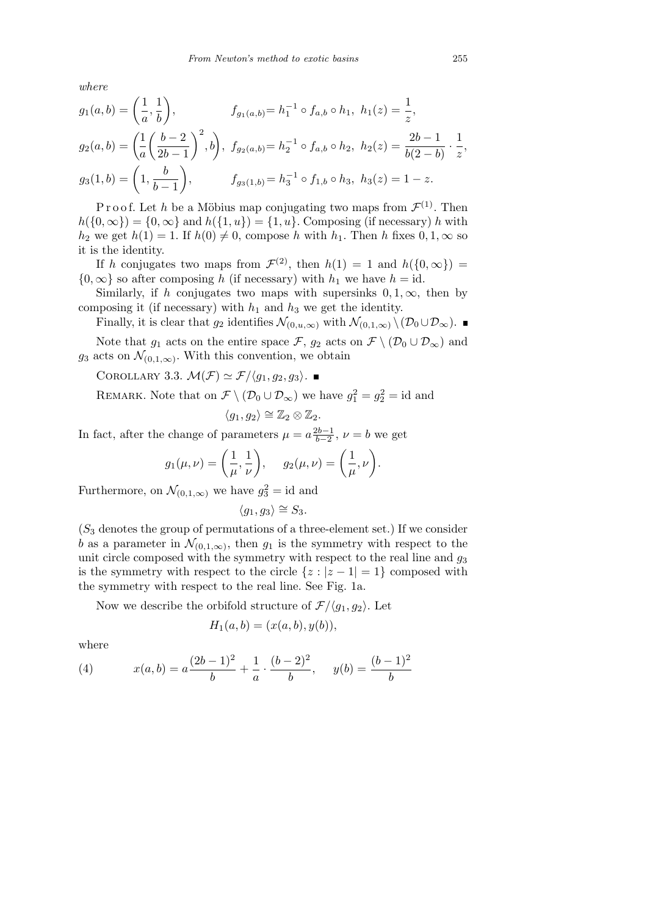*where*

$$
g_1(a,b) = \left(\frac{1}{a}, \frac{1}{b}\right), \qquad f_{g_1(a,b)} = h_1^{-1} \circ f_{a,b} \circ h_1, \ h_1(z) = \frac{1}{z},
$$
  
\n
$$
g_2(a,b) = \left(\frac{1}{a}\left(\frac{b-2}{2b-1}\right)^2, b\right), \ f_{g_2(a,b)} = h_2^{-1} \circ f_{a,b} \circ h_2, \ h_2(z) = \frac{2b-1}{b(2-b)} \cdot \frac{1}{z}
$$
  
\n
$$
g_3(1,b) = \left(1, \frac{b}{b-1}\right), \qquad f_{g_3(1,b)} = h_3^{-1} \circ f_{1,b} \circ h_3, \ h_3(z) = 1-z.
$$

P r o o f. Let *h* be a Möbius map conjugating two maps from  $\mathcal{F}^{(1)}$ . Then  $h({0, \infty}) = {0, \infty}$  and  $h({1, u}) = {1, u}$ . Composing (if necessary) *h* with  $h_2$  we get  $h(1) = 1$ . If  $h(0) \neq 0$ , compose *h* with  $h_1$ . Then *h* fixes  $0, 1, \infty$  so it is the identity.

If *h* conjugates two maps from  $\mathcal{F}^{(2)}$ , then  $h(1) = 1$  and  $h(\{0, \infty\}) =$  $\{0, \infty\}$  so after composing *h* (if necessary) with *h*<sub>1</sub> we have *h* = id.

Similarly, if *h* conjugates two maps with supersinks  $0, 1, \infty$ , then by composing it (if necessary) with  $h_1$  and  $h_3$  we get the identity.

Finally, it is clear that  $g_2$  identifies  $\mathcal{N}_{(0,u,\infty)}$  with  $\mathcal{N}_{(0,1,\infty)} \setminus (\mathcal{D}_0 \cup \mathcal{D}_\infty)$ .

Note that  $g_1$  acts on the entire space  $\mathcal{F}$ ,  $g_2$  acts on  $\mathcal{F} \setminus (\mathcal{D}_0 \cup \mathcal{D}_\infty)$  and  $g_3$  acts on  $\mathcal{N}_{(0,1,\infty)}$ . With this convention, we obtain

COROLLARY 3.3.  $\mathcal{M}(\mathcal{F}) \simeq \mathcal{F}/\langle g_1, g_2, g_3 \rangle$ .

REMARK. Note that on  $\mathcal{F} \setminus (\mathcal{D}_0 \cup \mathcal{D}_\infty)$  we have  $g_1^2 = g_2^2 = \text{id}$  and

$$
\langle g_1, g_2 \rangle \cong \mathbb{Z}_2 \otimes \mathbb{Z}_2.
$$

In fact, after the change of parameters  $\mu = a \frac{2b-1}{b-2}$  $\frac{2b-1}{b-2}$ ,  $\nu = b$  we get

$$
g_1(\mu, \nu) = \left(\frac{1}{\mu}, \frac{1}{\nu}\right), \quad g_2(\mu, \nu) = \left(\frac{1}{\mu}, \nu\right).
$$

Furthermore, on  $\mathcal{N}_{(0,1,\infty)}$  we have  $g_3^2 = \text{id}$  and

$$
\langle g_1, g_3 \rangle \cong S_3.
$$

(*S*<sup>3</sup> denotes the group of permutations of a three-element set.) If we consider *b* as a parameter in  $\mathcal{N}_{(0,1,\infty)}$ , then  $g_1$  is the symmetry with respect to the unit circle composed with the symmetry with respect to the real line and  $g_3$ is the symmetry with respect to the circle  $\{z : |z - 1| = 1\}$  composed with the symmetry with respect to the real line. See Fig. 1a.

Now we describe the orbifold structure of  $\mathcal{F}/\langle g_1, g_2 \rangle$ . Let

$$
H_1(a, b) = (x(a, b), y(b)),
$$

where

(4) 
$$
x(a,b) = a\frac{(2b-1)^2}{b} + \frac{1}{a} \cdot \frac{(b-2)^2}{b}, \quad y(b) = \frac{(b-1)^2}{b}
$$

*,*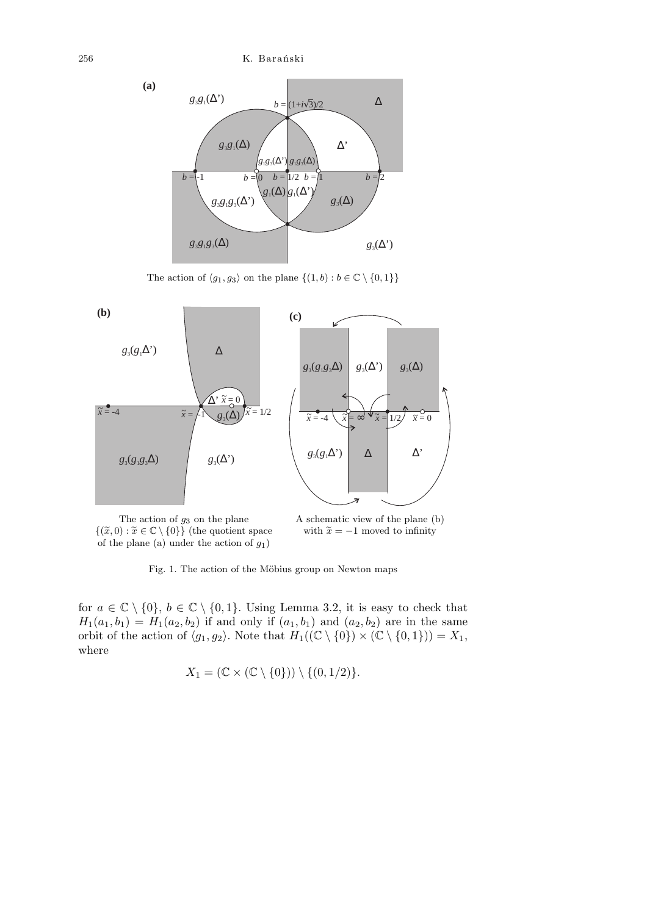

The action of  $\langle g_1, g_3 \rangle$  on the plane  $\{(1, b) : b \in \mathbb{C} \setminus \{0, 1\}\}\$ 



*{*( $\tilde{x}$ , 0) :  $\tilde{x}$  ∈  $\mathbb{C} \setminus$  {0}} (the quotient space of the plane (a) under the action of *g*1)

with  $\tilde{x} = -1$  moved to infinity

Fig. 1. The action of the Möbius group on Newton maps

for  $a \in \mathbb{C} \setminus \{0\}$ ,  $b \in \mathbb{C} \setminus \{0,1\}$ . Using Lemma 3.2, it is easy to check that  $H_1(a_1, b_1) = H_1(a_2, b_2)$  if and only if  $(a_1, b_1)$  and  $(a_2, b_2)$  are in the same orbit of the action of  $\langle g_1, g_2 \rangle$ . Note that  $H_1((\mathbb{C} \setminus \{0\}) \times (\mathbb{C} \setminus \{0,1\})) = X_1$ , where

$$
X_1 = (\mathbb{C} \times (\mathbb{C} \setminus \{0\})) \setminus \{(0,1/2)\}.
$$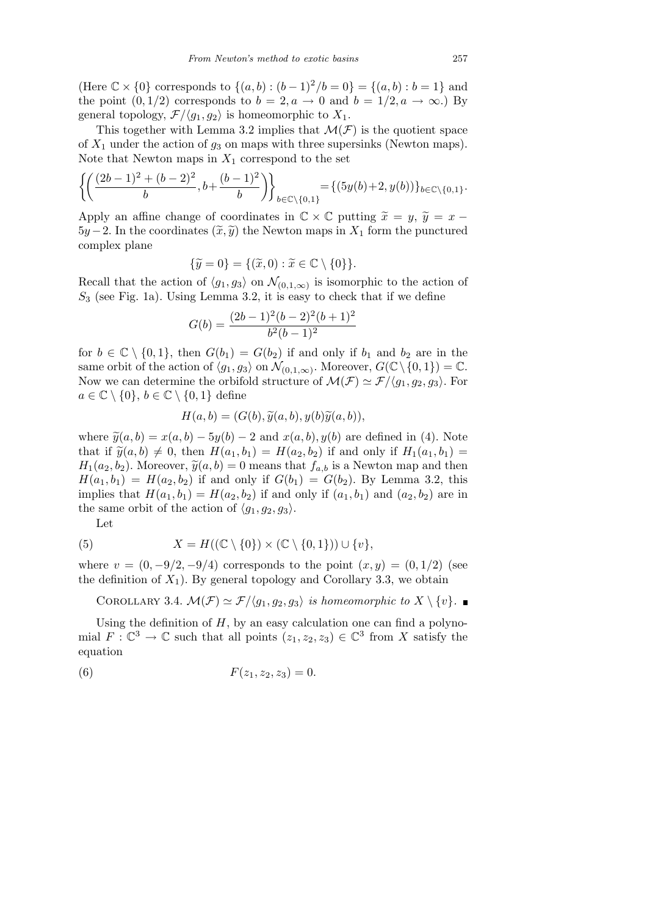(Here  $\mathbb{C} \times \{0\}$  corresponds to  $\{(a, b) : (b - 1)^2/b = 0\} = \{(a, b) : b = 1\}$  and the point  $(0, 1/2)$  corresponds to  $b = 2, a \rightarrow 0$  and  $b = 1/2, a \rightarrow \infty$ .) By general topology,  $\mathcal{F}/\langle g_1, g_2 \rangle$  is homeomorphic to  $X_1$ .

This together with Lemma 3.2 implies that  $\mathcal{M}(\mathcal{F})$  is the quotient space of  $X_1$  under the action of  $g_3$  on maps with three supersinks (Newton maps). Note that Newton maps in  $X_1$  correspond to the set

$$
\left\{ \left( \frac{(2b-1)^2 + (b-2)^2}{b}, b + \frac{(b-1)^2}{b} \right) \right\}_{b \in \mathbb{C} \setminus \{0,1\}} = \left\{ (5y(b) + 2, y(b)) \right\}_{b \in \mathbb{C} \setminus \{0,1\}}.
$$

Apply an affine change of coordinates in  $\mathbb{C} \times \mathbb{C}$  putting  $\tilde{x} = y$ ,  $\tilde{y} = x 5y - 2$ . In the coordinates  $(\tilde{x}, \tilde{y})$  the Newton maps in  $X_1$  form the punctured complex plane

$$
\{\widetilde{y} = 0\} = \{(\widetilde{x}, 0) : \widetilde{x} \in \mathbb{C} \setminus \{0\}\}.
$$

Recall that the action of  $\langle g_1, g_3 \rangle$  on  $\mathcal{N}_{(0,1,\infty)}$  is isomorphic to the action of *S*<sup>3</sup> (see Fig. 1a). Using Lemma 3.2, it is easy to check that if we define

$$
G(b) = \frac{(2b-1)^2(b-2)^2(b+1)^2}{b^2(b-1)^2}
$$

for  $b \in \mathbb{C} \setminus \{0,1\}$ , then  $G(b_1) = G(b_2)$  if and only if  $b_1$  and  $b_2$  are in the same orbit of the action of  $\langle g_1, g_3 \rangle$  on  $\mathcal{N}_{(0,1,\infty)}$ . Moreover,  $G(\mathbb{C} \setminus \{0,1\}) = \mathbb{C}$ . Now we can determine the orbifold structure of  $\mathcal{M}(\mathcal{F}) \simeq \mathcal{F}/\langle g_1, g_2, g_3 \rangle$ . For  $a \in \mathbb{C} \setminus \{0\}, b \in \mathbb{C} \setminus \{0,1\}$  define

$$
H(a,b)=(G(b),\widetilde{y}(a,b),y(b)\widetilde{y}(a,b)),
$$

where  $\tilde{y}(a, b) = x(a, b) - 5y(b) - 2$  and  $x(a, b)$ *, y*(*b*) are defined in (4). Note that if  $\tilde{y}(a, b) \neq 0$ , then  $H(a_1, b_1) = H(a_2, b_2)$  if and only if  $H_1(a_1, b_1) =$  $H_1(a_2, b_2)$ . Moreover,  $\widetilde{y}(a, b) = 0$  means that  $f_{a,b}$  is a Newton map and then  $H(a_1, b_1) = H(a_2, b_2)$  if and only if  $G(b_1) = G(b_2)$ . By Lemma 3.2, this implies that  $H(a_1, b_1) = H(a_2, b_2)$  if and only if  $(a_1, b_1)$  and  $(a_2, b_2)$  are in the same orbit of the action of  $\langle g_1, g_2, g_3 \rangle$ .

Let

(5) 
$$
X = H((\mathbb{C} \setminus \{0\}) \times (\mathbb{C} \setminus \{0,1\})) \cup \{v\},
$$

where  $v = (0, -9/2, -9/4)$  corresponds to the point  $(x, y) = (0, 1/2)$  (see the definition of  $X_1$ ). By general topology and Corollary 3.3, we obtain

COROLLARY 3.4.  $\mathcal{M}(\mathcal{F}) \simeq \mathcal{F}/\langle g_1, g_2, g_3 \rangle$  *is homeomorphic to*  $X \setminus \{v\}$ *.* 

Using the definition of  $H$ , by an easy calculation one can find a polynomial  $F: \mathbb{C}^3 \to \mathbb{C}$  such that all points  $(z_1, z_2, z_3) \in \mathbb{C}^3$  from *X* satisfy the equation

(6) 
$$
F(z_1, z_2, z_3) = 0.
$$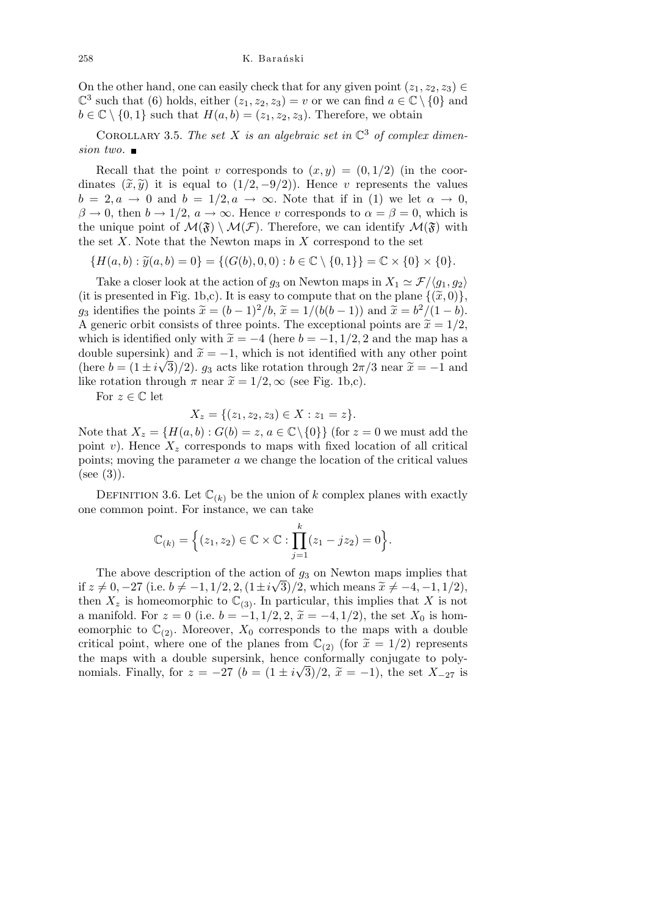On the other hand, one can easily check that for any given point  $(z_1, z_2, z_3) \in$  $\mathbb{C}^3$  such that (6) holds, either  $(z_1, z_2, z_3) = v$  or we can find  $a \in \mathbb{C} \setminus \{0\}$  and  $b \in \mathbb{C} \setminus \{0, 1\}$  such that  $H(a, b) = (z_1, z_2, z_3)$ . Therefore, we obtain

COROLLARY 3.5. The set X is an algebraic set in  $\mathbb{C}^3$  of complex dimen*sion two.*

Recall that the point *v* corresponds to  $(x, y) = (0, 1/2)$  (in the coordinates  $(\tilde{x}, \tilde{y})$  it is equal to  $(1/2, -9/2)$ . Hence *v* represents the values  $b = 2, a \rightarrow 0$  and  $b = 1/2, a \rightarrow \infty$ . Note that if in (1) we let  $\alpha \rightarrow 0$ ,  $\beta \rightarrow 0$ , then  $b \rightarrow 1/2$ ,  $a \rightarrow \infty$ . Hence *v* corresponds to  $\alpha = \beta = 0$ , which is the unique point of  $\mathcal{M}(\mathfrak{F}) \setminus \mathcal{M}(\mathcal{F})$ . Therefore, we can identify  $\mathcal{M}(\mathfrak{F})$  with the set *X*. Note that the Newton maps in *X* correspond to the set

 ${H(a, b) : \tilde{y}(a, b) = 0} = {(G(b), 0, 0) : b \in \mathbb{C} \setminus {0, 1}} = \mathbb{C} \times {0} \times {0}.$ 

Take a closer look at the action of  $g_3$  on Newton maps in  $X_1 \simeq \mathcal{F}/\langle g_1, g_2 \rangle$ (it is presented in Fig. 1b,c). It is easy to compute that on the plane  $\{(\tilde{x},0)\},\$ *g*<sub>3</sub> identifies the points  $\tilde{x} = (b-1)^2/b$ ,  $\tilde{x} = 1/(b(b-1))$  and  $\tilde{x} = b^2/(1-b)$ . A generic orbit consists of three points. The exceptional points are  $\tilde{x} = 1/2$ , which is identified only with  $\tilde{x} = -4$  (here  $b = -1, 1/2, 2$  and the map has a double supersink) and  $\tilde{x} = -1$ , which is not identified with any other point (here  $b = (1 \pm i\sqrt{3})/2$ ).  $g_3$  acts like rotation through  $2\pi/3$  near  $\tilde{x} = -1$  and like rotation through  $\pi$  near  $\tilde{x} = 1/2, \infty$  (see Fig. 1b,c).

For  $z \in \mathbb{C}$  let

$$
X_z = \{(z_1, z_2, z_3) \in X : z_1 = z\}.
$$

Note that  $X_z = \{H(a, b) : G(b) = z, a \in \mathbb{C} \setminus \{0\}\}\$  (for  $z = 0$  we must add the point *v*). Hence  $X_z$  corresponds to maps with fixed location of all critical points; moving the parameter *a* we change the location of the critical values  $(see (3)).$ 

DEFINITION 3.6. Let  $\mathbb{C}_{k}$  be the union of *k* complex planes with exactly one common point. For instance, we can take

$$
\mathbb{C}_{(k)} = \Big\{ (z_1, z_2) \in \mathbb{C} \times \mathbb{C} : \prod_{j=1}^k (z_1 - jz_2) = 0 \Big\}.
$$

The above description of the action of *g*<sup>3</sup> on Newton maps implies that *√* if  $z \neq 0, -27$  (i.e.  $b \neq -1, 1/2, 2, (1 \pm i\sqrt{3})/2$ , which means  $\tilde{x} \neq -4, -1, 1/2$ ), then  $X_z$  is homeomorphic to  $\mathbb{C}_{(3)}$ . In particular, this implies that *X* is not a manifold. For  $z = 0$  (i.e.  $b = -1, 1/2, 2, \tilde{x} = -4, 1/2$ ), the set  $X_0$  is homeomorphic to  $\mathbb{C}_{(2)}$ . Moreover,  $X_0$  corresponds to the maps with a double critical point, where one of the planes from  $\mathbb{C}_{(2)}$  (for  $\widetilde{x} = 1/2$ ) represents the maps with a double supersink, hence conformally conjugate to poly-*√* nomials. Finally, for  $z = -27$   $(b = (1 \pm i\sqrt{3})/2, \tilde{x} = -1)$ , the set  $X_{-27}$  is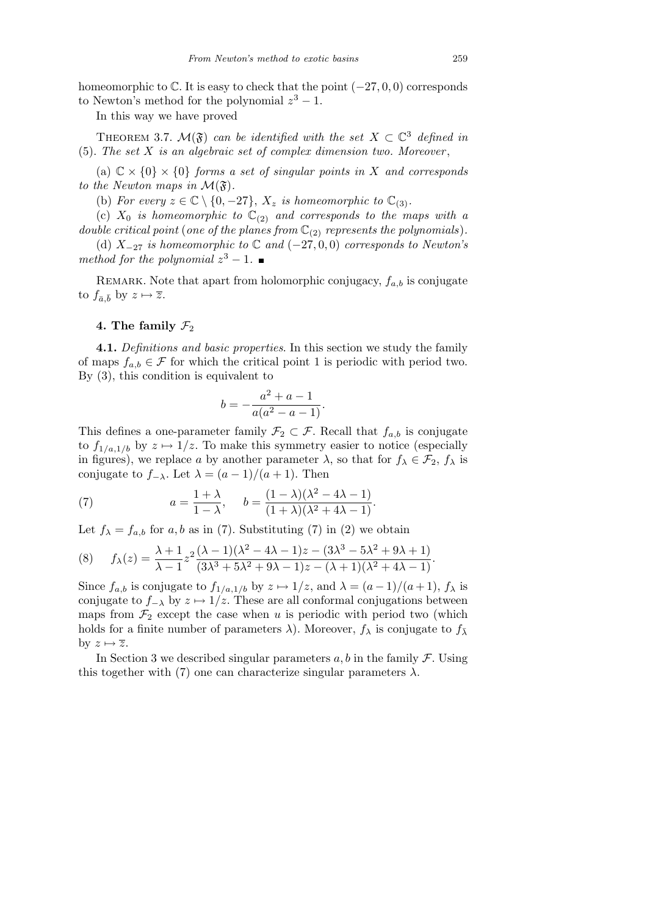homeomorphic to C. It is easy to check that the point (*−*27*,* 0*,* 0) corresponds to Newton's method for the polynomial  $z^3 - 1$ .

In this way we have proved

THEOREM 3.7.  $\mathcal{M}(\mathfrak{F})$  *can be identified with the set*  $X \subset \mathbb{C}^3$  *defined in* (5). *The set X is an algebraic set of complex dimension two. Moreover* ,

(a)  $\mathbb{C} \times \{0\} \times \{0\}$  *forms a set of singular points in X and corresponds to the Newton maps in*  $\mathcal{M}(\mathfrak{F})$ *.* 

(b) For every  $z \in \mathbb{C} \setminus \{0, -27\}$ ,  $X_z$  is homeomorphic to  $\mathbb{C}_{(3)}$ .

(c)  $X_0$  *is homeomorphic to*  $\mathbb{C}_{(2)}$  *and corresponds to the maps with a double critical point* (*one of the planes from*  $\mathbb{C}_{(2)}$  *represents the polynomials*).

(d) *X−*<sup>27</sup> *is homeomorphic to* C *and* (*−*27*,* 0*,* 0) *corresponds to Newton's method for the polynomial*  $z^3 - 1$ *.* 

REMARK. Note that apart from holomorphic conjugacy,  $f_{a,b}$  is conjugate to  $f_{\bar{a},\bar{b}}$  by  $z \mapsto \overline{z}$ .

## 4. The family  $\mathcal{F}_2$

**4.1.** *Definitions and basic properties*. In this section we study the family of maps  $f_{a,b} \in \mathcal{F}$  for which the critical point 1 is periodic with period two. By (3), this condition is equivalent to

$$
b = -\frac{a^2 + a - 1}{a(a^2 - a - 1)}.
$$

This defines a one-parameter family  $\mathcal{F}_2 \subset \mathcal{F}$ . Recall that  $f_{a,b}$  is conjugate to  $f_{1/a,1/b}$  by  $z \mapsto 1/z$ . To make this symmetry easier to notice (especially in figures), we replace *a* by another parameter  $\lambda$ , so that for  $f_{\lambda} \in \mathcal{F}_2$ ,  $f_{\lambda}$  is conjugate to  $f$ <sup>*-*</sup> $\lambda$ </sup>. Let  $\lambda = (a-1)/(a+1)$ . Then

(7) 
$$
a = \frac{1+\lambda}{1-\lambda}, \quad b = \frac{(1-\lambda)(\lambda^2 - 4\lambda - 1)}{(1+\lambda)(\lambda^2 + 4\lambda - 1)}.
$$

Let  $f_{\lambda} = f_{a,b}$  for  $a, b$  as in (7). Substituting (7) in (2) we obtain

$$
(8) \qquad f_{\lambda}(z) = \frac{\lambda + 1}{\lambda - 1} z^{2} \frac{(\lambda - 1)(\lambda^{2} - 4\lambda - 1)z - (3\lambda^{3} - 5\lambda^{2} + 9\lambda + 1)}{(3\lambda^{3} + 5\lambda^{2} + 9\lambda - 1)z - (\lambda + 1)(\lambda^{2} + 4\lambda - 1)}.
$$

Since  $f_{a,b}$  is conjugate to  $f_{1/a,1/b}$  by  $z \mapsto 1/z$ , and  $\lambda = (a-1)/(a+1)$ ,  $f_{\lambda}$  is conjugate to  $f$ <sup>*-*</sup> $\lambda$  by  $z \mapsto 1/z$ . These are all conformal conjugations between maps from  $\mathcal{F}_2$  except the case when *u* is periodic with period two (which holds for a finite number of parameters  $\lambda$ ). Moreover,  $f_{\lambda}$  is conjugate to  $f_{\overline{\lambda}}$ by  $z \mapsto \overline{z}$ .

In Section 3 we described singular parameters  $a, b$  in the family  $\mathcal{F}$ . Using this together with (7) one can characterize singular parameters  $\lambda$ .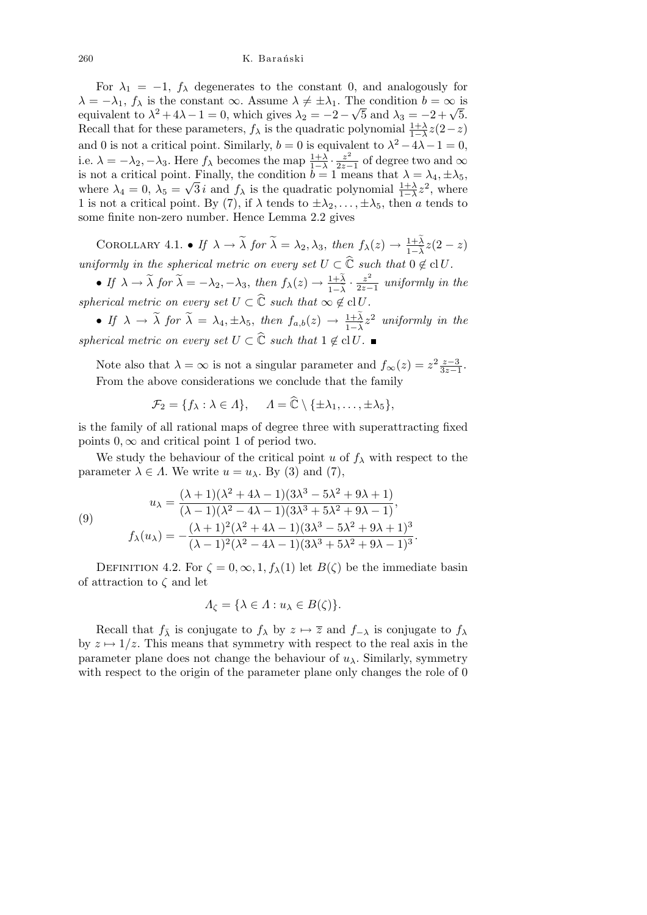For  $\lambda_1 = -1$ ,  $f_\lambda$  degenerates to the constant 0, and analogously for  $\lambda = -\lambda_1$ ,  $f_\lambda$  is the constant  $\infty$ . Assume  $\lambda \neq \pm \lambda_1$ . The condition  $b = \infty$  is  $\lambda = -\lambda_1$ ,  $f_\lambda$  is the constant  $\infty$ . Assume  $\lambda \neq \pm \lambda_1$ . The condition  $b = \infty$  is equivalent to  $\lambda^2 + 4\lambda - 1 = 0$ , which gives  $\lambda_2 = -2 - \sqrt{5}$  and  $\lambda_3 = -2 + \sqrt{5}$ . Recall that for these parameters,  $f_{\lambda}$  is the quadratic polynomial  $\frac{1+\lambda}{1-\lambda}z(2-z)$ and 0 is not a critical point. Similarly,  $b = 0$  is equivalent to  $\lambda^2 - 4\lambda - 1 = 0$ , i.e.  $\lambda = -\lambda_2, -\lambda_3$ . Here  $f_\lambda$  becomes the map  $\frac{1+\lambda}{1-\lambda} \cdot \frac{z^2}{2z-1}$ 2*z−*1 of degree two and *∞* is not a critical point. Finally, the condition  $b = 1$  means that  $\lambda = \lambda_4, \pm \lambda_5$ , where  $\lambda_4 = 0$ ,  $\lambda_5 = \sqrt{3} i$  and  $f_\lambda$  is the quadratic polynomial  $\frac{1+\lambda}{1-\lambda}z^2$ , where 1 is not a critical point. By (7), if  $\lambda$  tends to  $\pm \lambda_2, \ldots, \pm \lambda_5$ , then *a* tends to some finite non-zero number. Hence Lemma 2.2 gives

COROLLARY 4.1. • If  $\lambda \to \tilde{\lambda}$  for  $\tilde{\lambda} = \lambda_2, \lambda_3$ , then  $f_{\lambda}(z) \to \frac{1+\tilde{\lambda}}{1-\tilde{\lambda}}z(2-z)$ *uniformly in the spherical metric on every set*  $U \subset \widehat{C}$  *such that*  $0 \notin \mathrm{cl} U$ *.* 

• If  $\lambda \to \tilde{\lambda}$  for  $\tilde{\lambda} = -\lambda_2, -\lambda_3$ , then  $f_{\lambda}(z) \to \frac{1+\tilde{\lambda}}{1-\tilde{\lambda}} \cdot \frac{z^2}{2z-1}$ 2*z−*1 *uniformly in the spherical metric on every set*  $U \subset \widehat{C}$  *such that*  $\infty \notin \text{cl } U$ *.* 

**•** If  $\lambda \to \tilde{\lambda}$  for  $\tilde{\lambda} = \lambda_4, \pm \lambda_5$ , then  $f_{a,b}(z) \to \frac{1+\tilde{\lambda}}{1-\tilde{\lambda}}z^2$  *uniformly in the spherical metric on every set*  $U \subset \widehat{\mathbb{C}}$  *such that*  $1 \notin \mathrm{cl} U$ .

Note also that  $\lambda = \infty$  is not a singular parameter and  $f_{\infty}(z) = z^2 \frac{z-3}{3z-1}$ . From the above considerations we conclude that the family

$$
\mathcal{F}_2 = \{f_\lambda : \lambda \in \Lambda\}, \quad \Lambda = \widehat{\mathbb{C}} \setminus \{\pm \lambda_1, \ldots, \pm \lambda_5\},\
$$

is the family of all rational maps of degree three with superattracting fixed points  $0, \infty$  and critical point 1 of period two.

We study the behaviour of the critical point *u* of  $f_{\lambda}$  with respect to the parameter  $\lambda \in \Lambda$ . We write  $u = u_{\lambda}$ . By (3) and (7),

(9)  

$$
u_{\lambda} = \frac{(\lambda + 1)(\lambda^2 + 4\lambda - 1)(3\lambda^3 - 5\lambda^2 + 9\lambda + 1)}{(\lambda - 1)(\lambda^2 - 4\lambda - 1)(3\lambda^3 + 5\lambda^2 + 9\lambda - 1)},
$$

$$
f_{\lambda}(u_{\lambda}) = -\frac{(\lambda + 1)^2(\lambda^2 + 4\lambda - 1)(3\lambda^3 - 5\lambda^2 + 9\lambda + 1)^3}{(\lambda - 1)^2(\lambda^2 - 4\lambda - 1)(3\lambda^3 + 5\lambda^2 + 9\lambda - 1)^3}.
$$

DEFINITION 4.2. For  $\zeta = 0, \infty, 1, f_\lambda(1)$  let  $B(\zeta)$  be the immediate basin of attraction to *ζ* and let

$$
\Lambda_{\zeta} = \{ \lambda \in \Lambda : u_{\lambda} \in B(\zeta) \}.
$$

Recall that  $f_{\bar{\lambda}}$  is conjugate to  $f_{\lambda}$  by  $z \mapsto \overline{z}$  and  $f_{-\lambda}$  is conjugate to  $f_{\lambda}$ by  $z \mapsto 1/z$ . This means that symmetry with respect to the real axis in the parameter plane does not change the behaviour of  $u_\lambda$ . Similarly, symmetry with respect to the origin of the parameter plane only changes the role of 0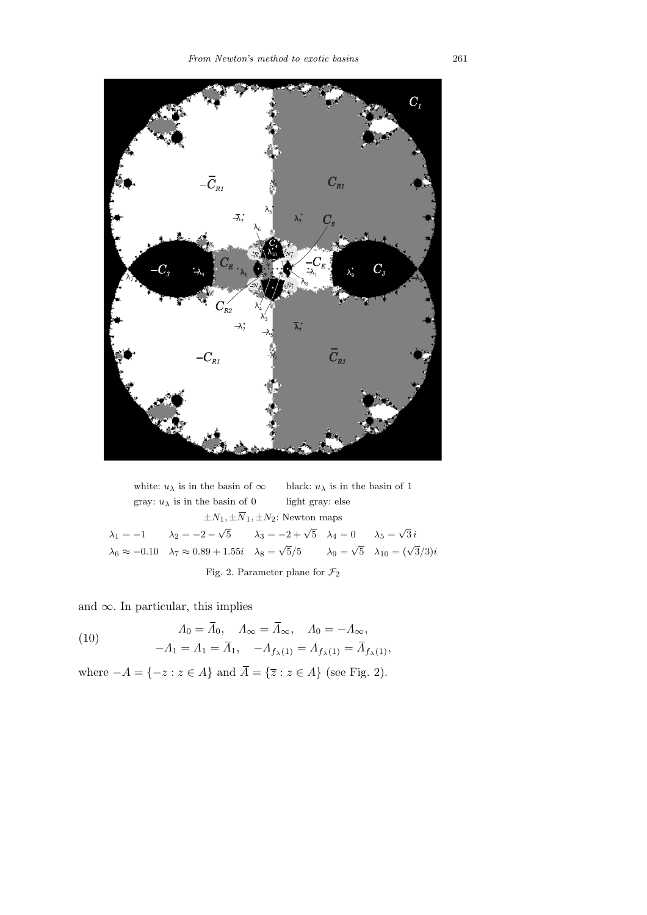

white:  $u_{\lambda}$  is in the basin of  $\infty$  black:  $u_{\lambda}$  is in the basin of 1 gray:  $u_\lambda$  is in the basin of  $0$   $\qquad\qquad$  light gray: else  $\pm N_1, \pm \overline{N}_1, \pm N_2$ : Newton maps  $\lambda_1 = -1$   $\lambda_2 = -2 - \sqrt{5}$   $\lambda_3 = -2 + \sqrt{5}$   $\lambda_4 = 0$   $\lambda_5 = \sqrt{3} i$  $\lambda_6 \approx -0.10 \quad \lambda_7 \approx 0.89 + 1.55i \quad \lambda_8 = \sqrt{5}/5 \quad \lambda_{9} = \sqrt{5} \quad \lambda_{10} = (\sqrt{3}/3)i$ Fig. 2. Parameter plane for *F*<sup>2</sup>

and *∞*. In particular, this implies

(10) 
$$
\Lambda_0 = \bar{\Lambda}_0, \quad \Lambda_\infty = \bar{\Lambda}_\infty, \quad \Lambda_0 = -\Lambda_\infty,
$$

$$
-\Lambda_1 = \Lambda_1 = \bar{\Lambda}_1, \quad -\Lambda_{f_\lambda(1)} = \Lambda_{f_\lambda(1)} = \bar{\Lambda}_{f_\lambda(1)},
$$

where  $−A = \{-z : z \in A\}$  and  $\overline{A} = \{\overline{z} : z \in A\}$  (see Fig. 2).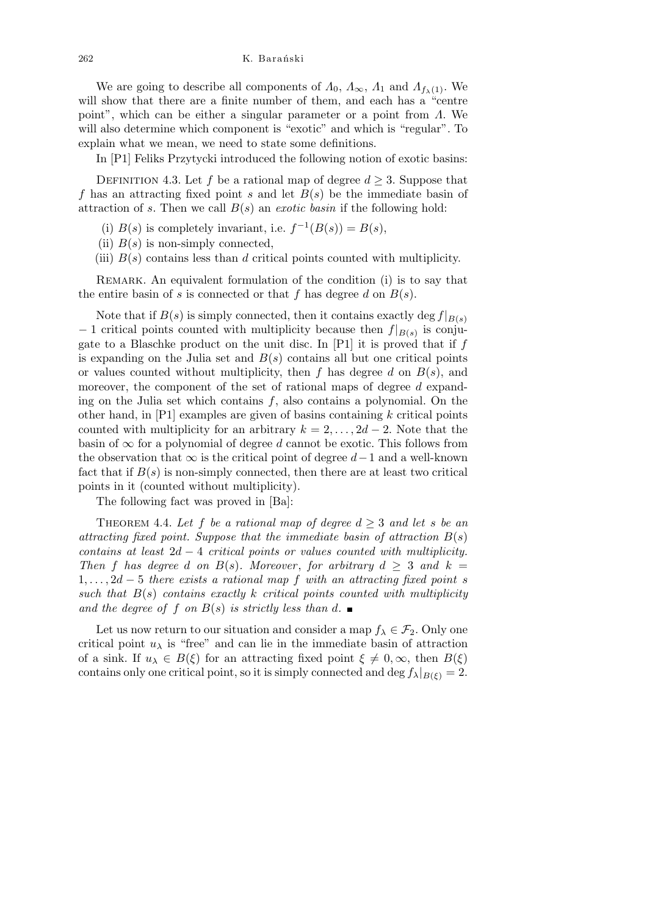We are going to describe all components of  $\Lambda_0$ ,  $\Lambda_\infty$ ,  $\Lambda_1$  and  $\Lambda_{f_\lambda(1)}$ . We will show that there are a finite number of them, and each has a "centre point", which can be either a singular parameter or a point from *Λ*. We will also determine which component is "exotic" and which is "regular". To explain what we mean, we need to state some definitions.

In [P1] Feliks Przytycki introduced the following notion of exotic basins:

DEFINITION 4.3. Let *f* be a rational map of degree  $d \geq 3$ . Suppose that *f* has an attracting fixed point *s* and let *B*(*s*) be the immediate basin of attraction of  $s$ . Then we call  $B(s)$  an *exotic basin* if the following hold:

- (i)  $B(s)$  is completely invariant, i.e.  $f^{-1}(B(s)) = B(s)$ ,
- (ii)  $B(s)$  is non-simply connected,
- (iii) *B*(*s*) contains less than *d* critical points counted with multiplicity.

Remark. An equivalent formulation of the condition (i) is to say that the entire basin of *s* is connected or that  $f$  has degree  $d$  on  $B(s)$ .

Note that if  $B(s)$  is simply connected, then it contains exactly deg  $f|_{B(s)}$ *−* 1 critical points counted with multiplicity because then *f|B*(*s*) is conjugate to a Blaschke product on the unit disc. In [P1] it is proved that if *f* is expanding on the Julia set and  $B(s)$  contains all but one critical points or values counted without multiplicity, then *f* has degree *d* on *B*(*s*), and moreover, the component of the set of rational maps of degree *d* expanding on the Julia set which contains *f*, also contains a polynomial. On the other hand, in [P1] examples are given of basins containing *k* critical points counted with multiplicity for an arbitrary  $k = 2, \ldots, 2d - 2$ . Note that the basin of  $\infty$  for a polynomial of degree *d* cannot be exotic. This follows from the observation that *∞* is the critical point of degree *d−*1 and a well-known fact that if  $B(s)$  is non-simply connected, then there are at least two critical points in it (counted without multiplicity).

The following fact was proved in [Ba]:

THEOREM 4.4. Let f be a rational map of degree  $d > 3$  and let s be an *attracting fixed point. Suppose that the immediate basin of attraction*  $B(s)$ *contains at least* 2*d −* 4 *critical points or values counted with multiplicity. Then f has degree d on B*(*s*)*. Moreover, for arbitrary*  $d > 3$  *and*  $k =$ 1*, . . . ,* 2*d −* 5 *there exists a rational map f with an attracting fixed point s such that B*(*s*) *contains exactly k critical points counted with multiplicity and the degree of*  $f$  *on*  $B(s)$  *is strictly less than*  $d$ .

Let us now return to our situation and consider a map  $f_{\lambda} \in \mathcal{F}_2$ . Only one critical point  $u_{\lambda}$  is "free" and can lie in the immediate basin of attraction of a sink. If  $u_{\lambda} \in B(\xi)$  for an attracting fixed point  $\xi \neq 0, \infty$ , then  $B(\xi)$ contains only one critical point, so it is simply connected and deg  $f_{\lambda}|_{B(\xi)} = 2$ .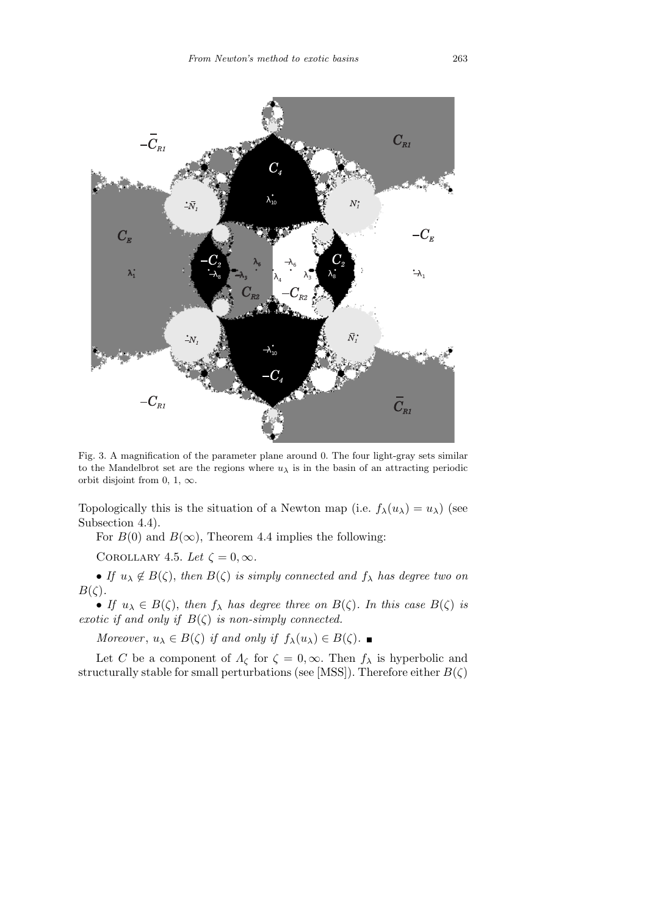

Fig. 3. A magnification of the parameter plane around 0. The four light-gray sets similar to the Mandelbrot set are the regions where  $u<sub>\lambda</sub>$  is in the basin of an attracting periodic orbit disjoint from 0, 1, *∞*.

Topologically this is the situation of a Newton map (i.e.  $f_{\lambda}(u_{\lambda}) = u_{\lambda}$ ) (see Subsection 4.4).

For  $B(0)$  and  $B(\infty)$ , Theorem 4.4 implies the following:

COROLLARY 4.5. Let  $\zeta = 0, \infty$ .

• *If*  $u_{\lambda} \notin B(\zeta)$ , *then*  $B(\zeta)$  *is simply connected and*  $f_{\lambda}$  *has degree two on B*(*ζ*)*.*

• *If*  $u_{\lambda} \in B(\zeta)$ , *then*  $f_{\lambda}$  *has degree three on*  $B(\zeta)$ *. In this case*  $B(\zeta)$  *is exotic if and only if*  $B(\zeta)$  *is non-simply connected.* 

*Moreover*,  $u_{\lambda} \in B(\zeta)$  *if and only if*  $f_{\lambda}(u_{\lambda}) \in B(\zeta)$ .

Let *C* be a component of  $\Lambda_{\zeta}$  for  $\zeta = 0, \infty$ . Then  $f_{\lambda}$  is hyperbolic and structurally stable for small perturbations (see [MSS]). Therefore either  $B(\zeta)$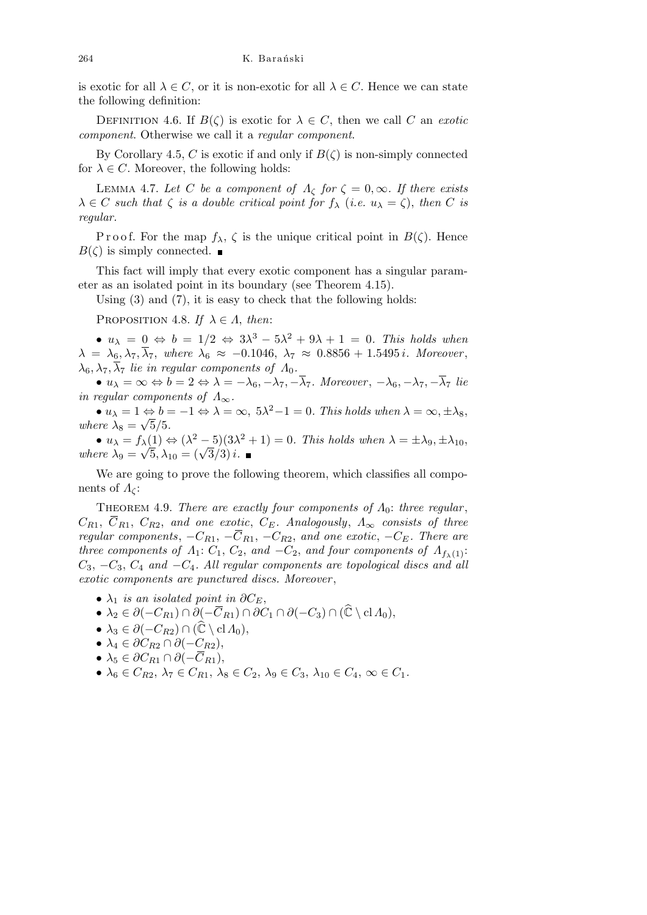is exotic for all  $\lambda \in C$ , or it is non-exotic for all  $\lambda \in C$ . Hence we can state the following definition:

DEFINITION 4.6. If  $B(\zeta)$  is exotic for  $\lambda \in C$ , then we call *C* an *exotic component*. Otherwise we call it a *regular component*.

By Corollary 4.5, *C* is exotic if and only if  $B(\zeta)$  is non-simply connected for  $\lambda \in C$ . Moreover, the following holds:

LEMMA 4.7. Let *C* be a component of  $Λ<sub>c</sub>$  for  $ζ = 0, ∞$ . If there exists  $\lambda \in C$  *such that*  $\zeta$  *is a double critical point for*  $f_{\lambda}$  (*i.e.*  $u_{\lambda} = \zeta$ ), *then C is regular.*

P r o o f. For the map  $f_{\lambda}$ ,  $\zeta$  is the unique critical point in  $B(\zeta)$ . Hence  $B(\zeta)$  is simply connected.

This fact will imply that every exotic component has a singular parameter as an isolated point in its boundary (see Theorem 4.15).

Using (3) and (7), it is easy to check that the following holds:

PROPOSITION 4.8. *If*  $\lambda \in \Lambda$ , *then*:

 $\bullet$  *u*<sub>λ</sub> = 0  $\Leftrightarrow$  *b* = 1/2  $\Leftrightarrow$  3λ<sup>3</sup> − 5λ<sup>2</sup> + 9λ + 1 = 0*. This holds when*  $\lambda = \lambda_6, \lambda_7, \overline{\lambda}_7$ , where  $\lambda_6 \approx -0.1046$ ,  $\lambda_7 \approx 0.8856 + 1.5495 i$ *. Moreover*,  $\lambda_6, \lambda_7, \overline{\lambda}_7$  *lie in regular components of*  $\Lambda_0$ .

•  $u_{\lambda} = \infty \Leftrightarrow b = 2 \Leftrightarrow \lambda = -\lambda_6, -\lambda_7, -\overline{\lambda}_7$ . Moreover,  $-\lambda_6, -\lambda_7, -\overline{\lambda}_7$  lie *in regular components of*  $\Lambda_{\infty}$ .

 $\bullet$  *u*<sub> $\lambda$ </sub> = 1  $\Leftrightarrow$  *b* = −1  $\Leftrightarrow$   $\lambda$  = ∞, 5 $\lambda$ <sup>2</sup>−1 = 0*. This holds when*  $\lambda$  = ∞, ± $\lambda$ <sub>8</sub>, *where*  $\lambda_8 = \sqrt{5}/5$ .

 $\bullet$   $u_{\lambda} = f_{\lambda}(1) \Leftrightarrow (\lambda^2 - 5)(3\lambda^2 + 1) = 0$ . This holds when  $\lambda = \pm \lambda_9, \pm \lambda_{10}$ ,  $\mathbf{u}_{\lambda} = J_{\lambda}(1) \Leftrightarrow (\lambda^2 - 5)(3\lambda)$ <br>where  $\lambda_9 = \sqrt{5}, \lambda_{10} = (\sqrt{3}/3)i$ .

We are going to prove the following theorem, which classifies all components of  $\Lambda_{\mathcal{C}}$ :

Theorem 4.9. *There are exactly four components of Λ*0: *three regular* ,  $C_{R1}$ ,  $\overline{C}_{R1}$ ,  $C_{R2}$ , and one exotic,  $C_E$ . Analogously,  $\Lambda_{\infty}$  consists of three *regular components*,  $-C_{R1}$ ,  $-\overline{C}_{R1}$ ,  $-C_{R2}$ , and one exotic,  $-C_E$ . There are *three components of*  $\Lambda_1$ :  $C_1$ ,  $C_2$ , *and*  $-C_2$ , *and four components of*  $\Lambda_{f_{\lambda}(1)}$ : *C*3, *−C*3, *C*<sup>4</sup> *and −C*4*. All regular components are topological discs and all exotic components are punctured discs. Moreover* ,

- $\lambda_1$  *is an isolated point in*  $\partial C_E$ ,
- *•*  $\lambda_2 \in \partial(-C_{R1}) \cap \partial(-\overline{C}_{R1}) \cap \partial C_1 \cap \partial(-C_3) \cap (\widehat{\mathbb{C}} \setminus \mathrm{cl} \Lambda_0),$
- $\bullet \lambda_3 \in \partial(-C_{R2}) \cap (\mathbb{\hat{C}} \setminus \mathrm{cl} \Lambda_0),$
- $\bullet$   $\lambda_4 \in \partial C_{R2} \cap \partial (-C_{R2}),$
- $\bullet \lambda_5 \in \partial C_{R1} \cap \partial (-\overline{C}_{R1}),$
- $\lambda_6 \in C_{R2}, \lambda_7 \in C_{R1}, \lambda_8 \in C_2, \lambda_9 \in C_3, \lambda_{10} \in C_4, \infty \in C_1$ .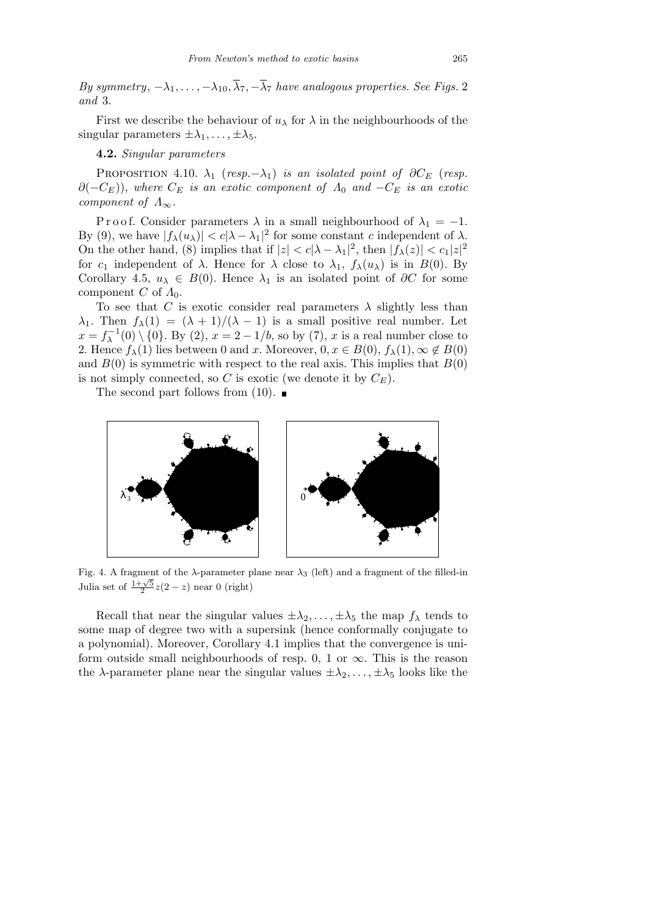*By symmetry*,  $-\lambda_1, \ldots, -\lambda_{10}, \overline{\lambda}_7, -\overline{\lambda}_7$  have analogous properties. See Figs. 2 *and* 3.

First we describe the behaviour of  $u_{\lambda}$  for  $\lambda$  in the neighbourhoods of the singular parameters  $\pm \lambda_1, \ldots, \pm \lambda_5$ .

**4.2.** *Singular parameters*

PROPOSITION 4.10.  $\lambda_1$  ( $resp. -\lambda_1$ ) *is an isolated point of*  $\partial C_E$  *(resp.*  $\partial(-C_E)$ , *where*  $C_E$  *is an exotic component of*  $\Lambda_0$  *and*  $-C_E$  *is an exotic component of*  $\Lambda_{\infty}$ *.* 

P r o o f. Consider parameters  $\lambda$  in a small neighbourhood of  $\lambda_1 = -1$ . By (9), we have  $|f_{\lambda}(u_{\lambda})| < c|\lambda - \lambda_1|^2$  for some constant *c* independent of  $\lambda$ . On the other hand, (8) implies that if  $|z| < c|\lambda - \lambda_1|^2$ , then  $|f_\lambda(z)| < c_1|z|^2$ for  $c_1$  independent of  $\lambda$ . Hence for  $\lambda$  close to  $\lambda_1$ ,  $f_\lambda(u_\lambda)$  is in  $B(0)$ . By Corollary 4.5,  $u_{\lambda} \in B(0)$ . Hence  $\lambda_1$  is an isolated point of  $\partial C$  for some component *C* of  $\Lambda_0$ .

To see that *C* is exotic consider real parameters  $\lambda$  slightly less than *λ*<sub>1</sub>. Then  $f_{\lambda}(1) = (\lambda + 1)/(\lambda - 1)$  is a small positive real number. Let  $x = f_{\lambda}^{-1}(0) \setminus \{0\}$ . By (2),  $x = 2 - 1/b$ , so by (7), *x* is a real number close to 2. Hence  $f_{\lambda}(1)$  lies between 0 and *x*. Moreover,  $0, x \in B(0), f_{\lambda}(1), \infty \notin B(0)$ and  $B(0)$  is symmetric with respect to the real axis. This implies that  $B(0)$ is not simply connected, so *C* is exotic (we denote it by  $C_E$ ).

The second part follows from  $(10)$ .



Fig. 4. A fragment of the *λ*-parameter plane near *λ*<sup>3</sup> (left) and a fragment of the filled-in Julia set of  $\frac{1+\sqrt{5}}{2}z(2-z)$  near 0 (right)

Recall that near the singular values  $\pm \lambda_2, \ldots, \pm \lambda_5$  the map  $f_{\lambda}$  tends to some map of degree two with a supersink (hence conformally conjugate to a polynomial). Moreover, Corollary 4.1 implies that the convergence is uniform outside small neighbourhoods of resp. 0, 1 or  $\infty$ . This is the reason the *λ*-parameter plane near the singular values  $\pm \lambda_2, \ldots, \pm \lambda_5$  looks like the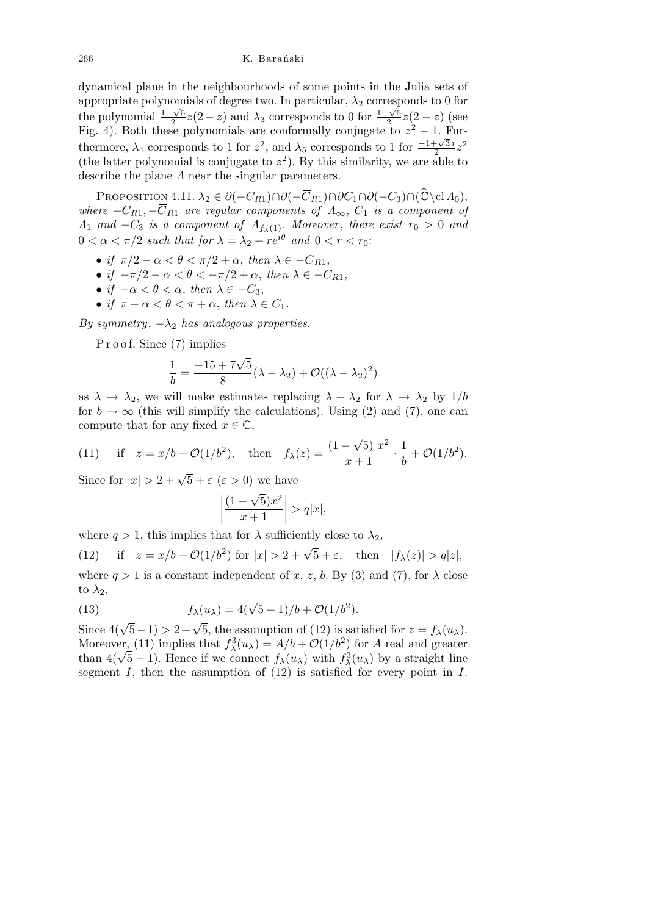dynamical plane in the neighbourhoods of some points in the Julia sets of appropriate polynomials of degree two. In particular,  $\lambda_2$  corresponds to 0 for the polynomial <sup>1</sup>*<sup>−</sup> √* 5  $\frac{2\sqrt{5}}{2}z(2-z)$  and  $\lambda_3$  corresponds to 0 for  $\frac{1+\sqrt{5}}{2}$ 2 *z*(2 *− z*) (see Fig. 4). Both these polynomials are conformally conjugate to  $z^2 - 1$ . Furthermore,  $\lambda_4$  corresponds to 1 for  $z^2$ , and  $\lambda_5$  corresponds to 1 for  $\frac{-1+\sqrt{3}i}{2}$  $\frac{1-\sqrt{3}i}{2}z^2$ (the latter polynomial is conjugate to  $z^2$ ). By this similarity, we are able to describe the plane *Λ* near the singular parameters.

PROPOSITION 4.11.  $\lambda_2 \in \partial(-C_{R1}) \cap \partial(-\overline{C}_{R1}) \cap \partial C_1 \cap \partial(-C_3) \cap (\mathbb{C} \backslash \text{cl } A_0),$ *where*  $-C_{R1}$ ,  $-\overline{C}_{R1}$  *are regular components of*  $\Lambda_{\infty}$ ,  $C_1$  *is a component of Λ*<sub>1</sub> *and*  $-C_3$  *is a component of*  $\Lambda_{f_{\lambda}(1)}$ *. Moreover, there exist*  $r_0 > 0$  *and*  $0 < \alpha < \pi/2$  such that for  $\lambda = \lambda_2 + re^{i\theta}$  and  $0 < r < r_0$ .

- *if*  $\pi/2 \alpha < \theta < \pi/2 + \alpha$ , *then*  $\lambda \in -\overline{C}_{R1}$ ,
- *if*  $-\pi/2 \alpha < \theta < -\pi/2 + \alpha$ , *then*  $\lambda \in -C_{R1}$ ,
- *• if −α < θ < α*, *then λ ∈ −C*3,
- *if*  $\pi \alpha < \theta < \pi + \alpha$ , *then*  $\lambda \in C_1$ .

*By symmetry*, *−λ*<sup>2</sup> *has analogous properties.*

P r o o f. Since (7) implies

$$
\frac{1}{b} = \frac{-15 + 7\sqrt{5}}{8}(\lambda - \lambda_2) + \mathcal{O}((\lambda - \lambda_2)^2)
$$

as  $\lambda \to \lambda_2$ , we will make estimates replacing  $\lambda - \lambda_2$  for  $\lambda \to \lambda_2$  by 1/b for  $b \to \infty$  (this will simplify the calculations). Using (2) and (7), one can compute that for any fixed  $x \in \mathbb{C}$ , *√*

(11) if 
$$
z = x/b + \mathcal{O}(1/b^2)
$$
, then  $f_{\lambda}(z) = \frac{(1 - \sqrt{5}) x^2}{x + 1} \cdot \frac{1}{b} + \mathcal{O}(1/b^2)$ .

Since for  $|x| > 2 + \sqrt{5} + \varepsilon$  ( $\varepsilon > 0$ ) we have

$$
\left| \frac{(1-\sqrt{5})x^2}{x+1} \right| > q|x|,
$$

where  $q > 1$ , this implies that for  $\lambda$  sufficiently close to  $\lambda_2$ ,

(12) if  $z = x/b + \mathcal{O}(1/b^2)$  for  $|x| > 2 + \sqrt{5} + \varepsilon$ , then  $|f_{\lambda}(z)| > q|z|$ , where  $q > 1$  is a constant independent of x, z, b. By (3) and (7), for  $\lambda$  close to  $\lambda_2$ ,

(13) 
$$
f_{\lambda}(u_{\lambda}) = 4(\sqrt{5} - 1)/b + \mathcal{O}(1/b^{2}).
$$

Since  $4(\sqrt{5}-1) > 2+\sqrt{5}$ , the assumption of (12) is satisfied for  $z = f_{\lambda}(u_{\lambda})$ . Moreover<sub>1</sub> (11) implies that  $f_{\lambda}^3(u_{\lambda}) = A/b + \mathcal{O}(1/b^2)$  for *A* real and greater Moreover, (11) implies that  $f_{\lambda}(u_{\lambda}) = A/b + O(1/b^{2})$  for A real and greater than  $4(\sqrt{5}-1)$ . Hence if we connect  $f_{\lambda}(u_{\lambda})$  with  $f_{\lambda}^{3}(u_{\lambda})$  by a straight line segment *I*, then the assumption of (12) is satisfied for every point in *I*.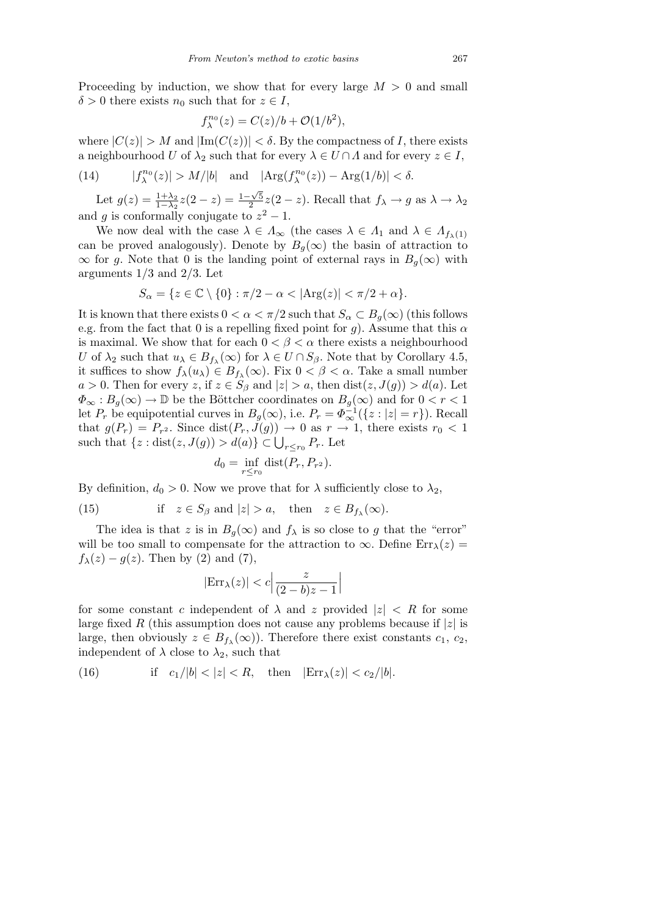Proceeding by induction, we show that for every large *M >* 0 and small  $\delta > 0$  there exists  $n_0$  such that for  $z \in I$ ,

$$
f_{\lambda}^{n_0}(z) = C(z)/b + \mathcal{O}(1/b^2),
$$

where  $|C(z)| > M$  and  $|\text{Im}(C(z))| < \delta$ . By the compactness of *I*, there exists a neighbourhood *U* of  $\lambda_2$  such that for every  $\lambda \in U \cap \Lambda$  and for every  $z \in I$ ,

(14) 
$$
|f_{\lambda}^{n_0}(z)| > M/|b|
$$
 and  $|\text{Arg}(f_{\lambda}^{n_0}(z)) - \text{Arg}(1/b)| < \delta$ .

Let  $g(z) = \frac{1+\lambda_2}{1-\lambda_2}z(2-z) = \frac{1-\sqrt{5}}{2}$  $\frac{2\sqrt{5}}{2}z(2-z)$ . Recall that  $f_{\lambda} \to g$  as  $\lambda \to \lambda_2$ and *g* is conformally conjugate to  $z^2 - 1$ .

We now deal with the case  $\lambda \in \Lambda_{\infty}$  (the cases  $\lambda \in \Lambda_1$  and  $\lambda \in \Lambda_{f_{\lambda}(1)}$ ) can be proved analogously). Denote by  $B_q(\infty)$  the basin of attraction to  $\infty$  for *g*. Note that 0 is the landing point of external rays in *B<sub>g</sub>*( $\infty$ ) with arguments 1*/*3 and 2*/*3. Let

$$
S_{\alpha} = \{ z \in \mathbb{C} \setminus \{0\} : \pi/2 - \alpha < |\text{Arg}(z)| < \pi/2 + \alpha \}.
$$

It is known that there exists  $0 < \alpha < \pi/2$  such that  $S_\alpha \subset B_\alpha(\infty)$  (this follows e.g. from the fact that 0 is a repelling fixed point for  $g$ ). Assume that this  $\alpha$ is maximal. We show that for each  $0 < \beta < \alpha$  there exists a neighbourhood *U* of  $\lambda_2$  such that  $u_\lambda \in B_{f_\lambda}(\infty)$  for  $\lambda \in U \cap S_\beta$ . Note that by Corollary 4.5, it suffices to show  $f_{\lambda}(u_{\lambda}) \in B_{f_{\lambda}}(\infty)$ . Fix  $0 < \beta < \alpha$ . Take a small number  $a > 0$ . Then for every *z*, if  $z \in S_\beta$  and  $|z| > a$ , then dist $(z, J(g)) > d(a)$ . Let  $\Phi_{\infty}: B_q(\infty) \to \mathbb{D}$  be the Böttcher coordinates on  $B_q(\infty)$  and for  $0 < r < 1$ let  $P_r$  be equipotential curves in  $B_g(\infty)$ , i.e.  $P_r = \Phi_{\infty}^{-1}(\{z : |z| = r\})$ . Recall that  $g(P_r) = P_{r^2}$ . Since  $dist(P_r, J(g)) \to 0$  as  $r \to 1$ , there exists  $r_0 < 1$ such that  $\{z : \text{dist}(z, J(g)) > d(a)\} \subset \bigcup_{r \leq r_0} P_r$ . Let

$$
d_0 = \inf_{r \le r_0} \text{dist}(P_r, P_{r^2}).
$$

By definition,  $d_0 > 0$ . Now we prove that for  $\lambda$  sufficiently close to  $\lambda_2$ ,

(15) if 
$$
z \in S_\beta
$$
 and  $|z| > a$ , then  $z \in B_{f_\lambda}(\infty)$ .

The idea is that *z* is in  $B_q(\infty)$  and  $f_\lambda$  is so close to *g* that the "error" will be too small to compensate for the attraction to  $\infty$ . Define Err<sub> $\lambda$ </sub>(*z*) =  $f_{\lambda}(z) - g(z)$ . Then by (2) and (7),

$$
|\text{Err}_{\lambda}(z)| < c \left| \frac{z}{(2 - b)z - 1} \right|
$$

for some constant *c* independent of  $\lambda$  and *z* provided  $|z| < R$  for some large fixed *R* (this assumption does not cause any problems because if *|z|* is large, then obviously  $z \in B_{f_\lambda}(\infty)$ . Therefore there exist constants  $c_1, c_2$ , independent of  $\lambda$  close to  $\lambda_2$ , such that

(16) if 
$$
c_1/|b| < |z| < R
$$
, then  $|\text{Err}_{\lambda}(z)| < c_2/|b|$ .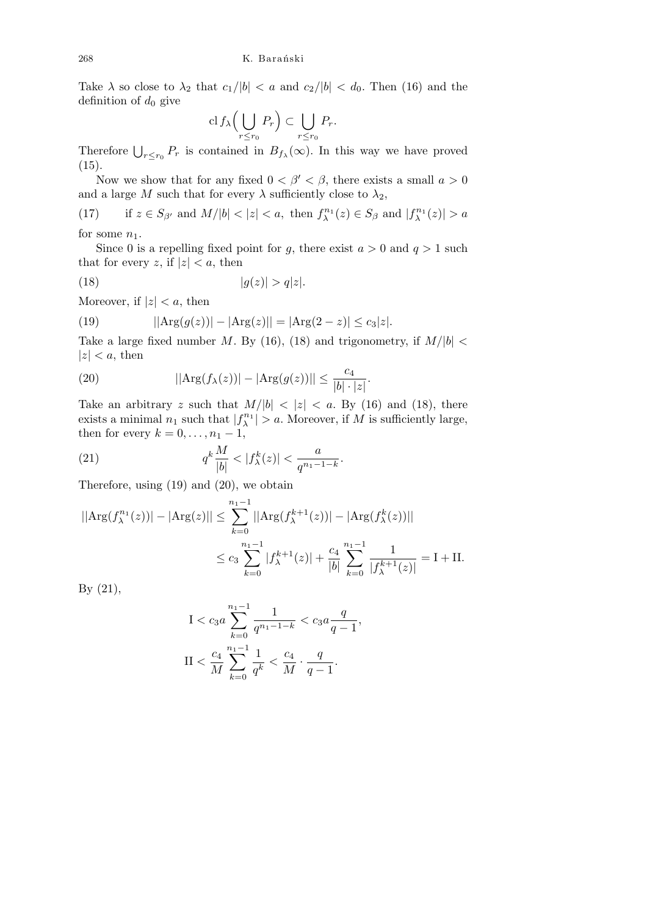Take  $\lambda$  so close to  $\lambda_2$  that  $c_1/|b| < a$  and  $c_2/|b| < d_0$ . Then (16) and the definition of  $d_0$  give  $\sqrt{1}$  $\mathbf{r}$ 

$$
\mathrm{cl}\, f_\lambda \Big( \bigcup_{r \le r_0} P_r \Big) \subset \bigcup_{r \le r_0} P_r.
$$

Therefore  $\bigcup_{r \leq r_0} P_r$  is contained in  $B_{f_\lambda}(\infty)$ . In this way we have proved  $(15).$ 

Now we show that for any fixed  $0 < \beta' < \beta$ , there exists a small  $a > 0$ and a large *M* such that for every  $\lambda$  sufficiently close to  $\lambda_2$ ,

(17) if 
$$
z \in S_{\beta'}
$$
 and  $M/|b| < |z| < a$ , then  $f_{\lambda}^{n_1}(z) \in S_{\beta}$  and  $|f_{\lambda}^{n_1}(z)| > a$  for some  $n$ .

for some  $n_1$ .

Since 0 is a repelling fixed point for *g*, there exist  $a > 0$  and  $q > 1$  such that for every *z*, if  $|z| < a$ , then

$$
(18) \t\t |g(z)| > q|z|.
$$

Moreover, if  $|z| < a$ , then

(19) 
$$
||Arg(g(z))| - |Arg(z)|| = |Arg(2 - z)| \le c_3 |z|.
$$

Take a large fixed number *M*. By (16), (18) and trigonometry, if  $M/|b|$  $|z| < a$ , then

(20) 
$$
||Arg(f_{\lambda}(z))| - |Arg(g(z))|| \le \frac{c_4}{|b| \cdot |z|}.
$$

Take an arbitrary *z* such that  $M/|b| < |z| < a$ . By (16) and (18), there exists a minimal  $n_1$  such that  $|f_{\lambda}^{n_1}| > a$ . Moreover, if *M* is sufficiently large, then for every  $k = 0, \ldots, n_1 - 1$ ,

(21) 
$$
q^k \frac{M}{|b|} < |f^k_\lambda(z)| < \frac{a}{q^{n_1 - 1 - k}}.
$$

Therefore, using (19) and (20), we obtain

$$
||\text{Arg}(f_{\lambda}^{n_1}(z))| - |\text{Arg}(z)|| \le \sum_{k=0}^{n_1 - 1} ||\text{Arg}(f_{\lambda}^{k+1}(z))| - |\text{Arg}(f_{\lambda}^{k}(z))||
$$
  

$$
\le c_3 \sum_{k=0}^{n_1 - 1} |f_{\lambda}^{k+1}(z)| + \frac{c_4}{|b|} \sum_{k=0}^{n_1 - 1} \frac{1}{|f_{\lambda}^{k+1}(z)|} = I + II.
$$

By (21),

$$
I < c_3 a \sum_{k=0}^{n_1 - 1} \frac{1}{q^{n_1 - 1 - k}} < c_3 a \frac{q}{q - 1},
$$
\n
$$
II < \frac{c_4}{M} \sum_{k=0}^{n_1 - 1} \frac{1}{q^k} < \frac{c_4}{M} \cdot \frac{q}{q - 1}.
$$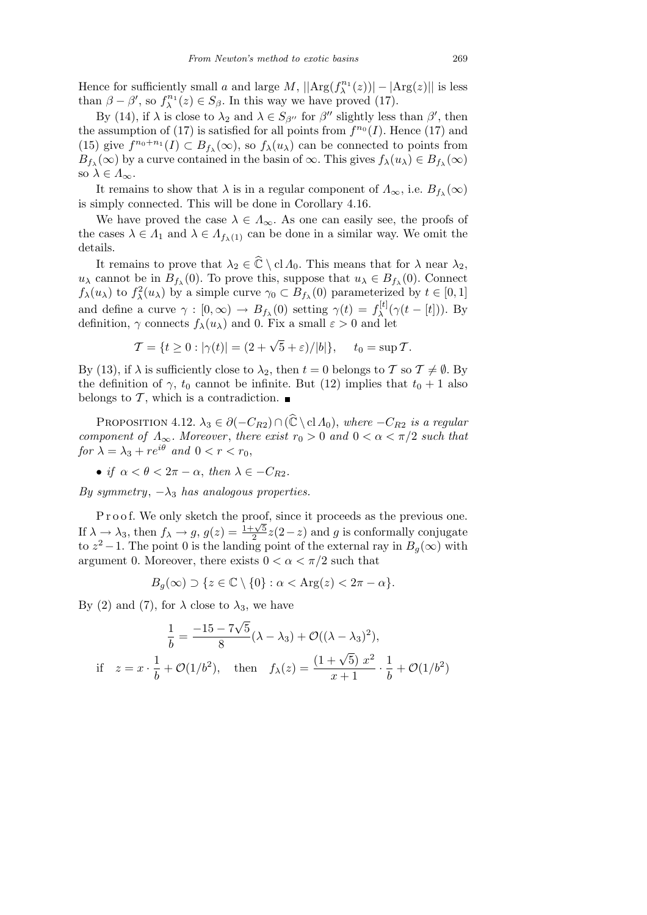Hence for sufficiently small *a* and large  $M$ ,  $||Arg(f_{\lambda}^{n_1}(z))| - |Arg(z)||$  is less than  $\beta - \beta'$ , so  $f_{\lambda}^{n_1}(z) \in S_{\beta}$ . In this way we have proved (17).

By (14), if  $\lambda$  is close to  $\lambda_2$  and  $\lambda \in S_{\beta''}$  for  $\beta''$  slightly less than  $\beta'$ , then the assumption of (17) is satisfied for all points from  $f^{n_0}(I)$ . Hence (17) and (15) give  $f^{n_0+n_1}(I) \subset B_{f_\lambda}(\infty)$ , so  $f_\lambda(u_\lambda)$  can be connected to points from  $B_{f_\lambda}(\infty)$  by a curve contained in the basin of  $\infty$ . This gives  $f_\lambda(u_\lambda) \in B_{f_\lambda}(\infty)$ so  $\lambda \in A_{\infty}$ .

It remains to show that  $\lambda$  is in a regular component of  $\Lambda_{\infty}$ , i.e.  $B_{f_{\lambda}}(\infty)$ is simply connected. This will be done in Corollary 4.16.

We have proved the case  $\lambda \in \Lambda_{\infty}$ . As one can easily see, the proofs of the cases  $\lambda \in A_1$  and  $\lambda \in A_{f_{\lambda}(1)}$  can be done in a similar way. We omit the details.

It remains to prove that  $\lambda_2 \in \hat{\mathbb{C}} \setminus \text{cl } \Lambda_0$ . This means that for  $\lambda$  near  $\lambda_2$ , *u*<sub> $\lambda$ </sub> cannot be in  $B_{f_{\lambda}}(0)$ . To prove this, suppose that  $u_{\lambda} \in B_{f_{\lambda}}(0)$ . Connect *f*<sub>*λ*</sub>(*u*<sub>*λ*</sub>) to *f*<sub>*λ*</sub><sup>2</sup>(*u*<sub>*λ*</sub>) by a simple curve  $\gamma_0 \subset B_{f_\lambda}(0)$  parameterized by  $t \in [0, 1]$ and define a curve  $\gamma : [0, \infty) \to B_{f_\lambda}(0)$  setting  $\gamma(t) = f_\lambda^{[t]}$  $\lambda^{[t]}(\gamma(t-[t]))$ . By definition,  $\gamma$  connects  $f_{\lambda}(u_{\lambda})$  and 0. Fix a small  $\varepsilon > 0$  and let

$$
\mathcal{T} = \{t \ge 0 : |\gamma(t)| = (2 + \sqrt{5} + \varepsilon)/|b|\}, \quad t_0 = \sup \mathcal{T}.
$$

By (13), if  $\lambda$  is sufficiently close to  $\lambda_2$ , then  $t = 0$  belongs to  $\mathcal T$  so  $\mathcal T \neq \emptyset$ . By the definition of  $\gamma$ ,  $t_0$  cannot be infinite. But (12) implies that  $t_0 + 1$  also belongs to  $\mathcal T$ , which is a contradiction.

PROPOSITION 4.12.  $\lambda_3 \in \partial(-C_{R2}) \cap (\hat{\mathbb{C}} \setminus \text{cl } A_0)$ , where  $-C_{R2}$  is a regular *component of*  $\Lambda_{\infty}$ *. Moreover, there exist*  $r_0 > 0$  *and*  $0 < \alpha < \pi/2$  *such that for*  $\lambda = \lambda_3 + re^{i\theta}$  *and*  $0 < r < r_0$ ,

• *if*  $\alpha < \theta < 2\pi - \alpha$ , *then*  $\lambda \in -C_{R2}$ .

*By symmetry*, *−λ*<sup>3</sup> *has analogous properties.*

P r o o f. We only sketch the proof, since it proceeds as the previous one. If  $\lambda \to \lambda_3$ , then  $f_{\lambda} \to g$ ,  $g(z) = \frac{1+\sqrt{5}}{2}$ 2 *z*(2*−z*) and *g* is conformally conjugate to  $z^2 - 1$ . The point 0 is the landing point of the external ray in  $B_g(\infty)$  with argument 0. Moreover, there exists  $0 < \alpha < \pi/2$  such that

$$
B_g(\infty) \supset \{z \in \mathbb{C} \setminus \{0\} : \alpha < \text{Arg}(z) < 2\pi - \alpha\}.
$$

By (2) and (7), for  $\lambda$  close to  $\lambda_3$ , we have

$$
\frac{1}{b} = \frac{-15 - 7\sqrt{5}}{8} (\lambda - \lambda_3) + \mathcal{O}((\lambda - \lambda_3)^2),
$$
  
if  $z = x \cdot \frac{1}{b} + \mathcal{O}(1/b^2)$ , then  $f_{\lambda}(z) = \frac{(1 + \sqrt{5}) x^2}{x + 1} \cdot \frac{1}{b} + \mathcal{O}(1/b^2)$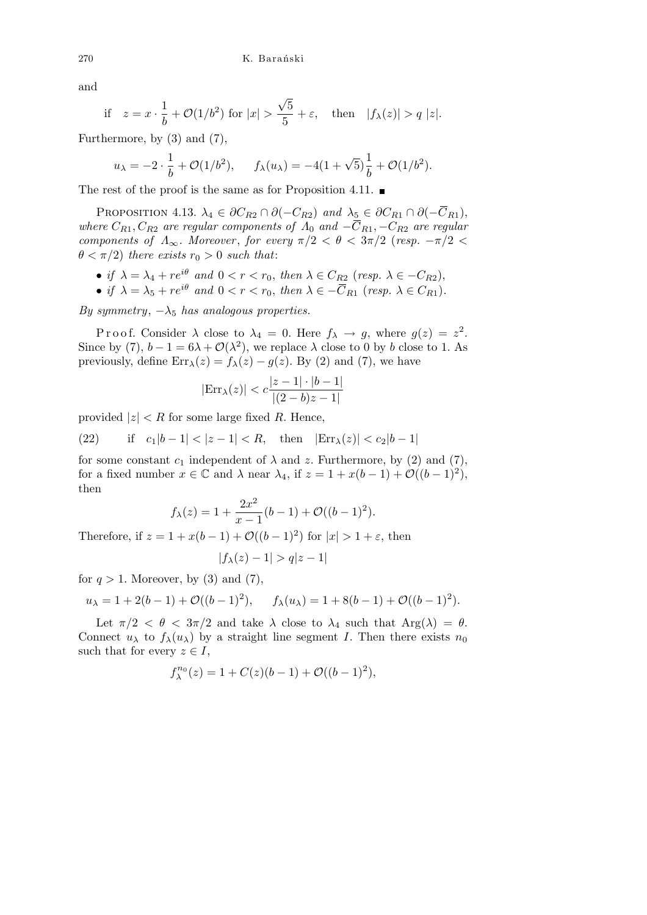and

if 
$$
z = x \cdot \frac{1}{b} + \mathcal{O}(1/b^2)
$$
 for  $|x| > \frac{\sqrt{5}}{5} + \varepsilon$ , then  $|f_{\lambda}(z)| > q |z|$ .

Furthermore, by (3) and (7),

$$
u_{\lambda} = -2 \cdot \frac{1}{b} + \mathcal{O}(1/b^2), \quad f_{\lambda}(u_{\lambda}) = -4(1+\sqrt{5})\frac{1}{b} + \mathcal{O}(1/b^2).
$$

The rest of the proof is the same as for Proposition 4.11.  $\blacksquare$ 

PROPOSITION 4.13.  $\lambda_4 \in \partial C_{R2} \cap \partial (-C_{R2})$  and  $\lambda_5 \in \partial C_{R1} \cap \partial (-\overline{C}_{R1}),$ *where*  $C_{R1}$ ,  $C_{R2}$  *are regular components of*  $\Lambda_0$  *and*  $-\overline{C}_{R1}$ ,  $-C_{R2}$  *are regular components of*  $\Lambda_{\infty}$ *. Moreover, for every*  $\pi/2 < \theta < 3\pi/2$  (*resp.*  $-\pi/2 < \theta$ )  $\theta < \pi/2$ ) *there exists*  $r_0 > 0$  *such that*:

- *• if*  $\lambda = \lambda_4 + re^{i\theta}$  *and*  $0 < r < r_0$ , *then*  $\lambda \in C_{R2}$  (*resp.*  $\lambda \in -C_{R2}$ ),
- $\bullet$  *if*  $\lambda = \lambda_5 + re^{i\theta}$  *and*  $0 < r < r_0$ , *then*  $\lambda \in -\overline{C}_{R1}$  (*resp.*  $\lambda \in C_{R1}$ )*.*

*By symmetry*,  $-\lambda_5$  *has analogous properties.* 

P r o o f. Consider  $\lambda$  close to  $\lambda_4 = 0$ . Here  $f_{\lambda} \to g$ , where  $g(z) = z^2$ . Since by (7),  $b-1=6\lambda+\mathcal{O}(\lambda^2)$ , we replace  $\lambda$  close to 0 by *b* close to 1. As previously, define  $\text{Err}_{\lambda}(z) = f_{\lambda}(z) - g(z)$ . By (2) and (7), we have

$$
|\text{Err}_{\lambda}(z)| < c \frac{|z-1|\cdot|b-1|}{|(2-b)z-1|}
$$

provided  $|z|$   $\lt R$  for some large fixed R. Hence,

(22) if 
$$
c_1|b-1| < |z-1| < R
$$
, then  $|\text{Err}_{\lambda}(z)| < c_2|b-1|$ 

for some constant  $c_1$  independent of  $\lambda$  and  $z$ . Furthermore, by (2) and (7), for a fixed number  $x \in \mathbb{C}$  and  $\lambda$  near  $\lambda_4$ , if  $z = 1 + x(b-1) + \mathcal{O}((b-1)^2)$ , then

$$
f_{\lambda}(z) = 1 + \frac{2x^2}{x - 1}(b - 1) + \mathcal{O}((b - 1)^2).
$$

Therefore, if  $z = 1 + x(b-1) + \mathcal{O}((b-1)^2)$  for  $|x| > 1 + \varepsilon$ , then

$$
|f_\lambda(z)-1|>q|z-1|
$$

for  $q > 1$ . Moreover, by (3) and (7),

$$
u_{\lambda} = 1 + 2(b - 1) + \mathcal{O}((b - 1)^{2}), \quad f_{\lambda}(u_{\lambda}) = 1 + 8(b - 1) + \mathcal{O}((b - 1)^{2}).
$$

Let  $\pi/2 < \theta < 3\pi/2$  and take  $\lambda$  close to  $\lambda_4$  such that  $Arg(\lambda) = \theta$ . Connect  $u_{\lambda}$  to  $f_{\lambda}(u_{\lambda})$  by a straight line segment *I*. Then there exists  $n_0$ such that for every  $z \in I$ ,

$$
f_{\lambda}^{n_0}(z) = 1 + C(z)(b-1) + \mathcal{O}((b-1)^2),
$$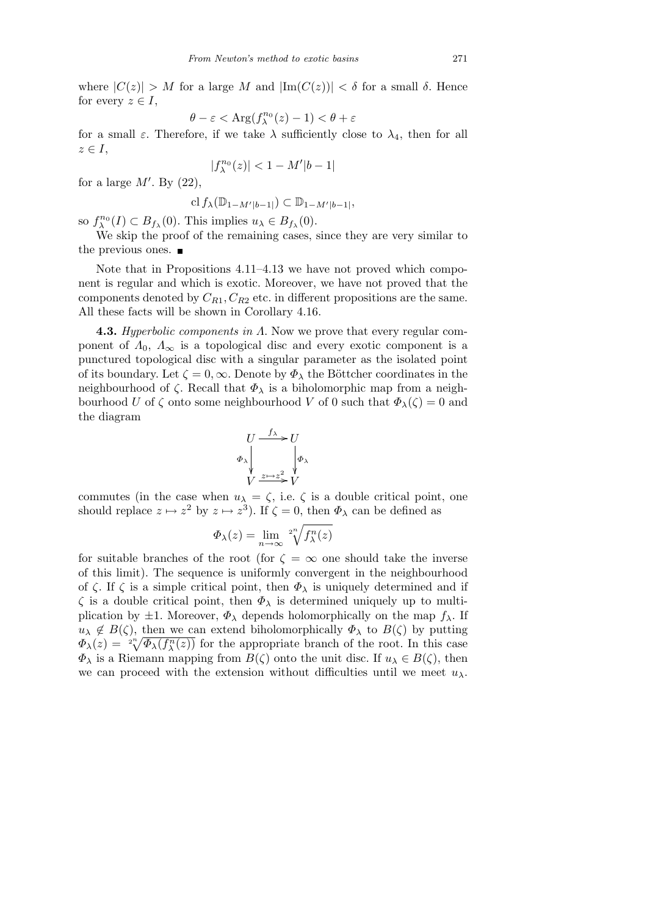where  $|C(z)| > M$  for a large *M* and  $|\text{Im}(C(z))| < \delta$  for a small  $\delta$ . Hence for every  $z \in I$ ,

$$
\theta - \varepsilon < \text{Arg}(f_{\lambda}^{n_0}(z) - 1) < \theta + \varepsilon
$$

for a small  $\varepsilon$ . Therefore, if we take  $\lambda$  sufficiently close to  $\lambda_4$ , then for all *z ∈ I*,

$$
|f_\lambda^{n_0}(z)|<1-M'|b-1|
$$

for a large  $M'$ . By  $(22)$ ,

$$
\mathrm{cl}\, f_{\lambda}(\mathbb{D}_{1-M'|b-1|}) \subset \mathbb{D}_{1-M'|b-1|},
$$

so  $f_{\lambda}^{n_0}(I) \subset B_{f_{\lambda}}(0)$ . This implies  $u_{\lambda} \in B_{f_{\lambda}}(0)$ .

We skip the proof of the remaining cases, since they are very similar to the previous ones.

Note that in Propositions 4.11–4.13 we have not proved which component is regular and which is exotic. Moreover, we have not proved that the components denoted by  $C_{R1}$ ,  $C_{R2}$  etc. in different propositions are the same. All these facts will be shown in Corollary 4.16.

**4.3.** *Hyperbolic components in Λ*. Now we prove that every regular component of  $\Lambda_0$ ,  $\Lambda_\infty$  is a topological disc and every exotic component is a punctured topological disc with a singular parameter as the isolated point of its boundary. Let  $\zeta = 0$ ,  $\infty$ . Denote by  $\Phi_{\lambda}$  the Böttcher coordinates in the neighbourhood of  $\zeta$ . Recall that  $\Phi_{\lambda}$  is a biholomorphic map from a neighbourhood *U* of  $\zeta$  onto some neighbourhood *V* of 0 such that  $\Phi_{\lambda}(\zeta) = 0$  and the diagram

$$
U \xrightarrow{f_{\lambda}} U
$$
  
\n
$$
\varphi_{\lambda} \downarrow \qquad \qquad \downarrow \varphi_{\lambda}
$$
  
\n
$$
V \xrightarrow{z \mapsto z^{2}} V
$$

commutes (in the case when  $u_{\lambda} = \zeta$ , i.e.  $\zeta$  is a double critical point, one should replace  $z \mapsto z^2$  by  $z \mapsto z^3$ ). If  $\zeta = 0$ , then  $\Phi_{\lambda}$  can be defined as

$$
\Phi_{\lambda}(z) = \lim_{n \to \infty} \sqrt[2^n]{f_{\lambda}^n(z)}
$$

for suitable branches of the root (for  $\zeta = \infty$  one should take the inverse of this limit). The sequence is uniformly convergent in the neighbourhood of  $\zeta$ . If  $\zeta$  is a simple critical point, then  $\Phi_{\lambda}$  is uniquely determined and if *ζ* is a double critical point, then *Φ<sup>λ</sup>* is determined uniquely up to multiplication by  $\pm 1$ . Moreover,  $\Phi_{\lambda}$  depends holomorphically on the map  $f_{\lambda}$ . If  $u_{\lambda} \notin B(\zeta)$ , then we can extend biholomorphically  $\Phi_{\lambda}$  to  $B(\zeta)$  by putting  $\Phi_{\lambda}(z) = 2\sqrt[n]{\Phi_{\lambda}(f_{\lambda}^n(z))}$  for the appropriate branch of the root. In this case *Φ*<sub>*λ*</sub> is a Riemann mapping from *B*(*ζ*) onto the unit disc. If  $u_\lambda \in B(\zeta)$ , then we can proceed with the extension without difficulties until we meet  $u_\lambda$ .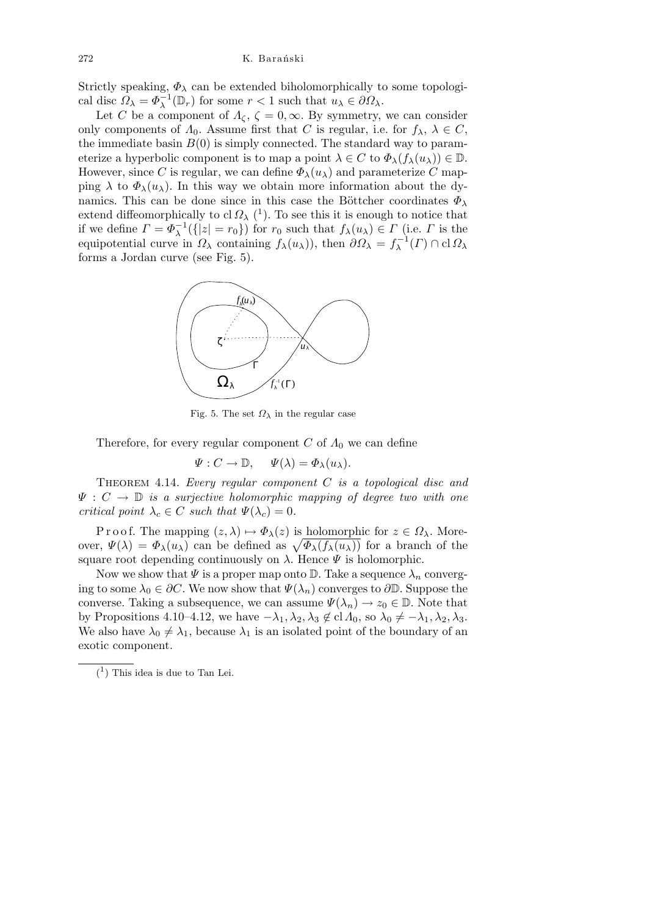Strictly speaking,  $\Phi_{\lambda}$  can be extended biholomorphically to some topological disc  $\Omega_{\lambda} = \Phi_{\lambda}^{-1}(\mathbb{D}_r)$  for some  $r < 1$  such that  $u_{\lambda} \in \partial \Omega_{\lambda}$ .

Let *C* be a component of  $\Lambda_{\zeta}$ ,  $\zeta = 0$ ,  $\infty$ . By symmetry, we can consider only components of  $\Lambda_0$ . Assume first that *C* is regular, i.e. for  $f_\lambda$ ,  $\lambda \in C$ , the immediate basin  $B(0)$  is simply connected. The standard way to parameterize a hyperbolic component is to map a point  $\lambda \in C$  to  $\Phi_{\lambda}(f_{\lambda}(u_{\lambda})) \in \mathbb{D}$ . However, since *C* is regular, we can define  $\Phi_{\lambda}(u_{\lambda})$  and parameterize *C* mapping  $\lambda$  to  $\Phi_{\lambda}(u_{\lambda})$ . In this way we obtain more information about the dynamics. This can be done since in this case the Böttcher coordinates  $\Phi_{\lambda}$ extend diffeomorphically to cl  $\Omega_{\lambda}$  (<sup>1</sup>). To see this it is enough to notice that if we define  $\Gamma = \Phi_{\lambda}^{-1}(\{|z| = r_0\})$  for  $r_0$  such that  $f_{\lambda}(u_{\lambda}) \in \Gamma$  (i.e.  $\Gamma$  is the equipotential curve in  $\Omega_{\lambda}$  containing  $f_{\lambda}(u_{\lambda})$ , then  $\partial \Omega_{\lambda} = f_{\lambda}^{-1}(\Gamma) \cap \text{cl } \Omega_{\lambda}$ forms a Jordan curve (see Fig. 5).



Fig. 5. The set  $\Omega_{\lambda}$  in the regular case

Therefore, for every regular component *C* of *Λ*<sup>0</sup> we can define

$$
\Psi: C \to \mathbb{D}, \quad \Psi(\lambda) = \Phi_{\lambda}(u_{\lambda}).
$$

Theorem 4.14. *Every regular component C is a topological disc and*  $\Psi : C \to \mathbb{D}$  *is a surjective holomorphic mapping of degree two with one critical point*  $\lambda_c \in C$  *such that*  $\Psi(\lambda_c) = 0$ .

P r o o f. The mapping  $(z, \lambda) \mapsto \Phi_{\lambda}(z)$  is holomorphic for  $z \in \Omega_{\lambda}$ . More-*P* r o o *t*. The mapping  $(z, λ)$  →  $Φ_λ(z)$  is holomorphic for  $z ∈ Ω_λ$ . Moreover,  $Ψ(λ) = Φ_λ(u_λ)$  can be defined as  $\sqrt{Φ_λ(f_λ(u_λ))}$  for a branch of the square root depending continuously on  $\lambda$ . Hence  $\Psi$  is holomorphic.

Now we show that  $\Psi$  is a proper map onto  $\mathbb{D}$ . Take a sequence  $\lambda_n$  converging to some  $\lambda_0 \in \partial C$ . We now show that  $\Psi(\lambda_n)$  converges to  $\partial \mathbb{D}$ . Suppose the converse. Taking a subsequence, we can assume  $\Psi(\lambda_n) \to z_0 \in \mathbb{D}$ . Note that by Propositions 4.10–4.12, we have  $-\lambda_1, \lambda_2, \lambda_3 \notin \text{cl } A_0$ , so  $\lambda_0 \neq -\lambda_1, \lambda_2, \lambda_3$ . We also have  $\lambda_0 \neq \lambda_1$ , because  $\lambda_1$  is an isolated point of the boundary of an exotic component.

 $(1)$  This idea is due to Tan Lei.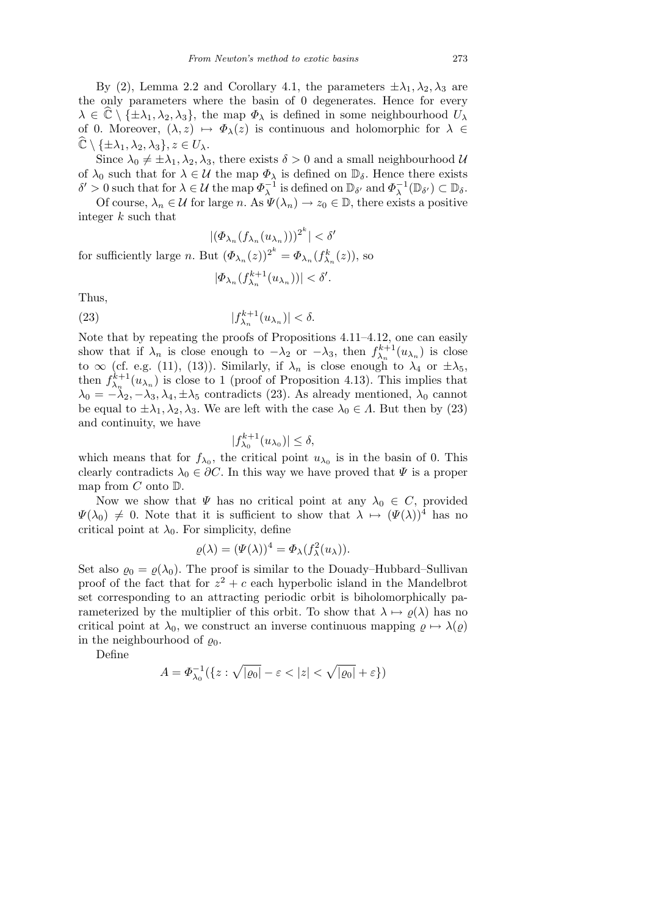By (2), Lemma 2.2 and Corollary 4.1, the parameters  $\pm \lambda_1, \lambda_2, \lambda_3$  are the only parameters where the basin of 0 degenerates. Hence for every  $\lambda \in \mathbb{C} \setminus \{\pm \lambda_1, \lambda_2, \lambda_3\}$ , the map  $\Phi_{\lambda}$  is defined in some neighbourhood  $U_{\lambda}$ of 0. Moreover,  $(\lambda, z) \mapsto \Phi_{\lambda}(z)$  is continuous and holomorphic for  $\lambda \in$  $\mathbb{C}\setminus \{\pm\lambda_1, \lambda_2, \lambda_3\}, z\in U_\lambda.$ 

Since  $\lambda_0 \neq \pm \lambda_1, \lambda_2, \lambda_3$ , there exists  $\delta > 0$  and a small neighbourhood *U* of  $\lambda_0$  such that for  $\lambda \in \mathcal{U}$  the map  $\Phi_{\lambda}$  is defined on  $\mathbb{D}_{\delta}$ . Hence there exists  $\delta' > 0$  such that for  $\lambda \in \mathcal{U}$  the map  $\Phi_{\lambda}^{-1}$  is defined on  $\mathbb{D}_{\delta'}$  and  $\Phi_{\lambda}^{-1}(\mathbb{D}_{\delta'}) \subset \mathbb{D}_{\delta}$ .

Of course,  $\lambda_n \in \mathcal{U}$  for large *n*. As  $\Psi(\lambda_n) \to z_0 \in \mathbb{D}$ , there exists a positive integer *k* such that

$$
|(\varPhi_{\lambda_n}(f_{\lambda_n}(u_{\lambda_n})))^{2^k}| < \delta'
$$
 for sufficiently large  $n$ . But  $(\varPhi_{\lambda_n}(z))^{2^k} = \varPhi_{\lambda_n}(f_{\lambda_n}^k(z))$ , so

$$
|\varPhi_{\lambda_n}(f_{\lambda_n}^{k+1}(u_{\lambda_n}))|<\delta'.
$$

Thus,

(23) 
$$
|f_{\lambda_n}^{k+1}(u_{\lambda_n})| < \delta.
$$

Note that by repeating the proofs of Propositions 4.11–4.12, one can easily show that if  $\lambda_n$  is close enough to  $-\lambda_2$  or  $-\lambda_3$ , then  $f_{\lambda_n}^{k+1}(u_{\lambda_n})$  is close to  $\infty$  (cf. e.g. (11), (13)). Similarly, if  $\lambda_n$  is close enough to  $\lambda_4$  or  $\pm \lambda_5$ , then  $f_{\lambda_n}^{k+1}(u_{\lambda_n})$  is close to 1 (proof of Proposition 4.13). This implies that  $\lambda_0 = -\lambda_2, -\lambda_3, \lambda_4, \pm \lambda_5$  contradicts (23). As already mentioned,  $\lambda_0$  cannot be equal to  $\pm \lambda_1, \lambda_2, \lambda_3$ . We are left with the case  $\lambda_0 \in \Lambda$ . But then by (23) and continuity, we have

$$
|f_{\lambda_0}^{k+1}(u_{\lambda_0})| \le \delta,
$$

which means that for  $f_{\lambda_0}$ , the critical point  $u_{\lambda_0}$  is in the basin of 0. This clearly contradicts  $\lambda_0 \in \partial C$ . In this way we have proved that  $\Psi$  is a proper map from *C* onto D.

Now we show that  $\Psi$  has no critical point at any  $\lambda_0 \in C$ , provided  $\Psi(\lambda_0) \neq 0$ . Note that it is sufficient to show that  $\lambda \mapsto (\Psi(\lambda))^4$  has no critical point at  $\lambda_0$ . For simplicity, define

$$
\varrho(\lambda) = (\Psi(\lambda))^4 = \Phi_{\lambda}(f_{\lambda}^2(u_{\lambda})).
$$

Set also  $\varrho_0 = \varrho(\lambda_0)$ . The proof is similar to the Douady–Hubbard–Sullivan proof of the fact that for  $z^2 + c$  each hyperbolic island in the Mandelbrot set corresponding to an attracting periodic orbit is biholomorphically parameterized by the multiplier of this orbit. To show that  $\lambda \mapsto \varrho(\lambda)$  has no critical point at  $\lambda_0$ , we construct an inverse continuous mapping  $\rho \mapsto \lambda(\rho)$ in the neighbourhood of  $\rho_0$ .

Define

$$
A = \Phi_{\lambda_0}^{-1}(\{z : \sqrt{|{\varrho}_0|} - \varepsilon < |z| < \sqrt{|{\varrho}_0|} + \varepsilon\})
$$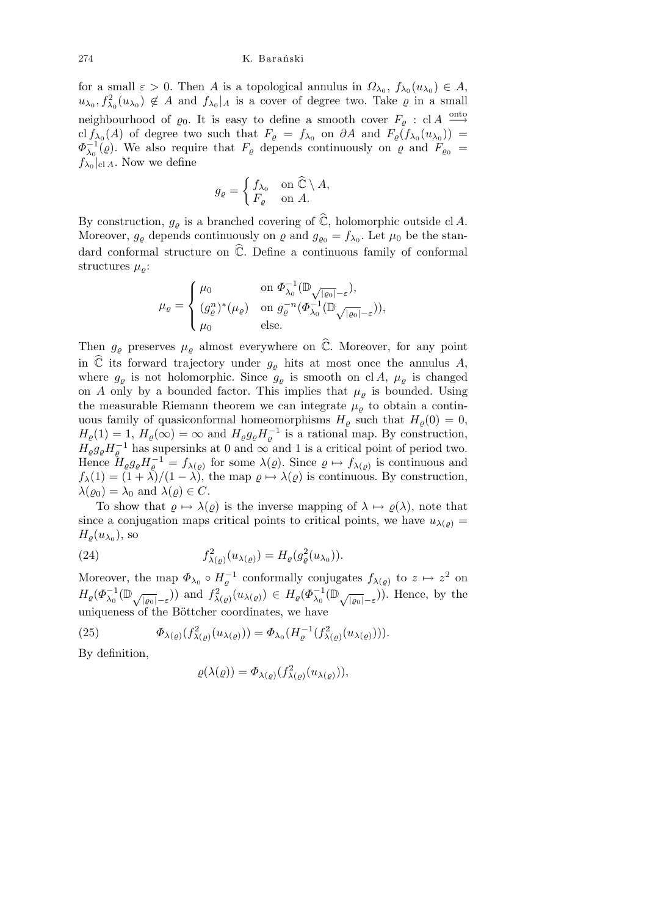for a small  $\varepsilon > 0$ . Then *A* is a topological annulus in  $\Omega_{\lambda_0}$ ,  $f_{\lambda_0}(u_{\lambda_0}) \in A$ ,  $u_{\lambda_0}, f_{\lambda_0}^2(u_{\lambda_0}) \notin A$  and  $f_{\lambda_0}|_A$  is a cover of degree two. Take  $\varrho$  in a small neighbourhood of  $\varrho_0$ . It is easy to define a smooth cover  $F_{\varrho}$  : cl *A*  $\xrightarrow{\text{onto}}$ cl  $f_{\lambda_0}(A)$  of degree two such that  $F_{\varrho} = f_{\lambda_0}$  on  $\partial A$  and  $F_{\varrho}(f_{\lambda_0}(u_{\lambda_0}))$  =  $\Phi_{\lambda_0}^{-1}(\varrho)$ . We also require that *F*<sub>*&*</sub> depends continuously on  $\varrho$  and  $\widetilde{F}_{\varrho_0}$  =  $f_{\lambda_0}|_{\text{cl }A}$ . Now we define

$$
g_{\varrho} = \begin{cases} f_{\lambda_0} & \text{on } \widehat{\mathbb{C}} \setminus A, \\ F_{\varrho} & \text{on } A. \end{cases}
$$

By construction,  $g_{\varrho}$  is a branched covering of  $\widehat{\mathbb{C}}$ , holomorphic outside cl *A*. Moreover,  $g_{\varrho}$  depends continuously on  $\varrho$  and  $g_{\varrho_0} = f_{\lambda_0}$ . Let  $\mu_0$  be the standard conformal structure on  $\hat{\mathbb{C}}$ . Define a continuous family of conformal structures  $\mu_{\rho}$ :

$$
\mu_{\varrho} = \begin{cases} \mu_0 & \text{on } \Phi_{\lambda_0}^{-1}(\mathbb{D}_{\sqrt{|{\varrho}_0|}-\varepsilon}), \\ (g_{\varrho}^n)^*(\mu_{\varrho}) & \text{on } g_{\varrho}^{-n}(\Phi_{\lambda_0}^{-1}(\mathbb{D}_{\sqrt{|{\varrho}_0|}-\varepsilon})), \\ \mu_0 & \text{else.} \end{cases}
$$

Then  $g_{\varrho}$  preserves  $\mu_{\varrho}$  almost everywhere on  $\hat{\mathbb{C}}$ . Moreover, for any point in  $\hat{\mathbb{C}}$  its forward trajectory under  $g_{\rho}$  hits at most once the annulus *A*, where  $g_{\varrho}$  is not holomorphic. Since  $g_{\varrho}$  is smooth on cl *A*,  $\mu_{\varrho}$  is changed on *A* only by a bounded factor. This implies that  $\mu_{\rho}$  is bounded. Using the measurable Riemann theorem we can integrate  $\mu_{\varrho}$  to obtain a continuous family of quasiconformal homeomorphisms  $H_{\varrho}$  such that  $H_{\varrho}(0) = 0$ ,  $H_{\varrho}(1) = 1, H_{\varrho}(\infty) = \infty$  and  $H_{\varrho}g_{\varrho}H_{\varrho}^{-1}$  is a rational map. By construction,  $H_{\varrho}g_{\varrho}H_{\varrho}^{-1}$  has supersinks at 0 and  $\infty$  and 1 is a critical point of period two. Hence  $H_{\varrho}g_{\varrho}H_{\varrho}^{-1} = f_{\lambda(\varrho)}$  for some  $\lambda(\varrho)$ . Since  $\varrho \mapsto f_{\lambda(\varrho)}$  is continuous and  $f_{\lambda}(1) = (1 + \lambda)/(1 - \lambda)$ , the map  $\varrho \mapsto \lambda(\varrho)$  is continuous. By construction,  $\lambda(\varrho_0) = \lambda_0$  and  $\lambda(\varrho) \in C$ .

To show that  $\rho \mapsto \lambda(\rho)$  is the inverse mapping of  $\lambda \mapsto \rho(\lambda)$ , note that since a conjugation maps critical points to critical points, we have  $u_{\lambda(\rho)} =$  $H_{\varrho}(u_{\lambda_0}),$  so

(24) 
$$
f_{\lambda(\varrho)}^2(u_{\lambda(\varrho)}) = H_{\varrho}(g_{\varrho}^2(u_{\lambda_0})).
$$

Moreover, the map  $\Phi_{\lambda_0} \circ H_{\varrho}^{-1}$  conformally conjugates  $f_{\lambda(\varrho)}$  to  $z \mapsto z^2$  on  $H_{\varrho}(\Phi_{\lambda_0}^{-1}(\mathbb{D}_{\sqrt{|\varrho_0|}-\varepsilon}))$  and  $f_{\lambda(\varrho)}^2(u_{\lambda(\varrho)}) \in H_{\varrho}(\Phi_{\lambda_0}^{-1}(\mathbb{D}_{\sqrt{|\varrho_0|}-\varepsilon}))$ . Hence, by the uniqueness of the Böttcher coordinates, we have

(25) 
$$
\Phi_{\lambda(\varrho)}(f_{\lambda(\varrho)}^2(u_{\lambda(\varrho)})) = \Phi_{\lambda_0}(H_{\varrho}^{-1}(f_{\lambda(\varrho)}^2(u_{\lambda(\varrho)}))).
$$

By definition,

$$
\varrho(\lambda(\varrho)) = \Phi_{\lambda(\varrho)}(f_{\lambda(\varrho)}^2(u_{\lambda(\varrho)})),
$$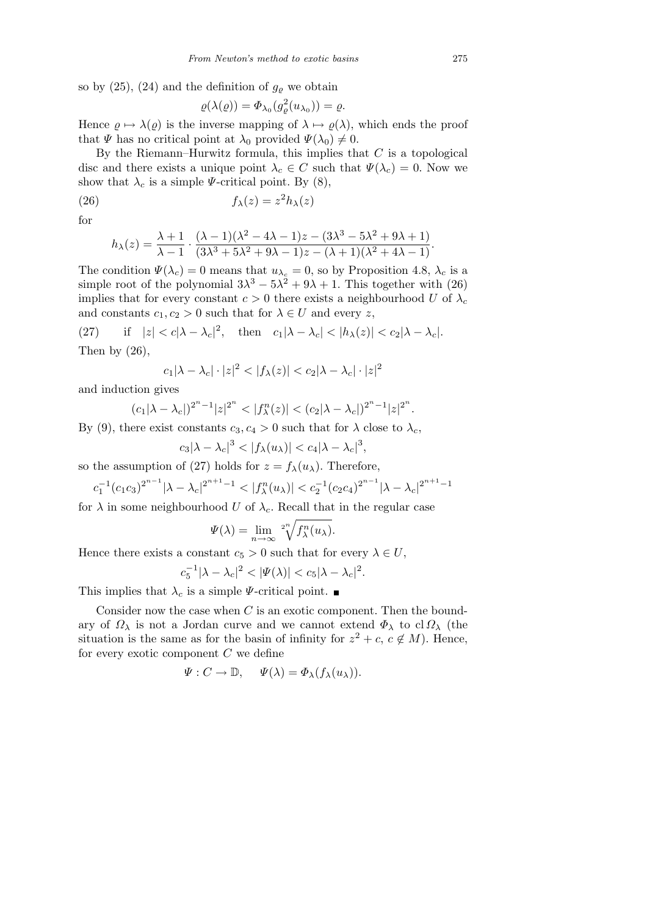so by  $(25)$ ,  $(24)$  and the definition of  $g_{\rho}$  we obtain

$$
\varrho(\lambda(\varrho)) = \Phi_{\lambda_0}(g_{\varrho}^2(u_{\lambda_0})) = \varrho.
$$

Hence  $\varrho \mapsto \lambda(\varrho)$  is the inverse mapping of  $\lambda \mapsto \varrho(\lambda)$ , which ends the proof that  $\Psi$  has no critical point at  $\lambda_0$  provided  $\Psi(\lambda_0) \neq 0$ .

By the Riemann–Hurwitz formula, this implies that *C* is a topological disc and there exists a unique point  $\lambda_c \in C$  such that  $\Psi(\lambda_c) = 0$ . Now we show that  $\lambda_c$  is a simple *Ψ*-critical point. By (8),

(26) 
$$
f_{\lambda}(z) = z^2 h_{\lambda}(z)
$$

for

$$
h_{\lambda}(z) = \frac{\lambda + 1}{\lambda - 1} \cdot \frac{(\lambda - 1)(\lambda^2 - 4\lambda - 1)z - (3\lambda^3 - 5\lambda^2 + 9\lambda + 1)}{(3\lambda^3 + 5\lambda^2 + 9\lambda - 1)z - (\lambda + 1)(\lambda^2 + 4\lambda - 1)}.
$$

The condition  $\Psi(\lambda_c) = 0$  means that  $u_{\lambda_c} = 0$ , so by Proposition 4.8,  $\lambda_c$  is a simple root of the polynomial  $3\lambda^3 - 5\lambda^2 + 9\lambda + 1$ . This together with (26) implies that for every constant  $c > 0$  there exists a neighbourhood *U* of  $\lambda_c$ and constants  $c_1, c_2 > 0$  such that for  $\lambda \in U$  and every *z*,

(27) if  $|z| < c |\lambda - \lambda_c|^2$ , then  $c_1 |\lambda - \lambda_c| < |h_\lambda(z)| < c_2 |\lambda - \lambda_c|$ . Then by  $(26)$ ,

$$
c_1|\lambda - \lambda_c| \cdot |z|^2 < |f_\lambda(z)| < c_2|\lambda - \lambda_c| \cdot |z|^2
$$

and induction gives

$$
(c_1|\lambda-\lambda_c|)^{2^n-1}|z|^{2^n} < |f_\lambda^n(z)| < (c_2|\lambda-\lambda_c|)^{2^n-1}|z|^{2^n}.
$$

By (9), there exist constants  $c_3, c_4 > 0$  such that for  $\lambda$  close to  $\lambda_c$ ,

$$
c_3|\lambda-\lambda_c|^3<|f_\lambda(u_\lambda)|
$$

so the assumption of (27) holds for  $z = f_{\lambda}(u_{\lambda})$ . Therefore,

$$
c_1^{-1}(c_1c_3)^{2^{n-1}}|\lambda - \lambda_c|^{2^{n+1}-1} < |f_\lambda^n(u_\lambda)| < c_2^{-1}(c_2c_4)^{2^{n-1}}|\lambda - \lambda_c|^{2^{n+1}-1}
$$

for  $\lambda$  in some neighbourhood *U* of  $\lambda_c$ . Recall that in the regular case

$$
\Psi(\lambda) = \lim_{n \to \infty} \sqrt[2^n]{f_{\lambda}^n(u_{\lambda})}.
$$

Hence there exists a constant  $c_5 > 0$  such that for every  $\lambda \in U$ ,

$$
c_5^{-1}|\lambda - \lambda_c|^2 < |\Psi(\lambda)| < c_5|\lambda - \lambda_c|^2.
$$

This implies that  $\lambda_c$  is a simple  $\Psi$ -critical point.

Consider now the case when *C* is an exotic component. Then the boundary of *Ω<sup>λ</sup>* is not a Jordan curve and we cannot extend *Φ<sup>λ</sup>* to cl *Ω<sup>λ</sup>* (the situation is the same as for the basin of infinity for  $z^2 + c$ ,  $c \notin M$ ). Hence, for every exotic component *C* we define

$$
\Psi: C \to \mathbb{D}, \quad \Psi(\lambda) = \Phi_{\lambda}(f_{\lambda}(u_{\lambda})).
$$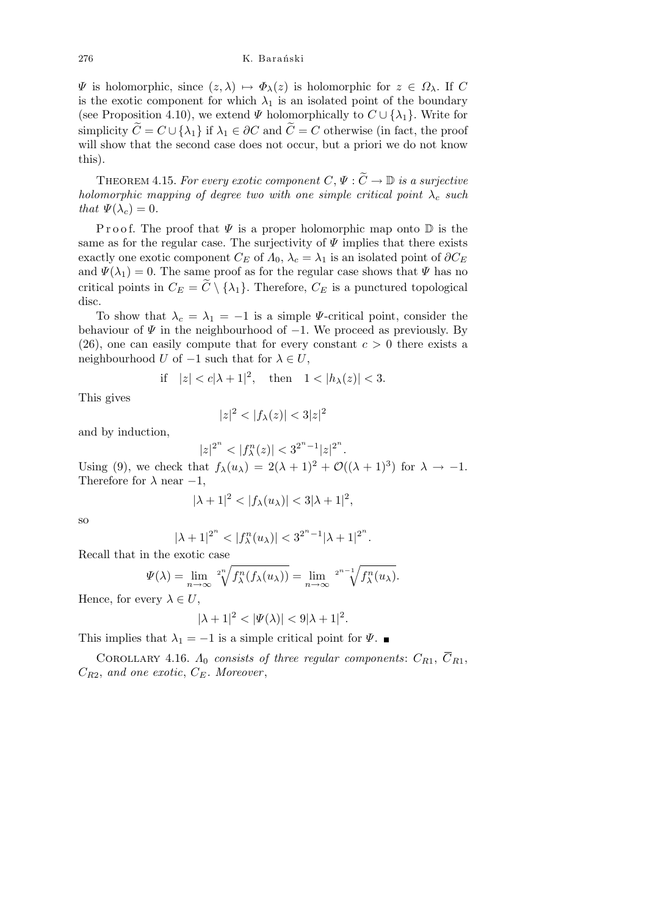*Ψ* is holomorphic, since  $(z, λ)$   $\mapsto$   $Φ_λ(z)$  is holomorphic for  $z ∈ Ω_λ$ . If C is the exotic component for which  $\lambda_1$  is an isolated point of the boundary (see Proposition 4.10), we extend  $\Psi$  holomorphically to  $C \cup \{\lambda_1\}$ . Write for simplicity  $\widetilde{C} = C \cup \{\lambda_1\}$  if  $\lambda_1 \in \partial C$  and  $\widetilde{C} = C$  otherwise (in fact, the proof will show that the second case does not occur, but a priori we do not know this).

THEOREM 4.15. *For every exotic component*  $C, \Psi : \widetilde{C} \to \mathbb{D}$  *is a surjective holomorphic mapping of degree two with one simple critical point*  $\lambda_c$  *such that*  $\Psi(\lambda_c) = 0$ *.* 

Proof. The proof that  $\Psi$  is a proper holomorphic map onto  $\mathbb D$  is the same as for the regular case. The surjectivity of  $\Psi$  implies that there exists exactly one exotic component  $C_E$  of  $\Lambda_0$ ,  $\lambda_c = \lambda_1$  is an isolated point of  $\partial C_E$ and  $\Psi(\lambda_1) = 0$ . The same proof as for the regular case shows that  $\Psi$  has no critical points in  $C_E = \tilde{C} \setminus {\lambda_1}$ . Therefore,  $C_E$  is a punctured topological disc.

To show that  $\lambda_c = \lambda_1 = -1$  is a simple *Ψ*-critical point, consider the behaviour of *Ψ* in the neighbourhood of *−*1. We proceed as previously. By  $(26)$ , one can easily compute that for every constant  $c > 0$  there exists a neighbourhood *U* of  $-1$  such that for  $\lambda \in U$ ,

$$
\text{if} \quad |z| < c|\lambda + 1|^2, \quad \text{then} \quad 1 < |h_\lambda(z)| < 3.
$$

This gives

$$
|z|^2 < |f_{\lambda}(z)| < 3|z|^2
$$

and by induction,

$$
|z|^{2^n} < |f_\lambda^n(z)| < 3^{2^n - 1} |z|^{2^n}
$$

*.*

Using (9), we check that  $f_{\lambda}(u_{\lambda}) = 2(\lambda + 1)^2 + \mathcal{O}((\lambda + 1)^3)$  for  $\lambda \to -1$ . Therefore for  $\lambda$  near  $-1$ ,

$$
|\lambda + 1|^2 < |f_\lambda(u_\lambda)| < 3|\lambda + 1|^2,
$$

so

$$
|\lambda + 1|^{2^n} < |f_{\lambda}^n(u_\lambda)| < 3^{2^n - 1} |\lambda + 1|^{2^n}.
$$

Recall that in the exotic case

$$
\Psi(\lambda) = \lim_{n \to \infty} \sqrt[2^n]{f_{\lambda}^n(f_{\lambda}(u_{\lambda}))} = \lim_{n \to \infty} \sqrt[2^{n-1}]{f_{\lambda}^n(u_{\lambda})}.
$$

Hence, for every  $\lambda \in U$ ,

$$
|\lambda + 1|^2 < |\Psi(\lambda)| < 9|\lambda + 1|^2.
$$

This implies that  $\lambda_1 = -1$  is a simple critical point for  $\Psi$ .

COROLLARY 4.16.  $\Lambda_0$  consists of three regular components:  $C_{R1}$ ,  $C_{R1}$ ,  $C_{R2}$ , and one exotic,  $C_{E}$ . Moreover,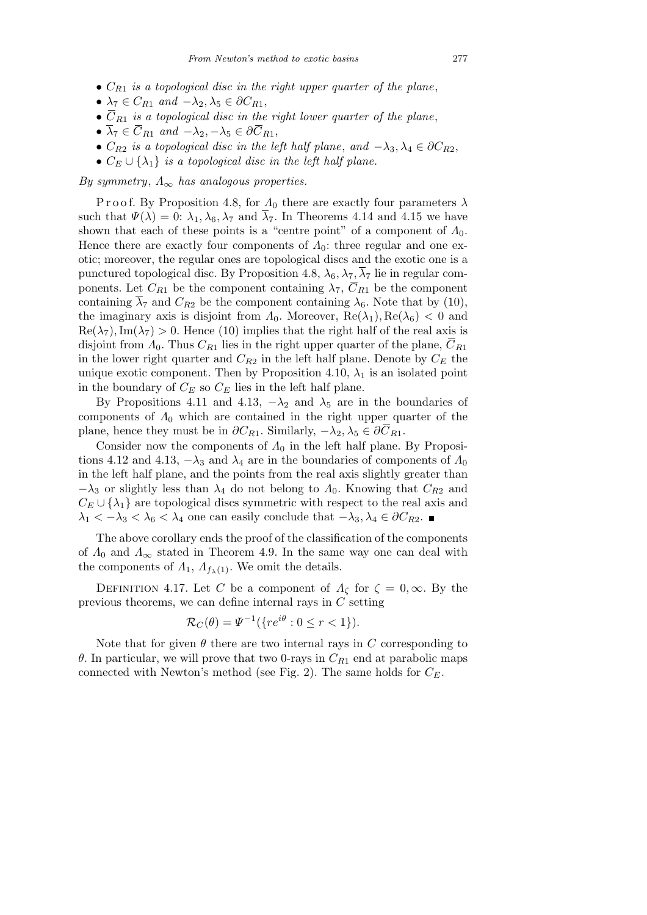- *• CR*<sup>1</sup> *is a topological disc in the right upper quarter of the plane*,
- $\lambda_7 \in C_{R1}$  *and*  $-\lambda_2, \lambda_5 \in \partial C_{R1}$ ,
- $\overline{C}_{R1}$  *is a topological disc in the right lower quarter of the plane*,
- $\overline{\lambda}_7 \in \overline{C}_{R1}$  *and*  $-\lambda_2, -\lambda_5 \in \partial \overline{C}_{R1}$ ,
- $C_{R2}$  *is a topological disc in the left half plane, and*  $-\lambda_3, \lambda_4 \in \partial C_{R2}$ ,
- $C_E \cup \{\lambda_1\}$  *is a topological disc in the left half plane.*

*By symmetry*, *Λ<sup>∞</sup> has analogous properties.*

P r o o f. By Proposition 4.8, for  $\Lambda_0$  there are exactly four parameters  $\lambda$ such that  $\Psi(\lambda) = 0$ :  $\lambda_1, \lambda_6, \lambda_7$  and  $\lambda_7$ . In Theorems 4.14 and 4.15 we have shown that each of these points is a "centre point" of a component of *Λ*0. Hence there are exactly four components of *Λ*0: three regular and one exotic; moreover, the regular ones are topological discs and the exotic one is a punctured topological disc. By Proposition 4.8,  $\lambda_6, \lambda_7, \overline{\lambda}_7$  lie in regular components. Let  $C_{R1}$  be the component containing  $\lambda_7$ ,  $\overline{C}_{R1}$  be the component containing  $\overline{\lambda}_7$  and  $C_{R2}$  be the component containing  $\lambda_6$ . Note that by (10), the imaginary axis is disjoint from  $\Lambda_0$ . Moreover,  $\text{Re}(\lambda_1)$ ,  $\text{Re}(\lambda_6) < 0$  and  $\text{Re}(\lambda_7), \text{Im}(\lambda_7) > 0.$  Hence (10) implies that the right half of the real axis is disjoint from  $\Lambda_0$ . Thus  $C_{R1}$  lies in the right upper quarter of the plane,  $C_{R1}$ in the lower right quarter and  $C_{R2}$  in the left half plane. Denote by  $C_E$  the unique exotic component. Then by Proposition 4.10,  $\lambda_1$  is an isolated point in the boundary of  $C_E$  so  $C_E$  lies in the left half plane.

By Propositions 4.11 and 4.13,  $-\lambda_2$  and  $\lambda_5$  are in the boundaries of components of *Λ*<sup>0</sup> which are contained in the right upper quarter of the plane, hence they must be in  $\partial C_{R1}$ . Similarly,  $-\lambda_2, \lambda_5 \in \partial C_{R1}$ .

Consider now the components of  $\Lambda_0$  in the left half plane. By Propositions 4.12 and 4.13,  $-\lambda_3$  and  $\lambda_4$  are in the boundaries of components of  $\Lambda_0$ in the left half plane, and the points from the real axis slightly greater than *−λ*<sub>3</sub> or slightly less than  $λ$ <sub>4</sub> do not belong to  $Λ$ <sub>0</sub>. Knowing that  $C_{R2}$  and  $C_E \cup \{\lambda_1\}$  are topological discs symmetric with respect to the real axis and  $\lambda_1$  *< −* $\lambda_3$  *<*  $\lambda_6$  *<*  $\lambda_4$  one can easily conclude that  $-\lambda_3$ ,  $\lambda_4$   $\in \partial C_{R_2}$ . ■

The above corollary ends the proof of the classification of the components of  $\Lambda_0$  and  $\Lambda_\infty$  stated in Theorem 4.9. In the same way one can deal with the components of  $\Lambda_1$ ,  $\Lambda_{f_{\lambda}(1)}$ . We omit the details.

DEFINITION 4.17. Let *C* be a component of  $Λ_\zeta$  for  $\zeta = 0, \infty$ . By the previous theorems, we can define internal rays in *C* setting

$$
\mathcal{R}_C(\theta) = \Psi^{-1}(\{re^{i\theta} : 0 \le r < 1\}).
$$

Note that for given  $\theta$  there are two internal rays in  $C$  corresponding to *θ*. In particular, we will prove that two 0-rays in *CR*<sup>1</sup> end at parabolic maps connected with Newton's method (see Fig. 2). The same holds for  $C_F$ .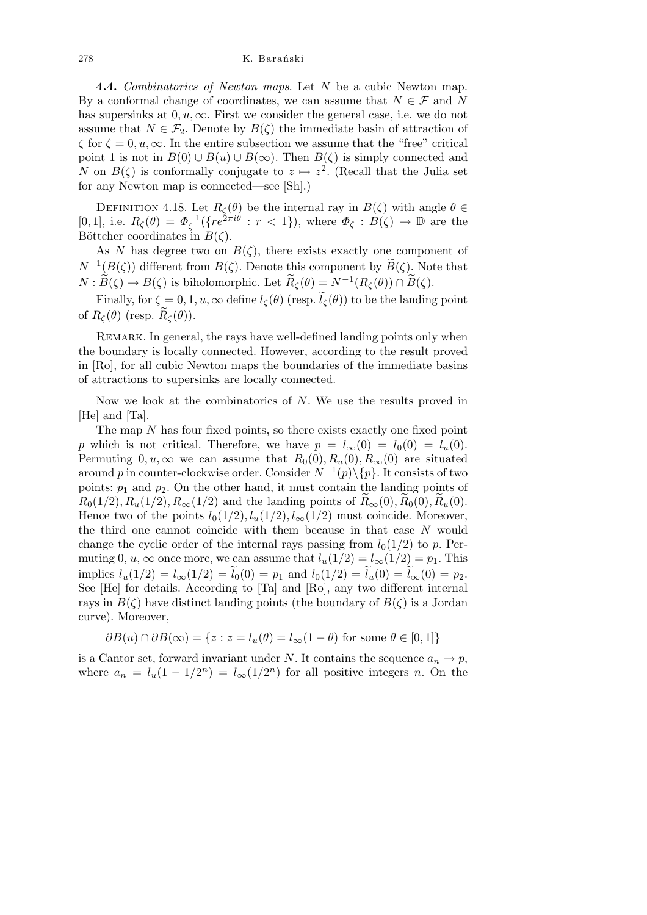**4.4.** *Combinatorics of Newton maps*. Let *N* be a cubic Newton map. By a conformal change of coordinates, we can assume that  $N \in \mathcal{F}$  and *N* has supersinks at  $0, u, \infty$ . First we consider the general case, i.e. we do not assume that  $N \in \mathcal{F}_2$ . Denote by  $B(\zeta)$  the immediate basin of attraction of  $\zeta$  for  $\zeta = 0, u, \infty$ . In the entire subsection we assume that the "free" critical point 1 is not in  $B(0) \cup B(u) \cup B(\infty)$ . Then  $B(\zeta)$  is simply connected and *N* on  $B(\zeta)$  is conformally conjugate to  $z \mapsto z^2$ . (Recall that the Julia set for any Newton map is connected—see [Sh].)

DEFINITION 4.18. Let  $R_\zeta(\theta)$  be the internal ray in  $B(\zeta)$  with angle  $\theta \in$  $[0,1]$ , i.e.  $R_\zeta(\theta) = \Phi_\zeta^{-1}(\{re^{2\pi i \theta} : r < 1\})$ , where  $\Phi_\zeta : B(\zeta) \to \mathbb{D}$  are the Böttcher coordinates in  $B(\zeta)$ .

As *N* has degree two on  $B(\zeta)$ , there exists exactly one component of  $N^{-1}(B(\zeta))$  different from  $B(\zeta)$ . Denote this component by  $\widetilde{B}(\zeta)$ . Note that  $N : \widetilde{B}(\zeta) \to B(\zeta)$  is biholomorphic. Let  $\widetilde{R}_{\zeta}(\theta) = N^{-1}(R_{\zeta}(\theta)) \cap \widetilde{B}(\zeta)$ .

Finally, for  $\zeta = 0, 1, u, \infty$  define  $l_{\zeta}(\theta)$  (resp.  $\tilde{l}_{\zeta}(\theta)$ ) to be the landing point of  $R_\zeta(\theta)$  (resp.  $\widetilde{R}_\zeta(\theta)$ ).

REMARK. In general, the rays have well-defined landing points only when the boundary is locally connected. However, according to the result proved in [Ro], for all cubic Newton maps the boundaries of the immediate basins of attractions to supersinks are locally connected.

Now we look at the combinatorics of *N*. We use the results proved in [He] and [Ta].

The map *N* has four fixed points, so there exists exactly one fixed point *p* which is not critical. Therefore, we have  $p = l_{\infty}(0) = l_0(0) = l_u(0)$ . Permuting  $0, u, \infty$  we can assume that  $R_0(0), R_u(0), R_\infty(0)$  are situated around *p* in counter-clockwise order. Consider *N <sup>−</sup>*<sup>1</sup> (*p*)*\{p}*. It consists of two points:  $p_1$  and  $p_2$ . On the other hand, it must contain the landing points of  $R_0(1/2), R_u(1/2), R_\infty(1/2)$  and the landing points of  $R_\infty(0), R_0(0), R_u(0)$ . Hence two of the points  $l_0(1/2)$ ,  $l_u(1/2)$ ,  $l_\infty(1/2)$  must coincide. Moreover, the third one cannot coincide with them because in that case *N* would change the cyclic order of the internal rays passing from  $l_0(1/2)$  to p. Permuting 0, *u*,  $\infty$  once more, we can assume that  $l_u(1/2) = l_{\infty}(1/2) = p_1$ . This  $\lim \text{p!} i \lim (1/2) = l_{\infty}(1/2) = \tilde{l}_0(0) = p_1 \text{ and } l_0(1/2) = \tilde{l}_u(0) = \tilde{l}_{\infty}(0) = p_2.$ See [He] for details. According to [Ta] and [Ro], any two different internal rays in  $B(\zeta)$  have distinct landing points (the boundary of  $B(\zeta)$  is a Jordan curve). Moreover,

$$
\partial B(u) \cap \partial B(\infty) = \{ z : z = l_u(\theta) = l_\infty(1 - \theta) \text{ for some } \theta \in [0, 1] \}
$$

is a Cantor set, forward invariant under *N*. It contains the sequence  $a_n \to p$ , where  $a_n = l_u(1 - 1/2^n) = l_\infty(1/2^n)$  for all positive integers *n*. On the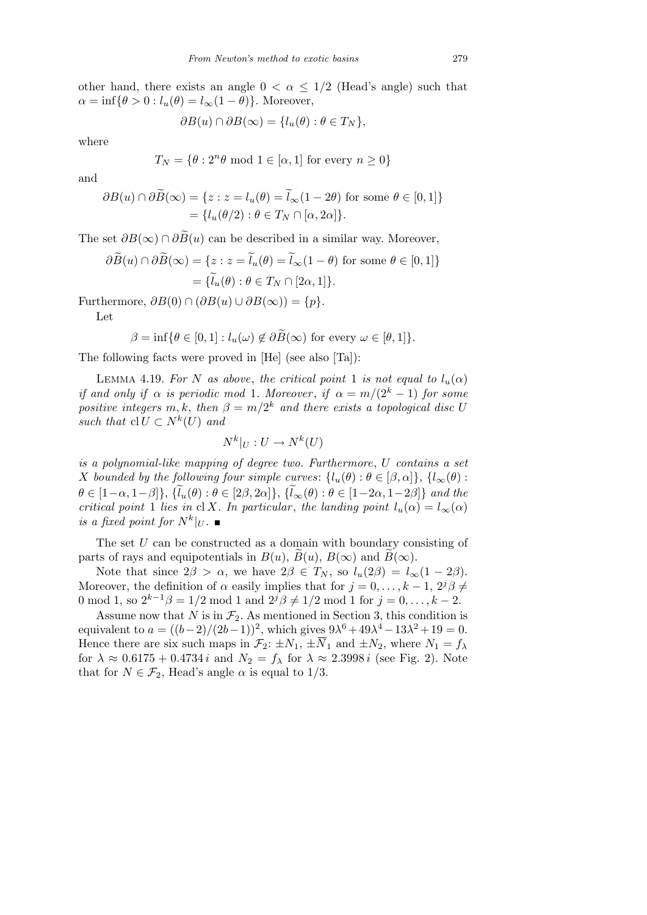other hand, there exists an angle  $0 < \alpha \leq 1/2$  (Head's angle) such that  $\alpha = \inf \{ \theta > 0 : l_u(\theta) = l_\infty(1-\theta) \}.$  Moreover,

$$
\partial B(u) \cap \partial B(\infty) = \{l_u(\theta) : \theta \in T_N\},\
$$

where

$$
T_N = \{ \theta : 2^n \theta \text{ mod } 1 \in [\alpha, 1] \text{ for every } n \ge 0 \}
$$

and

$$
\partial B(u) \cap \partial \widetilde{B}(\infty) = \{ z : z = l_u(\theta) = \widetilde{l}_{\infty}(1 - 2\theta) \text{ for some } \theta \in [0, 1] \}
$$

$$
= \{ l_u(\theta/2) : \theta \in T_N \cap [\alpha, 2\alpha] \}.
$$

The set  $\partial B(\infty) \cap \partial \overline{B}(u)$  can be described in a similar way. Moreover,

$$
\partial \widetilde{B}(u) \cap \partial \widetilde{B}(\infty) = \{ z : z = \widetilde{l}_u(\theta) = \widetilde{l}_\infty(1 - \theta) \text{ for some } \theta \in [0, 1] \}
$$

$$
= \{ \widetilde{l}_u(\theta) : \theta \in T_N \cap [2\alpha, 1] \}.
$$

Furthermore,  $\partial B(0) \cap (\partial B(u) \cup \partial B(\infty)) = \{p\}.$ 

Let

$$
\beta = \inf \{ \theta \in [0, 1] : l_u(\omega) \notin \partial \widetilde{B}(\infty) \text{ for every } \omega \in [\theta, 1] \}.
$$

The following facts were proved in [He] (see also [Ta]):

LEMMA 4.19. *For N as above, the critical point* 1 *is not equal to*  $l_u(\alpha)$ *if and only if*  $\alpha$  *is periodic mod* 1*. Moreover, if*  $\alpha = m/(2^k - 1)$  *for some positive integers*  $m, k$ , then  $\beta = m/2^k$  and there exists a topological disc U *such that*  $\text{cl } U \subset N^k(U)$  *and* 

$$
N^k|_U: U \to N^k(U)
$$

*is a polynomial-like mapping of degree two. Furthermore*, *U contains a set X* bounded by the following four simple curves:  $\{l_u(\theta) : \theta \in [\beta, \alpha]\}, \{l_\infty(\theta) : \theta \in [\beta, \alpha]\}$  $\theta \in [1-\alpha, 1-\beta]$ ,  $\{\widetilde{l}_{u}(\theta) : \theta \in [2\beta, 2\alpha]\}, \{\widetilde{l}_{\infty}(\theta) : \theta \in [1-2\alpha, 1-2\beta]\}$  and the *critical point* 1 *lies in* cl *X. In particular, the landing point*  $l_u(\alpha) = l_{\infty}(\alpha)$ *is a fixed point for*  $N^k|_U$ .

The set *U* can be constructed as a domain with boundary consisting of parts of rays and equipotentials in  $B(u)$ ,  $B(u)$ ,  $B(\infty)$  and  $B(\infty)$ .

Note that since  $2\beta > \alpha$ , we have  $2\beta \in T_N$ , so  $l_u(2\beta) = l_\infty(1 - 2\beta)$ . Moreover, the definition of  $\alpha$  easily implies that for  $j = 0, \ldots, k - 1, 2^{j} \beta \neq 0$ 0 mod 1, so  $2^{k-1}\beta = 1/2$  mod 1 and  $2^{j}\beta \neq 1/2$  mod 1 for  $j = 0, ..., k - 2$ .

Assume now that *N* is in  $\mathcal{F}_2$ . As mentioned in Section 3, this condition is equivalent to  $a = ((b-2)/(2b-1))^2$ , which gives  $9\lambda^6 + 49\lambda^4 - 13\lambda^2 + 19 = 0$ . Hence there are six such maps in  $\mathcal{F}_2$ :  $\pm N_1$ ,  $\pm \overline{N}_1$  and  $\pm N_2$ , where  $N_1 = f_\lambda$ for  $\lambda \approx 0.6175 + 0.4734 i$  and  $N_2 = f_\lambda$  for  $\lambda \approx 2.3998 i$  (see Fig. 2). Note that for  $N \in \mathcal{F}_2$ , Head's angle  $\alpha$  is equal to 1/3.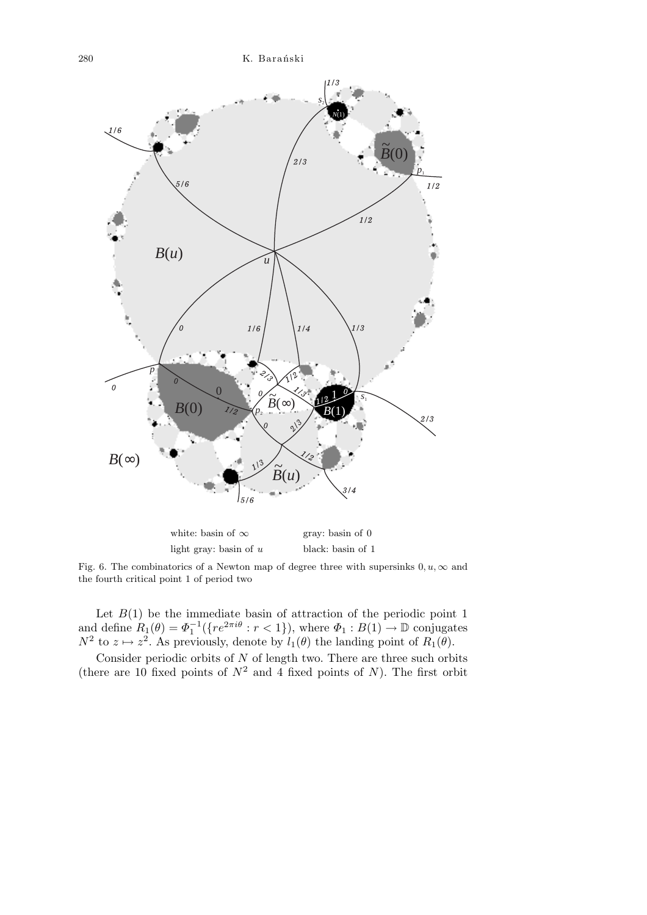

light gray: basin of *u* black: basin of 1 Fig. 6. The combinatorics of a Newton map of degree three with supersinks  $0, u, \infty$  and the fourth critical point 1 of period two

Let  $B(1)$  be the immediate basin of attraction of the periodic point 1 and define  $R_1(\theta) = \Phi_1^{-1}(\{re^{2\pi i\theta} : r < 1\})$ , where  $\Phi_1 : B(1) \to \mathbb{D}$  conjugates  $N^2$  to  $z \mapsto z^2$ . As previously, denote by  $l_1(\theta)$  the landing point of  $R_1(\theta)$ .

Consider periodic orbits of *N* of length two. There are three such orbits (there are 10 fixed points of  $N^2$  and 4 fixed points of *N*). The first orbit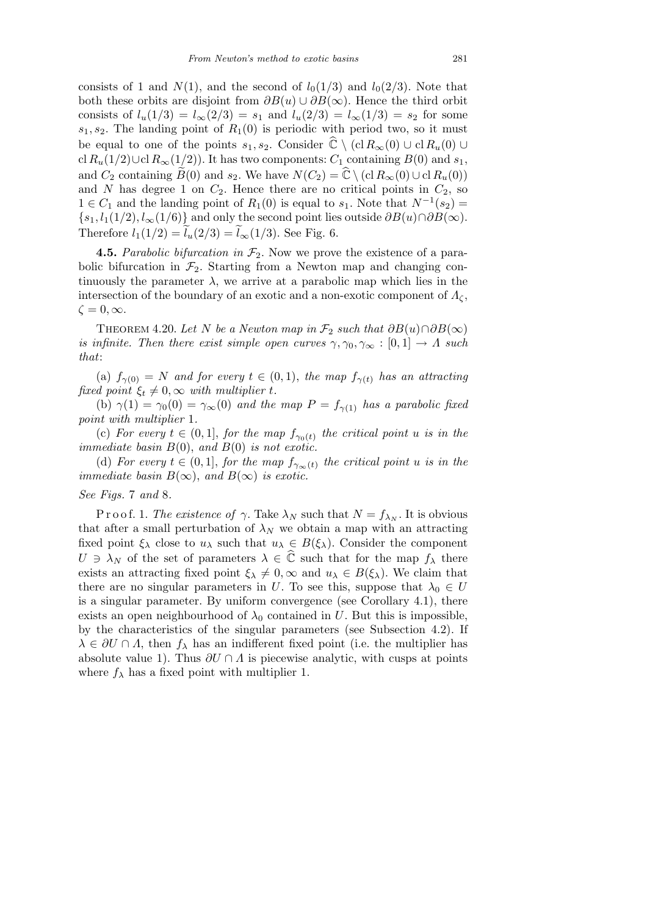consists of 1 and  $N(1)$ , and the second of  $l_0(1/3)$  and  $l_0(2/3)$ . Note that both these orbits are disjoint from  $\partial B(u) \cup \partial B(\infty)$ . Hence the third orbit consists of  $l_u(1/3) = l_\infty(2/3) = s_1$  and  $l_u(2/3) = l_\infty(1/3) = s_2$  for some  $s_1, s_2$ . The landing point of  $R_1(0)$  is periodic with period two, so it must be equal to one of the points  $s_1, s_2$ . Consider  $\hat{\mathbb{C}} \setminus (\text{cl } R_\infty(0) \cup \text{cl } R_u(0) \cup$ cl  $R$ <sup>u</sup>(1/2)∪cl  $R$ ∞(1/2)). It has two components:  $C_1$  containing  $B(0)$  and  $s_1$ , and *C*<sub>2</sub> containing  $\widetilde{B}(0)$  and  $s_2$ . We have  $N(C_2) = \widehat{\mathbb{C}} \setminus (\text{cl } R_\infty(0) \cup \text{cl } R_u(0))$ and *N* has degree 1 on  $C_2$ . Hence there are no critical points in  $C_2$ , so 1 ∈  $C_1$  and the landing point of  $R_1(0)$  is equal to  $s_1$ . Note that  $N^{-1}(s_2)$  =  ${s_1, l_1(1/2), l_\infty(1/6)}$  and only the second point lies outside  $\partial B(u) \cap \partial B(\infty)$ . Therefore  $l_1(1/2) = l_u(2/3) = l_{\infty}(1/3)$ . See Fig. 6.

**4.5.** *Parabolic bifurcation in F*2. Now we prove the existence of a parabolic bifurcation in  $\mathcal{F}_2$ . Starting from a Newton map and changing continuously the parameter  $\lambda$ , we arrive at a parabolic map which lies in the intersection of the boundary of an exotic and a non-exotic component of  $\Lambda_{\zeta}$ ,  $\zeta = 0, \infty$ .

THEOREM 4.20. Let *N* be a *Newton map in*  $\mathcal{F}_2$  *such that*  $\partial B(u) \cap \partial B(\infty)$ *is infinite. Then there exist simple open curves*  $\gamma, \gamma_0, \gamma_\infty : [0,1] \to \Lambda$  such *that*:

(a)  $f_{\gamma(0)} = N$  *and for every*  $t \in (0,1)$ , the map  $f_{\gamma(t)}$  has an attracting *fixed point*  $\xi_t \neq 0$ ,  $\infty$  *with multiplier t.* 

(b)  $\gamma(1) = \gamma_0(0) = \gamma_\infty(0)$  *and the map*  $P = f_{\gamma(1)}$  *has a parabolic fixed point with multiplier* 1*.*

(c) *For every*  $t \in (0,1]$ , *for the map*  $f_{\gamma_0(t)}$  *the critical point u is in the immediate basin B*(0), *and B*(0) *is not exotic.*

(d) *For every*  $t \in (0,1]$ , *for the map*  $f_{\gamma_{\infty}(t)}$  *the critical point u is in the immediate basin*  $B(\infty)$ *, and*  $B(\infty)$  *is exotic.* 

### *See Figs.* 7 *and* 8*.*

P r o o f. 1. *The existence of*  $\gamma$ . Take  $\lambda_N$  such that  $N = f_{\lambda_N}$ . It is obvious that after a small perturbation of  $\lambda_N$  we obtain a map with an attracting fixed point  $\xi_{\lambda}$  close to  $u_{\lambda}$  such that  $u_{\lambda} \in B(\xi_{\lambda})$ . Consider the component  $U \ni \lambda_N$  of the set of parameters  $\lambda \in \widehat{\mathbb{C}}$  such that for the map  $f_\lambda$  there exists an attracting fixed point  $\xi_{\lambda} \neq 0$ ,  $\infty$  and  $u_{\lambda} \in B(\xi_{\lambda})$ . We claim that there are no singular parameters in *U*. To see this, suppose that  $\lambda_0 \in U$ is a singular parameter. By uniform convergence (see Corollary 4.1), there exists an open neighbourhood of  $\lambda_0$  contained in *U*. But this is impossible, by the characteristics of the singular parameters (see Subsection 4.2). If  $\lambda \in \partial U \cap \Lambda$ , then  $f_{\lambda}$  has an indifferent fixed point (i.e. the multiplier has absolute value 1). Thus  $\partial U \cap \Lambda$  is piecewise analytic, with cusps at points where  $f_{\lambda}$  has a fixed point with multiplier 1.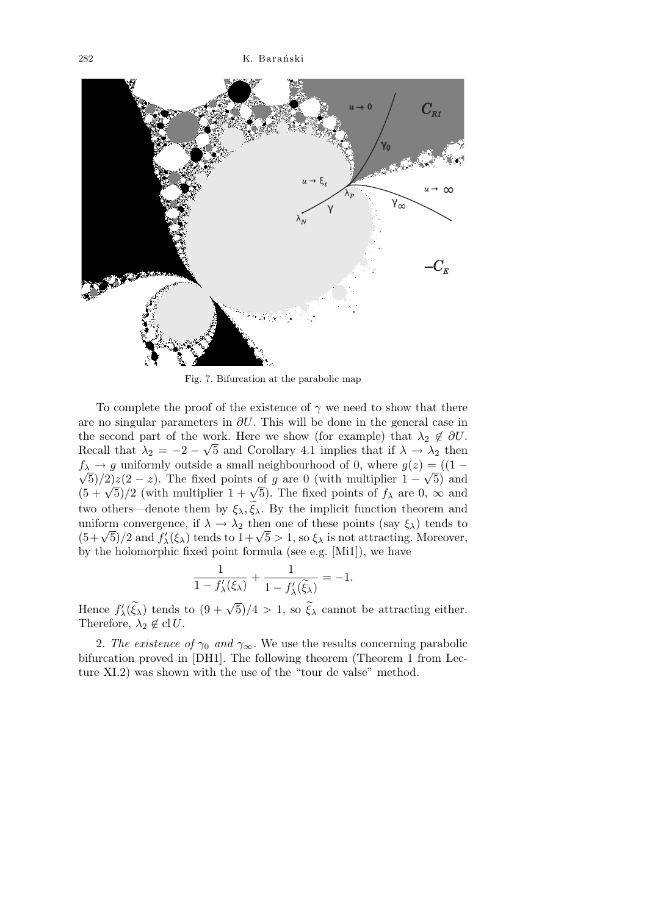

Fig. 7. Bifurcation at the parabolic map

To complete the proof of the existence of  $\gamma$  we need to show that there are no singular parameters in *∂U*. This will be done in the general case in the second part of the work. Here we show (for example) that  $\lambda_2 \notin \partial U$ . Recall that  $\lambda_2 = -2 - \sqrt{5}$  and Corollary 4.1 implies that if  $\lambda \to \lambda_2$  then  $f_{\lambda} \rightarrow g$  uniformly outside a small neighbourhood of 0, where  $g(z) = ((1 - \lambda)^2)$  $(5)/2$ <sub>2</sub> $(2-z)$ . The fixed points of *g* are 0 (with multiplier  $1-\sqrt{5}$ ) and  $(\sqrt{5})/2$  ( $2 - z$ ). The fixed points of *g* are 0 (with multiplier  $1 - \sqrt{5}$ ) and  $(5 + \sqrt{5})/2$  (with multiplier  $1 + \sqrt{5}$ ). The fixed points of  $f_{\lambda}$  are 0,  $\infty$  and two others—denote them by  $\xi_{\lambda}$ ,  $\xi_{\lambda}$ . By the implicit function theorem and uniform convergence, if  $\lambda \to \lambda_2$  then one of these points (say  $\xi_\lambda$ ) tends to uniform convergence, if  $\lambda \to \lambda_2$  then one of these points (say  $\xi_\lambda$ ) tends to  $(5+\sqrt{5})/2$  and  $f'_\lambda(\xi_\lambda)$  tends to  $1+\sqrt{5} > 1$ , so  $\xi_\lambda$  is not attracting. Moreover, by the holomorphic fixed point formula (see e.g. [Mi1]), we have

$$
\frac{1}{1 - f'_{\lambda}(\xi_{\lambda})} + \frac{1}{1 - f'_{\lambda}(\tilde{\xi}_{\lambda})} = -1.
$$

Hence  $f'_{\lambda}(\tilde{\xi}_{\lambda})$  tends to  $(9 + \sqrt{5})/4 > 1$ , so  $\tilde{\xi}_{\lambda}$  cannot be attracting either. Therefore,  $\lambda_2 \notin \text{cl } U$ .

2. *The existence of*  $\gamma_0$  *and*  $\gamma_\infty$ . We use the results concerning parabolic bifurcation proved in [DH1]. The following theorem (Theorem 1 from Lecture XI.2) was shown with the use of the "tour de valse" method.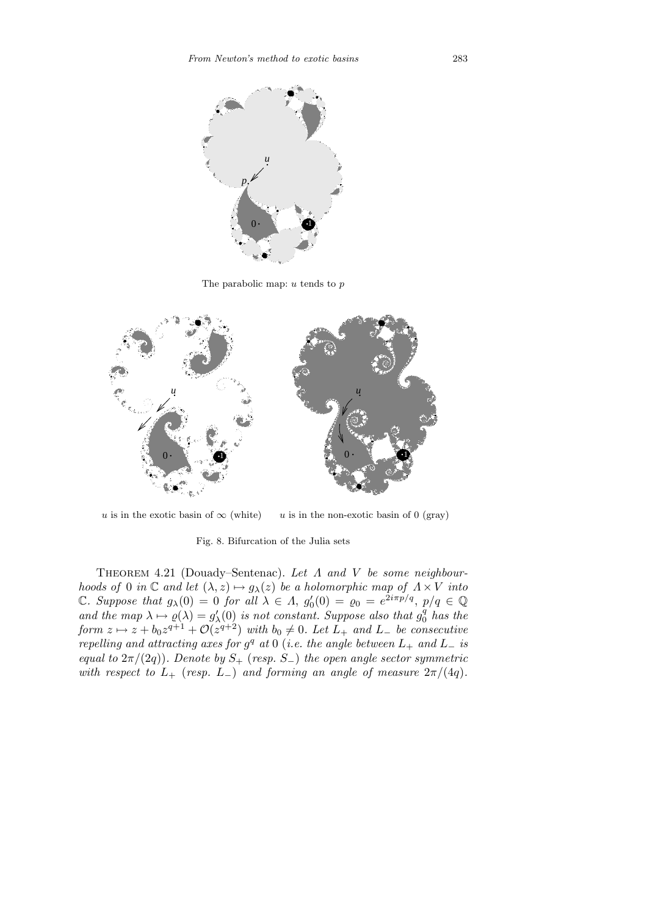

The parabolic map: *u* tends to *p*



*u* is in the exotic basin of  $\infty$  (white)  $u$  is in the non-exotic basin of 0 (gray)

Fig. 8. Bifurcation of the Julia sets

Theorem 4.21 (Douady–Sentenac). *Let Λ and V be some neighbourhoods of* 0 *in*  $\mathbb C$  *and let*  $(\lambda, z) \mapsto g_\lambda(z)$  *be a holomorphic map of*  $\Lambda \times V$  *into* C*. Suppose that*  $g_{\lambda}(0) = 0$  *for all*  $\lambda \in \Lambda$ ,  $g'_{0}(0) = \varrho_{0} = e^{2i\pi p/q}$ ,  $p/q \in \mathbb{Q}$ *and the map*  $\lambda \mapsto \varrho(\lambda) = g'_{\lambda}(0)$  *is not constant. Suppose also that*  $g_0^q$  $_0^q$  has the *form*  $z \mapsto z + b_0 z^{q+1} + \mathcal{O}(z^{q+2})$  *with*  $b_0 \neq 0$ *. Let*  $L_+$  *and*  $L_-$  *be consecutive repelling and attracting axes for*  $g^q$  *at* 0 (*i.e. the angle between*  $L_+$  *and*  $L_-$  *is equal to*  $2\pi/(2q)$ *). Denote by*  $S_+$  (*resp.*  $S_-$ *) the open angle sector symmetric with respect to*  $L_+$  (*resp.*  $L_-$ ) *and forming an angle of measure*  $2\pi/(4q)$ *.*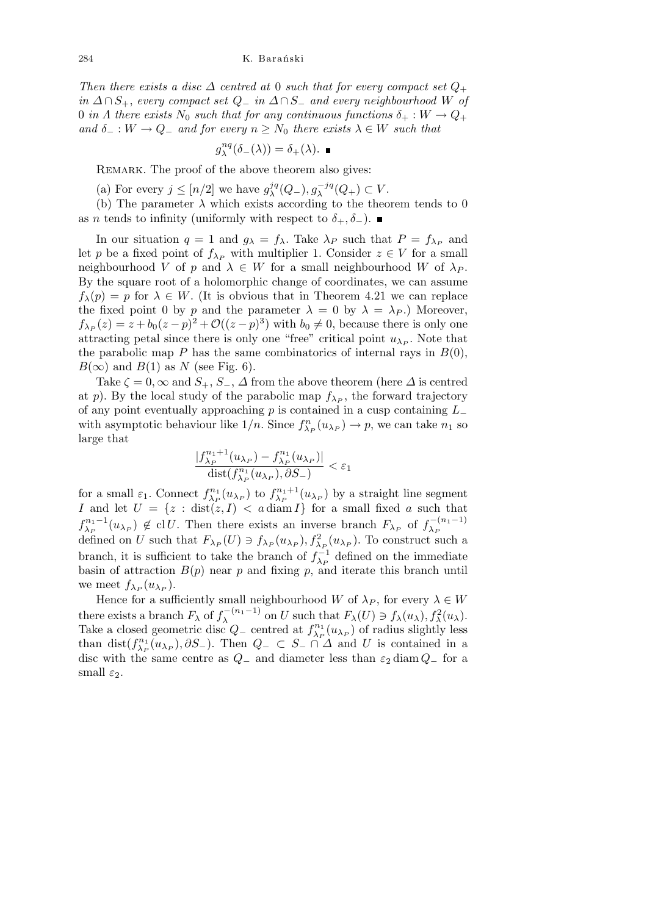*Then there exists a disc*  $\Delta$  *centred at* 0 *such that for every compact set*  $Q_+$ *in*  $\Delta ∩ S_+$ , *every compact set*  $Q_$ *− in*  $\Delta ∩ S_$ *− and every neighbourhood W of* 0 *in*  $\Lambda$  *there exists*  $N_0$  *such that for any continuous functions*  $\delta_+ : W \to Q_+$ *and*  $\delta$ <sub>−</sub> :  $W \to Q$ <sub>−</sub> *and for every*  $n \geq N_0$  *there exists*  $\lambda \in W$  *such that* 

$$
g_\lambda^{nq}(\delta_-(\lambda))=\delta_+(\lambda).
$$

REMARK. The proof of the above theorem also gives:

(a) For every  $j \leq [n/2]$  we have  $g_{\lambda}^{jq}$  $\lambda^{jq}(Q_-,)$ ,  $g_{\lambda}^{-jq}$  $\lambda^{-jq}(Q_+) \subset V$ .

(b) The parameter  $\lambda$  which exists according to the theorem tends to 0 as *n* tends to infinity (uniformly with respect to  $\delta_+$ ,  $\delta_-$ ).

In our situation  $q = 1$  and  $g_{\lambda} = f_{\lambda}$ . Take  $\lambda_P$  such that  $P = f_{\lambda_P}$  and let *p* be a fixed point of  $f_{\lambda_P}$  with multiplier 1. Consider  $z \in V$  for a small neighbourhood *V* of *p* and  $\lambda \in W$  for a small neighbourhood *W* of  $\lambda_P$ . By the square root of a holomorphic change of coordinates, we can assume  $f_{\lambda}(p) = p$  for  $\lambda \in W$ . (It is obvious that in Theorem 4.21 we can replace the fixed point 0 by *p* and the parameter  $\lambda = 0$  by  $\lambda = \lambda_P$ .) Moreover,  $f_{\lambda_P}(z) = z + b_0(z - p)^2 + \mathcal{O}((z - p)^3)$  with  $b_0 \neq 0$ , because there is only one attracting petal since there is only one "free" critical point  $u_{\lambda_P}$ . Note that the parabolic map *P* has the same combinatorics of internal rays in  $B(0)$ ,  $B(\infty)$  and  $B(1)$  as *N* (see Fig. 6).

Take  $\zeta = 0$ ,  $\infty$  and  $S_+$ ,  $S_-$ ,  $\Delta$  from the above theorem (here  $\Delta$  is centred at *p*). By the local study of the parabolic map  $f_{\lambda_P}$ , the forward trajectory of any point eventually approaching *p* is contained in a cusp containing *L<sup>−</sup>* with asymptotic behaviour like  $1/n$ . Since  $f_{\lambda_P}^n(u_{\lambda_P}) \to p$ , we can take  $n_1$  so large that

$$
\frac{|f_{\lambda_P}^{n_1+1}(u_{\lambda_P})-f_{\lambda_P}^{n_1}(u_{\lambda_P})|}{\text{dist}(f_{\lambda_P}^{n_1}(u_{\lambda_P}),\partial S_-)} < \varepsilon_1
$$

for a small  $\varepsilon_1$ . Connect  $f_{\lambda_P}^{n_1}$  $\lambda_P^{n_1}(u_{\lambda_P})$  to  $f_{\lambda_P}^{n_1+1}$  $\lambda_P^{n_1+1}(u_{\lambda_P})$  by a straight line segment *I* and let  $U = \{z : \text{dist}(z, I) \leq a \text{ diam } I\}$  for a small fixed *a* such that  $f_{\lambda}^{n_1-1}$  $\chi_{P}^{n_1-1}(u_{\lambda_P}) \notin \text{cl } U$ . Then there exists an inverse branch  $F_{\lambda_P}$  of  $f_{\lambda_P}^{-(n_1-1)}$ *λ<sup>P</sup>* defined on *U* such that  $F_{\lambda_P}(U) \ni f_{\lambda_P}(u_{\lambda_P}), f_{\lambda_P}^2(u_{\lambda_P}).$  To construct such a branch, it is sufficient to take the branch of  $f_{\lambda_P}^{-1}$  defined on the immediate basin of attraction  $B(p)$  near  $p$  and fixing  $p$ , and iterate this branch until we meet  $f_{\lambda_P}(u_{\lambda_P}).$ 

Hence for a sufficiently small neighbourhood *W* of  $\lambda_P$ , for every  $\lambda \in W$ there exists a branch  $F_{\lambda}$  of  $f_{\lambda}^{-(n_1-1)}$  $\lambda^{(-n_1-1)}$  on *U* such that  $F_\lambda(U) \ni f_\lambda(u_\lambda)$ ,  $f_\lambda^2(u_\lambda)$ . Take a closed geometric disc  $Q_$ − centred at  $f_{\lambda_P}^{n_1}$  $\chi_{P}^{n_1}(u_{\lambda_P})$  of radius slightly less than dist( $f_{\lambda}^{n_1}$  $Q_{\text{-}}$  *C S*<sub>−</sub> *∩ ∆* and *U* is contained in a disc with the same centre as  $Q$ <sub>−</sub> and diameter less than  $\varepsilon_2$  diam  $Q$ <sub>−</sub> for a small  $\varepsilon_2$ .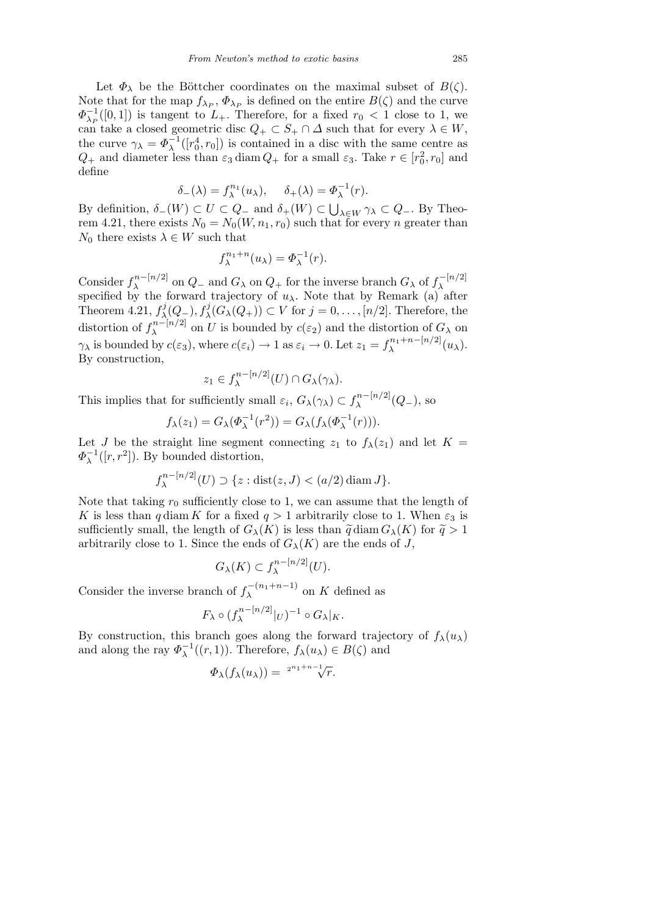Let  $\Phi_{\lambda}$  be the Böttcher coordinates on the maximal subset of  $B(\zeta)$ . Note that for the map  $f_{\lambda_P}$ ,  $\Phi_{\lambda_P}$  is defined on the entire  $B(\zeta)$  and the curve  $\Phi_{\lambda_P}^{-1}([0,1])$  is tangent to  $L_+$ . Therefore, for a fixed  $r_0 < 1$  close to 1, we can take a closed geometric disc  $Q_+ \subset S_+ \cap \Delta$  such that for every  $\lambda \in W$ , the curve  $\gamma_{\lambda} = \Phi_{\lambda}^{-1}([r_0^4, r_0])$  is contained in a disc with the same centre as  $Q_+$  and diameter less than  $\varepsilon_3$  diam  $Q_+$  for a small  $\varepsilon_3$ . Take  $r \in [r_0^2, r_0]$  and define

$$
\delta_{-}(\lambda) = f_{\lambda}^{n_1}(u_{\lambda}), \quad \delta_{+}(\lambda) = \Phi_{\lambda}^{-1}(r).
$$

By definition, *δ−*(*W*) *⊂ U ⊂ Q<sup>−</sup>* and *δ*+(*W*) *⊂ <sup>λ</sup>∈<sup>W</sup> γ<sup>λ</sup> ⊂ Q−*. By Theorem 4.21, there exists  $N_0 = N_0(W, n_1, r_0)$  such that for every *n* greater than  $N_0$  there exists  $\lambda \in W$  such that

$$
f_{\lambda}^{n_1+n}(u_{\lambda}) = \varPhi_{\lambda}^{-1}(r).
$$

Consider  $f_{\lambda}^{n-[n/2]}$  $\lambda$ <sup>*n*−[*n/*2]</sup> on *Q*<sub>−</sub> and *G*<sub> $\lambda$ </sub> on *Q*<sub>+</sub> for the inverse branch *G*<sub> $\lambda$ </sub> of  $f_{\lambda}^{-[n/2]}$ Consider  $J_{\lambda}$  on  $Q_{\lambda}$  and  $G_{\lambda}$  on  $Q_{\mu}$  for the inverse branch  $G_{\lambda}$  or  $J_{\lambda}$  specified by the forward trajectory of  $u_{\lambda}$ . Note that by Remark (a) after Theorem 4.21,  $f_{\lambda}^j$ *l*</sup><sub> $\lambda$ </sub><sup>*(Q*<sub>−</sub></sub>),  $f^j_\lambda$ (*G*<sub> $\lambda$ </sub>(*Q*<sub>+</sub>)) ⊂ *V* for *j* = 0, . . . , [*n*/2]. Therefore, the</sup> distortion of  $f_{\lambda}^{n-[n/2]}$  $\lambda$ <sup>n-[n/2]</sup> on *U* is bounded by  $c(\varepsilon_2)$  and the distortion of  $G_\lambda$  on *γ*<sub>*λ*</sub> is bounded by *c*(*ε*<sub>3</sub>), where *c*(*ε*<sub>*i*</sub>)  $\rightarrow$  1 as  $\varepsilon$ <sub>*i*</sub>  $\rightarrow$  0. Let  $z_1 = f_{\lambda}^{n_1+n-[n/2]}$  $\lambda^{\frac{n_1+n-\lfloor n/2\rfloor}{\lambda}}(u_\lambda).$ By construction, *n−*[*n/*2]

$$
z_1 \in f_{\lambda}^{n-|n/2|}(U) \cap G_{\lambda}(\gamma_{\lambda}).
$$

This implies that for sufficiently small  $\varepsilon_i$ ,  $G_{\lambda}(\gamma_{\lambda}) \subset f_{\lambda}^{n-[n/2]}$ *λ* (*Q−*), so

$$
f_{\lambda}(z_1) = G_{\lambda}(\Phi_{\lambda}^{-1}(r^2)) = G_{\lambda}(f_{\lambda}(\Phi_{\lambda}^{-1}(r))).
$$

Let *J* be the straight line segment connecting  $z_1$  to  $f_\lambda(z_1)$  and let  $K =$  $\Phi_{\lambda}^{-1}([r,r^2])$ . By bounded distortion,

$$
f_{\lambda}^{n-[n/2]}(U) \supset \{z : \text{dist}(z, J) < (a/2) \text{ diam } J\}.
$$

Note that taking  $r_0$  sufficiently close to 1, we can assume that the length of *K* is less than *q* diam *K* for a fixed  $q > 1$  arbitrarily close to 1. When  $\varepsilon_3$  is sufficiently small, the length of  $G_{\lambda}(K)$  is less than  $\tilde{q}$  diam  $G_{\lambda}(K)$  for  $\tilde{q} > 1$ arbitrarily close to 1. Since the ends of  $G_{\lambda}(K)$  are the ends of *J*,

$$
G_{\lambda}(K) \subset f_{\lambda}^{n-[n/2]}(U).
$$

Consider the inverse branch of  $f_{\lambda}^{-(n_1+n-1)}$  $\lambda^{-(n_1+n-1)}$  on *K* defined as

$$
F_{\lambda} \circ (f_{\lambda}^{n-[n/2]}|_{U})^{-1} \circ G_{\lambda}|_{K}.
$$

By construction, this branch goes along the forward trajectory of  $f_{\lambda}(u_{\lambda})$ and along the ray  $\Phi_{\lambda}^{-1}((r,1))$ . Therefore,  $f_{\lambda}(u_{\lambda}) \in B(\zeta)$  and

$$
\Phi_{\lambda}(f_{\lambda}(u_{\lambda})) = {}^{2^{n_{1}+n-1}}\sqrt{r}.
$$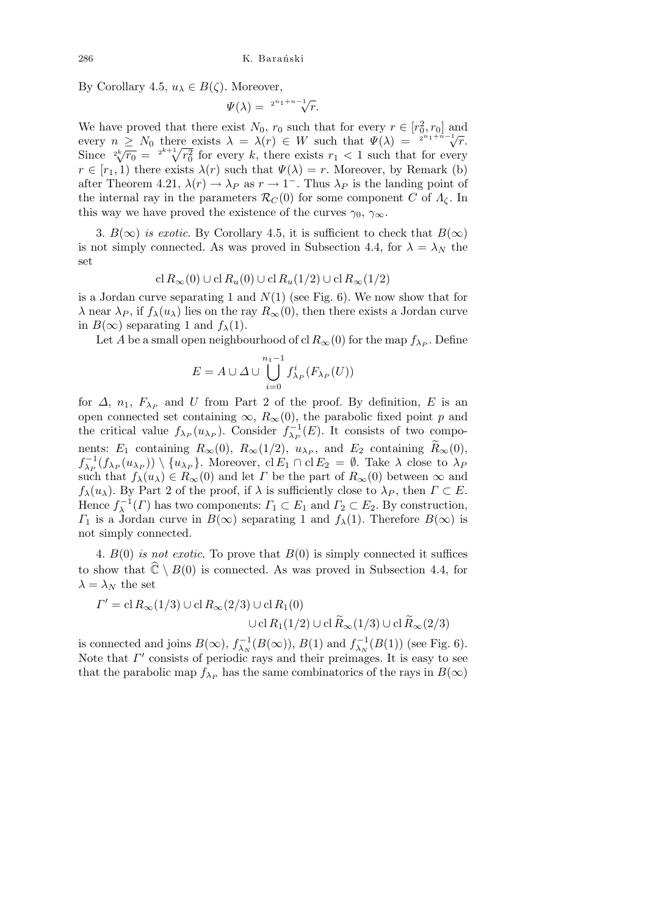By Corollary 4.5,  $u_{\lambda} \in B(\zeta)$ . Moreover,

$$
\Psi(\lambda) = \sqrt[2^{n_1+n-1}]{r}.
$$

We have proved that there exist  $N_0$ ,  $r_0$  such that for every  $r \in [r_0^2, r_0]$  and every *n* ≥ *N*<sub>0</sub> there exists  $λ = λ(r) ∈ W$  such that  $Ψ(λ) = \frac{2^{n_1+n_1-1}}{r}$  *γ*. Since  $\frac{2^k}{k}$   $\frac{r_0}{r_0} = \frac{2^{k+1}}{k} \frac{r_0^2}{r_0^2}$  for every *k*, there exists  $r_1 < 1$  such that for every  $r \in [r_1, 1)$  there exists  $\lambda(r)$  such that  $\Psi(\lambda) = r$ . Moreover, by Remark (b) after Theorem 4.21,  $\lambda(r) \to \lambda_P$  as  $r \to 1^-$ . Thus  $\lambda_P$  is the landing point of the internal ray in the parameters  $\mathcal{R}_C(0)$  for some component *C* of  $\Lambda_c$ . In this way we have proved the existence of the curves  $\gamma_0$ ,  $\gamma_\infty$ .

3.  $B(\infty)$  *is exotic*. By Corollary 4.5, it is sufficient to check that  $B(\infty)$ is not simply connected. As was proved in Subsection 4.4, for  $\lambda = \lambda_N$  the set

$$
\operatorname{cl} R_{\infty}(0) \cup \operatorname{cl} R_u(0) \cup \operatorname{cl} R_u(1/2) \cup \operatorname{cl} R_{\infty}(1/2)
$$

is a Jordan curve separating 1 and *N*(1) (see Fig. 6). We now show that for *λ* near *λ<sub>P</sub>*, if  $f_{\lambda}(u_{\lambda})$  lies on the ray  $R_{\infty}(0)$ , then there exists a Jordan curve in  $B(\infty)$  separating 1 and  $f_{\lambda}(1)$ .

Let *A* be a small open neighbourhood of cl  $R_\infty(0)$  for the map  $f_{\lambda_P}$ . Define

$$
E = A \cup \Delta \cup \bigcup_{i=0}^{n_1-1} f_{\lambda_P}^i(F_{\lambda_P}(U))
$$

for  $\Delta$ ,  $n_1$ ,  $F_{\lambda_P}$  and *U* from Part 2 of the proof. By definition, *E* is an open connected set containing  $\infty$ ,  $R_\infty(0)$ , the parabolic fixed point *p* and the critical value  $f_{\lambda_P}(u_{\lambda_P})$ . Consider  $f_{\lambda_P}^{-1}(E)$ . It consists of two components:  $E_1$  containing  $R_\infty(0)$ ,  $R_\infty(1/2)$ ,  $u_{\lambda_P}$ , and  $E_2$  containing  $\widetilde{R}_\infty(0)$ ,  $f_{\lambda_P}^{-1}(f_{\lambda_P}(u_{\lambda_P})) \setminus \{u_{\lambda_P}\}\$ . Moreover, cl  $E_1 \cap$  cl  $E_2 = \emptyset$ . Take  $\lambda$  close to  $\lambda_P$ such that  $f_{\lambda}(u_{\lambda}) \in R_{\infty}(0)$  and let *Γ* be the part of  $R_{\infty}(0)$  between  $\infty$  and *f*<sub>*λ*</sub>(*u*<sub>*λ*</sub>). By Part 2 of the proof, if  $\lambda$  is sufficiently close to  $\lambda_P$ , then  $\Gamma \subset E$ . Hence  $f_{\lambda}^{-1}(\Gamma)$  has two components:  $\Gamma_1 \subset E_1$  and  $\Gamma_2 \subset E_2$ . By construction, *Γ*<sub>1</sub> is a Jordan curve in *B*( $\infty$ ) separating 1 and *f*<sub>*λ*</sub>(1). Therefore *B*( $\infty$ ) is not simply connected.

4. *B*(0) *is not exotic*. To prove that *B*(0) is simply connected it suffices to show that  $\widehat{\mathbb{C}} \setminus B(0)$  is connected. As was proved in Subsection 4.4, for  $\lambda = \lambda_N$  the set

$$
\Gamma' = \text{cl } R_{\infty}(1/3) \cup \text{cl } R_{\infty}(2/3) \cup \text{cl } R_1(0)
$$

$$
\cup \text{cl } R_1(1/2) \cup \text{cl } \widetilde{R}_{\infty}(1/3) \cup \text{cl } \widetilde{R}_{\infty}(2/3)
$$

is connected and joins  $B(\infty)$ ,  $f_{\lambda_N}^{-1}(B(\infty))$ ,  $B(1)$  and  $f_{\lambda_N}^{-1}(B(1))$  (see Fig. 6). Note that  $\Gamma'$  consists of periodic rays and their preimages. It is easy to see that the parabolic map  $f_{\lambda_P}$  has the same combinatorics of the rays in  $B(\infty)$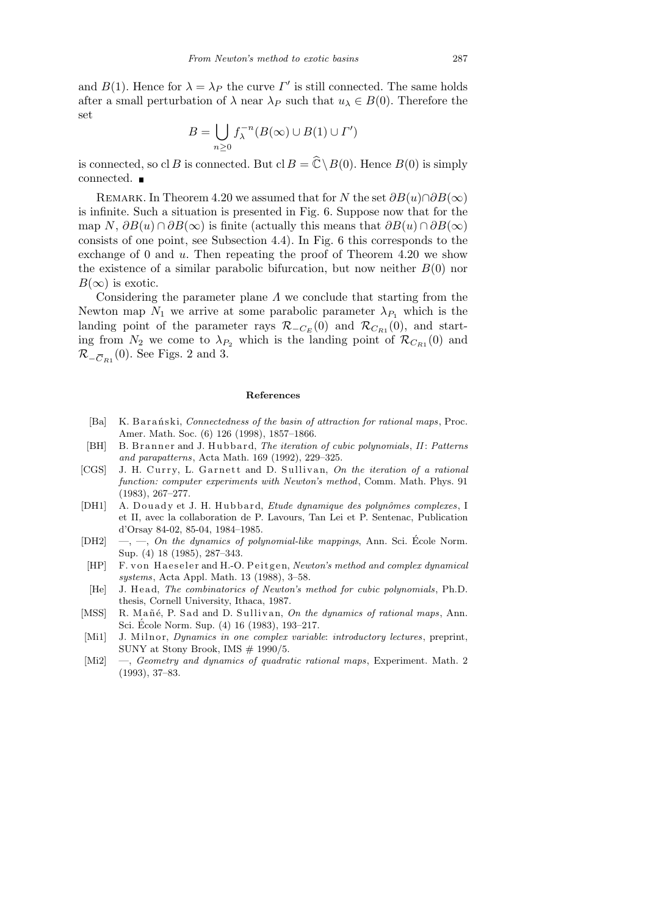and *B*(1). Hence for  $\lambda = \lambda_P$  the curve *Γ'* is still connected. The same holds after a small perturbation of  $\lambda$  near  $\lambda_P$  such that  $u_\lambda \in B(0)$ . Therefore the set  $\mathbf{r}$ 

$$
B = \bigcup_{n \ge 0} f_{\lambda}^{-n}(B(\infty) \cup B(1) \cup \Gamma')
$$

is connected, so cl *B* is connected. But cl  $B = \widehat{\mathbb{C}} \setminus B(0)$ . Hence  $B(0)$  is simply connected. ■

REMARK. In Theorem 4.20 we assumed that for *N* the set  $\partial B(u) \cap \partial B(\infty)$ is infinite. Such a situation is presented in Fig. 6. Suppose now that for the map *N*,  $\partial B(u) \cap \partial B(\infty)$  is finite (actually this means that  $\partial B(u) \cap \partial B(\infty)$ consists of one point, see Subsection 4.4). In Fig. 6 this corresponds to the exchange of 0 and *u*. Then repeating the proof of Theorem 4.20 we show the existence of a similar parabolic bifurcation, but now neither  $B(0)$  nor  $B(\infty)$  is exotic.

Considering the parameter plane *Λ* we conclude that starting from the Newton map  $N_1$  we arrive at some parabolic parameter  $\lambda_{P_1}$  which is the landing point of the parameter rays  $\mathcal{R}_{\textit{−C}_E}(0)$  and  $\mathcal{R}_{\textit{C}_{R1}}(0)$ , and starting from  $N_2$  we come to  $\lambda_{P_2}$  which is the landing point of  $\mathcal{R}_{C_{R_1}}(0)$  and *R*<sup>−</sup><sup>*C*<sub>*R*1</sub></sub>(0). See Figs. 2 and 3.</sup>

#### **References**

- [Ba] K. B a r a ń ski, *Connectedness of the basin of attraction for rational maps*, Proc. Amer. Math. Soc. (6) 126 (1998), 1857–1866.
- [BH] B. Branner and J. Hubbard, *The iteration of cubic polynomials*, *II*: Patterns *and parapatterns*, Acta Math. 169 (1992), 229–325.
- [CGS] J. H. Curry, L. Garnett and D. Sullivan, On the iteration of a rational *function: computer experiments with Newton's method*, Comm. Math. Phys. 91 (1983), 267–277.
- [DH1] A. Douady et J. H. Hubbard, *Etude dynamique des polynômes complexes*, I et II, avec la collaboration de P. Lavours, Tan Lei et P. Sentenac, Publication d'Orsay 84-02, 85-04, 1984–1985.
- [DH2] —, —, *On the dynamics of polynomial-like mappings*, Ann. Sci. École Norm. Sup. (4) 18 (1985), 287–343.
- [HP] F. von Haeseler and H.-O. Peitgen, *Newton's method and complex dynamical systems*, Acta Appl. Math. 13 (1988), 3–58.
- [He] J. Head, *The combinatorics of Newton's method for cubic polynomials*, Ph.D. thesis, Cornell University, Ithaca, 1987.
- [MSS] R. Mañé, P. Sad and D. Sullivan, *On the dynamics of rational maps*, Ann. Sci. École Norm. Sup.  $(4)$  16  $(1983)$ , 193-217.
- [Mi1] J. Milnor, *Dynamics in one complex variable: introductory lectures*, preprint, SUNY at Stony Brook, IMS  $# 1990/5$ .
- [Mi2] —, *Geometry and dynamics of quadratic rational maps*, Experiment. Math. 2 (1993), 37–83.